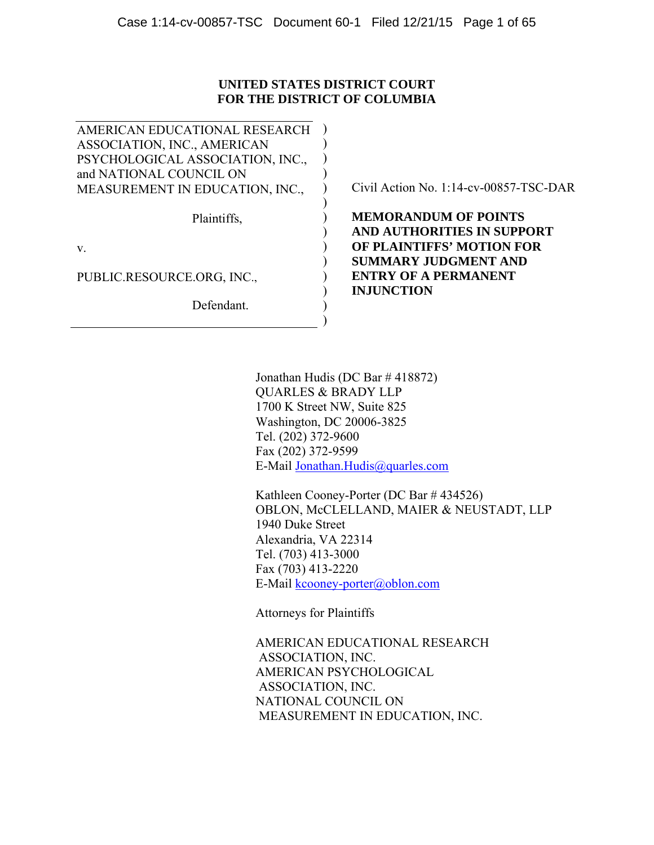## **UNITED STATES DISTRICT COURT FOR THE DISTRICT OF COLUMBIA**

)  $\lambda$ ) )  $\mathcal{L}$  $\lambda$  $\lambda$  $\lambda$  $\lambda$  $\lambda$ )  $\lambda$ ) )

AMERICAN EDUCATIONAL RESEARCH ASSOCIATION, INC., AMERICAN PSYCHOLOGICAL ASSOCIATION, INC., and NATIONAL COUNCIL ON MEASUREMENT IN EDUCATION, INC.,

Plaintiffs,

v.

PUBLIC.RESOURCE.ORG, INC.,

Defendant.

Civil Action No. 1:14-cv-00857-TSC-DAR

**MEMORANDUM OF POINTS AND AUTHORITIES IN SUPPORT OF PLAINTIFFS' MOTION FOR SUMMARY JUDGMENT AND ENTRY OF A PERMANENT INJUNCTION** 

 Jonathan Hudis (DC Bar # 418872) QUARLES & BRADY LLP 1700 K Street NW, Suite 825 Washington, DC 20006-3825 Tel. (202) 372-9600 Fax (202) 372-9599 E-Mail Jonathan.Hudis@quarles.com

Kathleen Cooney-Porter (DC Bar # 434526) OBLON, McCLELLAND, MAIER & NEUSTADT, LLP 1940 Duke Street Alexandria, VA 22314 Tel. (703) 413-3000 Fax (703) 413-2220 E-Mail kcooney-porter@oblon.com

Attorneys for Plaintiffs

AMERICAN EDUCATIONAL RESEARCH ASSOCIATION, INC. AMERICAN PSYCHOLOGICAL ASSOCIATION, INC. NATIONAL COUNCIL ON MEASUREMENT IN EDUCATION, INC.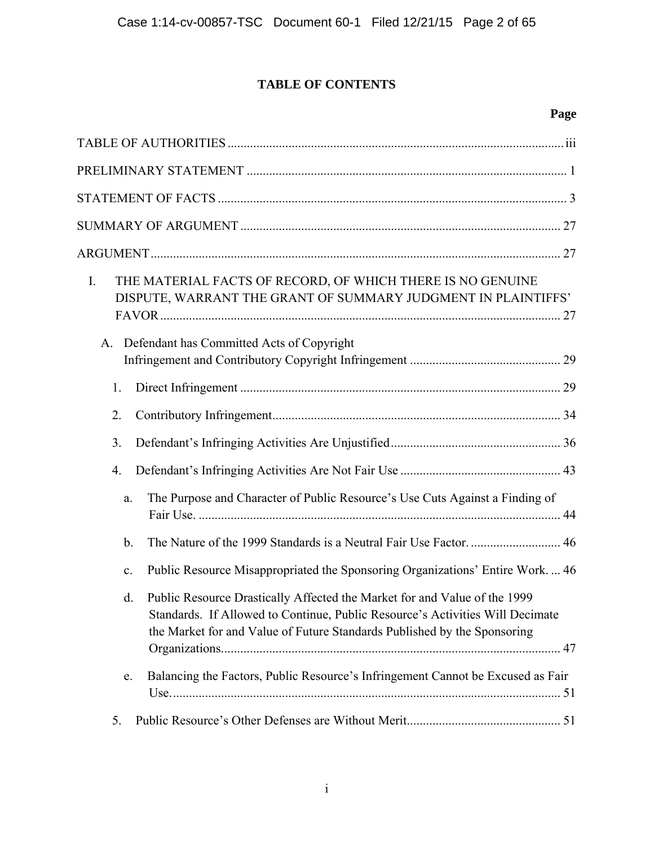# **TABLE OF CONTENTS**

# **Page**

| $I_{\cdot}$<br>A. | THE MATERIAL FACTS OF RECORD, OF WHICH THERE IS NO GENUINE<br>DISPUTE, WARRANT THE GRANT OF SUMMARY JUDGMENT IN PLAINTIFFS'<br>Defendant has Committed Acts of Copyright                                                               |  |
|-------------------|----------------------------------------------------------------------------------------------------------------------------------------------------------------------------------------------------------------------------------------|--|
|                   |                                                                                                                                                                                                                                        |  |
| 1.                |                                                                                                                                                                                                                                        |  |
| 2.                |                                                                                                                                                                                                                                        |  |
| 3.                |                                                                                                                                                                                                                                        |  |
| 4.                |                                                                                                                                                                                                                                        |  |
| a.                | The Purpose and Character of Public Resource's Use Cuts Against a Finding of                                                                                                                                                           |  |
| $\mathbf{b}$ .    |                                                                                                                                                                                                                                        |  |
| $\mathbf{c}$ .    | Public Resource Misappropriated the Sponsoring Organizations' Entire Work 46                                                                                                                                                           |  |
| d.                | Public Resource Drastically Affected the Market for and Value of the 1999<br>Standards. If Allowed to Continue, Public Resource's Activities Will Decimate<br>the Market for and Value of Future Standards Published by the Sponsoring |  |
| e.                | Balancing the Factors, Public Resource's Infringement Cannot be Excused as Fair                                                                                                                                                        |  |
| 5.                |                                                                                                                                                                                                                                        |  |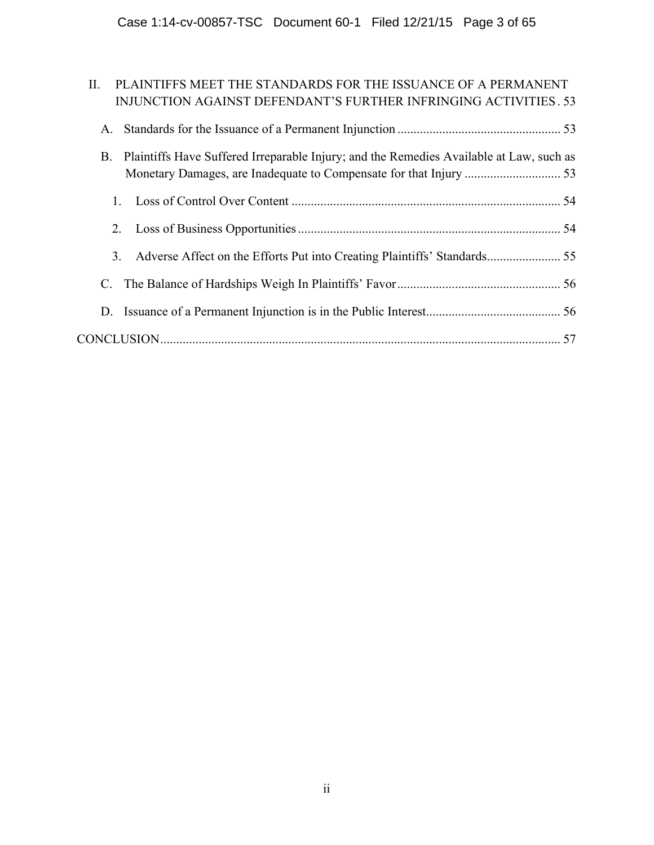| PLAINTIFFS MEET THE STANDARDS FOR THE ISSUANCE OF A PERMANENT<br>П.<br>INJUNCTION AGAINST DEFENDANT'S FURTHER INFRINGING ACTIVITIES. 53 |
|-----------------------------------------------------------------------------------------------------------------------------------------|
| A.                                                                                                                                      |
| Plaintiffs Have Suffered Irreparable Injury; and the Remedies Available at Law, such as<br>B.                                           |
| $\mathbf{1}$                                                                                                                            |
| 2.                                                                                                                                      |
| 3.                                                                                                                                      |
|                                                                                                                                         |
| D.                                                                                                                                      |
|                                                                                                                                         |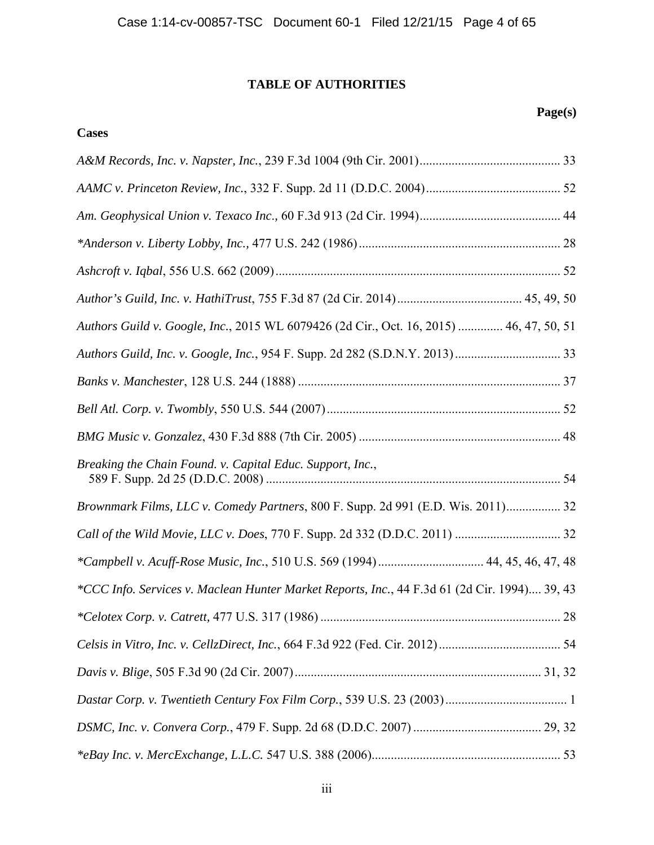# **TABLE OF AUTHORITIES**

**Cases**

# **Page(s)**

| Authors Guild v. Google, Inc., 2015 WL 6079426 (2d Cir., Oct. 16, 2015)  46, 47, 50, 51      |  |
|----------------------------------------------------------------------------------------------|--|
|                                                                                              |  |
|                                                                                              |  |
|                                                                                              |  |
|                                                                                              |  |
| Breaking the Chain Found. v. Capital Educ. Support, Inc.,                                    |  |
| Brownmark Films, LLC v. Comedy Partners, 800 F. Supp. 2d 991 (E.D. Wis. 2011) 32             |  |
|                                                                                              |  |
| *Campbell v. Acuff-Rose Music, Inc., 510 U.S. 569 (1994)  44, 45, 46, 47, 48                 |  |
| *CCC Info. Services v. Maclean Hunter Market Reports, Inc., 44 F.3d 61 (2d Cir. 1994) 39, 43 |  |
|                                                                                              |  |
|                                                                                              |  |
|                                                                                              |  |
|                                                                                              |  |
|                                                                                              |  |
|                                                                                              |  |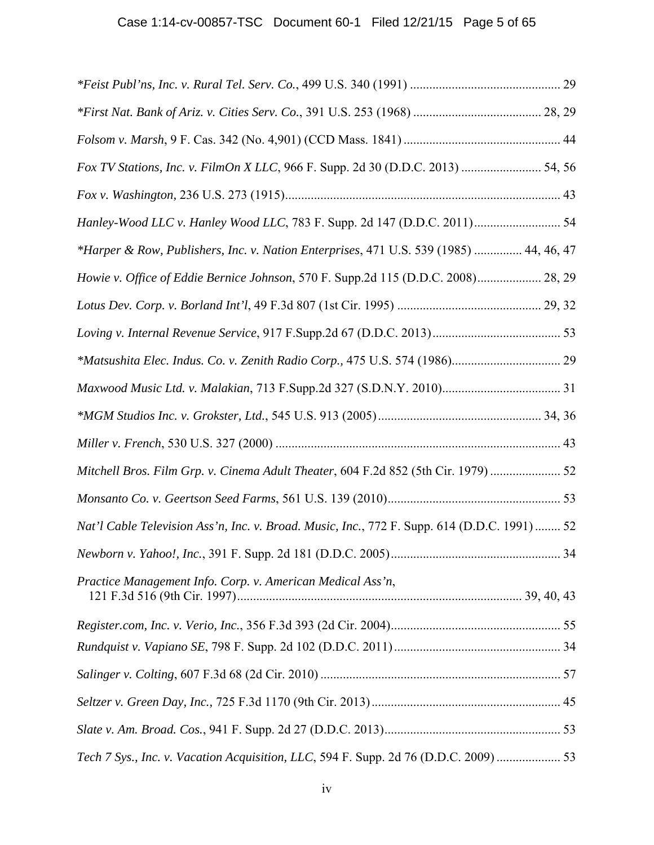| Fox TV Stations, Inc. v. FilmOn X LLC, 966 F. Supp. 2d 30 (D.D.C. 2013)  54, 56             |  |
|---------------------------------------------------------------------------------------------|--|
|                                                                                             |  |
| Hanley-Wood LLC v. Hanley Wood LLC, 783 F. Supp. 2d 147 (D.D.C. 2011) 54                    |  |
| *Harper & Row, Publishers, Inc. v. Nation Enterprises, 471 U.S. 539 (1985)  44, 46, 47      |  |
| Howie v. Office of Eddie Bernice Johnson, 570 F. Supp.2d 115 (D.D.C. 2008) 28, 29           |  |
|                                                                                             |  |
|                                                                                             |  |
|                                                                                             |  |
|                                                                                             |  |
|                                                                                             |  |
|                                                                                             |  |
| Mitchell Bros. Film Grp. v. Cinema Adult Theater, 604 F.2d 852 (5th Cir. 1979)              |  |
|                                                                                             |  |
| Nat'l Cable Television Ass'n, Inc. v. Broad. Music, Inc., 772 F. Supp. 614 (D.D.C. 1991) 52 |  |
|                                                                                             |  |
| Practice Management Info. Corp. v. American Medical Ass'n,                                  |  |
|                                                                                             |  |
|                                                                                             |  |
|                                                                                             |  |
|                                                                                             |  |
|                                                                                             |  |
| Tech 7 Sys., Inc. v. Vacation Acquisition, LLC, 594 F. Supp. 2d 76 (D.D.C. 2009)  53        |  |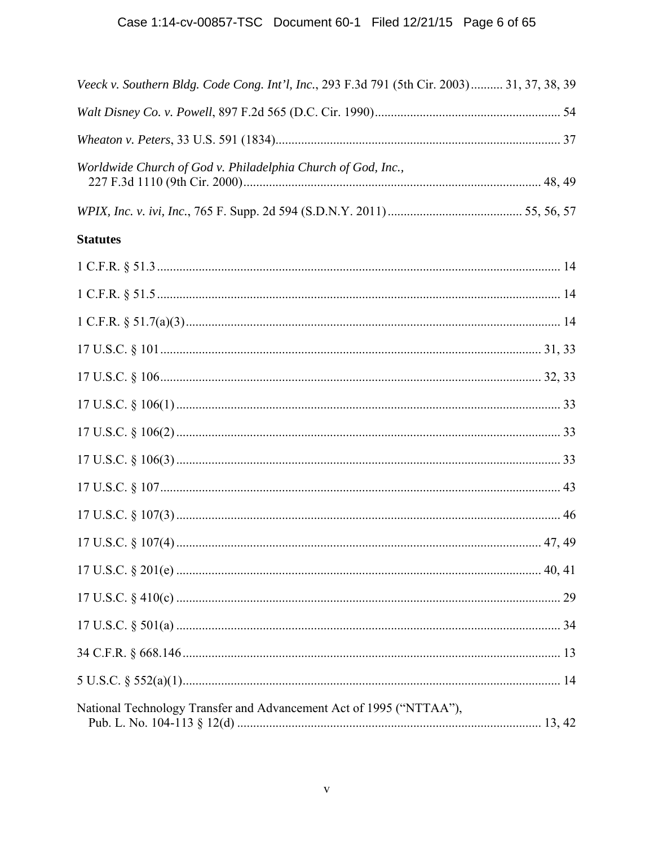| Veeck v. Southern Bldg. Code Cong. Int'l, Inc., 293 F.3d 791 (5th Cir. 2003) 31, 37, 38, 39 |  |
|---------------------------------------------------------------------------------------------|--|
|                                                                                             |  |
|                                                                                             |  |
| Worldwide Church of God v. Philadelphia Church of God, Inc.,                                |  |
|                                                                                             |  |
| <b>Statutes</b>                                                                             |  |
|                                                                                             |  |
|                                                                                             |  |
|                                                                                             |  |
|                                                                                             |  |
|                                                                                             |  |
|                                                                                             |  |
|                                                                                             |  |
|                                                                                             |  |
|                                                                                             |  |
|                                                                                             |  |
|                                                                                             |  |
|                                                                                             |  |
|                                                                                             |  |
|                                                                                             |  |
|                                                                                             |  |
|                                                                                             |  |
| National Technology Transfer and Advancement Act of 1995 ("NTTAA"),                         |  |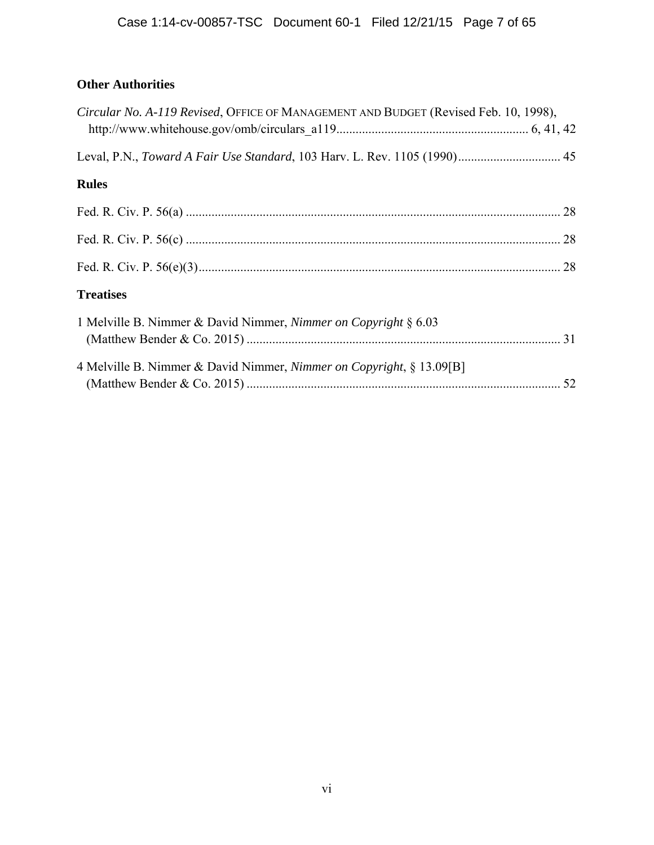# **Other Authorities**

| Circular No. A-119 Revised, OFFICE OF MANAGEMENT AND BUDGET (Revised Feb. 10, 1998), |  |
|--------------------------------------------------------------------------------------|--|
|                                                                                      |  |
| <b>Rules</b>                                                                         |  |
|                                                                                      |  |
|                                                                                      |  |
|                                                                                      |  |
| <b>Treatises</b>                                                                     |  |
| 1 Melville B. Nimmer & David Nimmer, Nimmer on Copyright § 6.03                      |  |
| 4 Melville B. Nimmer & David Nimmer, Nimmer on Copyright, § 13.09[B]                 |  |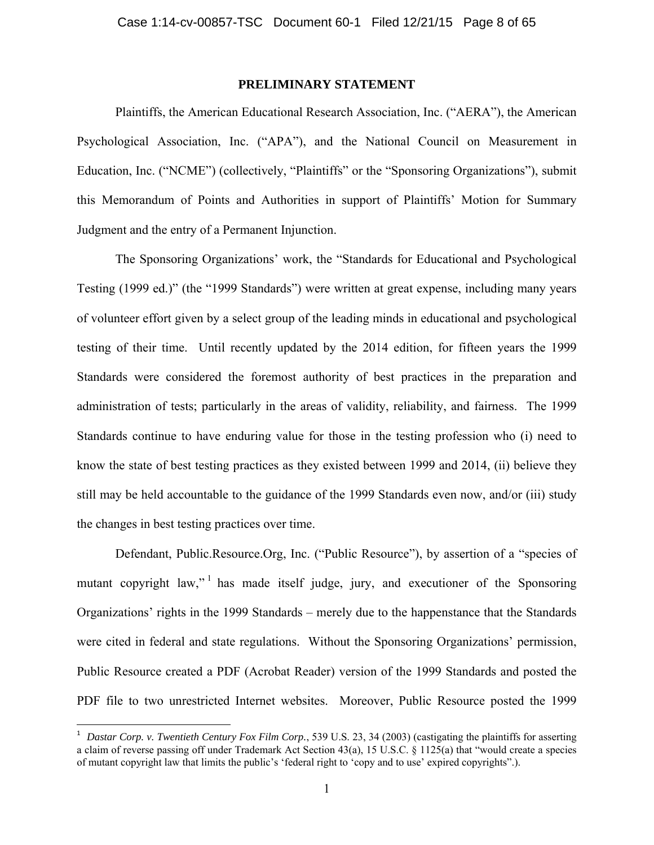## **PRELIMINARY STATEMENT**

Plaintiffs, the American Educational Research Association, Inc. ("AERA"), the American Psychological Association, Inc. ("APA"), and the National Council on Measurement in Education, Inc. ("NCME") (collectively, "Plaintiffs" or the "Sponsoring Organizations"), submit this Memorandum of Points and Authorities in support of Plaintiffs' Motion for Summary Judgment and the entry of a Permanent Injunction.

The Sponsoring Organizations' work, the "Standards for Educational and Psychological Testing (1999 ed.)" (the "1999 Standards") were written at great expense, including many years of volunteer effort given by a select group of the leading minds in educational and psychological testing of their time. Until recently updated by the 2014 edition, for fifteen years the 1999 Standards were considered the foremost authority of best practices in the preparation and administration of tests; particularly in the areas of validity, reliability, and fairness. The 1999 Standards continue to have enduring value for those in the testing profession who (i) need to know the state of best testing practices as they existed between 1999 and 2014, (ii) believe they still may be held accountable to the guidance of the 1999 Standards even now, and/or (iii) study the changes in best testing practices over time.

Defendant, Public.Resource.Org, Inc. ("Public Resource"), by assertion of a "species of mutant copyright law,"<sup> $1$ </sup> has made itself judge, jury, and executioner of the Sponsoring Organizations' rights in the 1999 Standards – merely due to the happenstance that the Standards were cited in federal and state regulations. Without the Sponsoring Organizations' permission, Public Resource created a PDF (Acrobat Reader) version of the 1999 Standards and posted the PDF file to two unrestricted Internet websites. Moreover, Public Resource posted the 1999

 $\overline{\phantom{a}}$ 

<sup>&</sup>lt;sup>1</sup> Dastar Corp. v. Twentieth Century Fox Film Corp., 539 U.S. 23, 34 (2003) (castigating the plaintiffs for asserting a claim of reverse passing off under Trademark Act Section 43(a), 15 U.S.C. § 1125(a) that "would create a species of mutant copyright law that limits the public's 'federal right to 'copy and to use' expired copyrights".).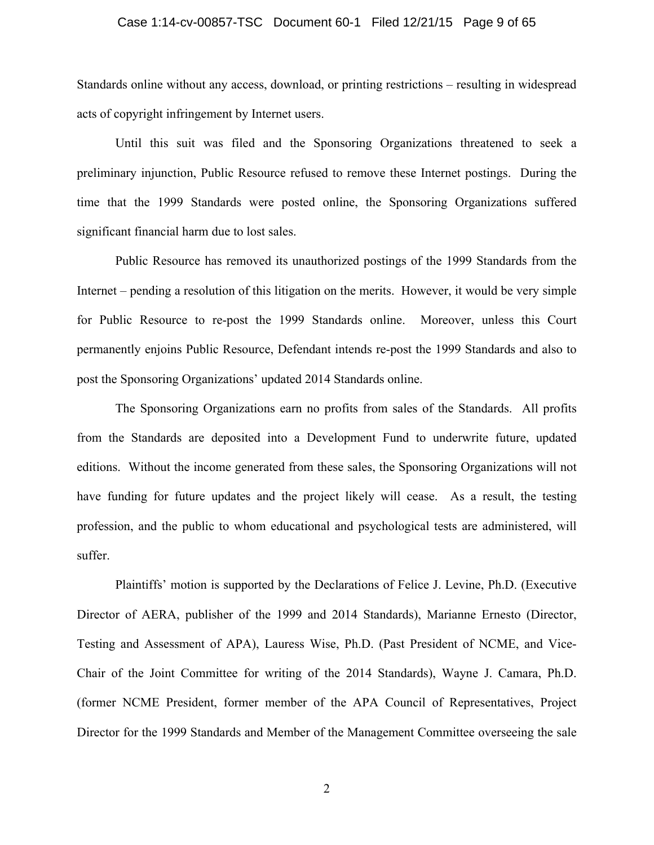## Case 1:14-cv-00857-TSC Document 60-1 Filed 12/21/15 Page 9 of 65

Standards online without any access, download, or printing restrictions – resulting in widespread acts of copyright infringement by Internet users.

Until this suit was filed and the Sponsoring Organizations threatened to seek a preliminary injunction, Public Resource refused to remove these Internet postings. During the time that the 1999 Standards were posted online, the Sponsoring Organizations suffered significant financial harm due to lost sales.

Public Resource has removed its unauthorized postings of the 1999 Standards from the Internet – pending a resolution of this litigation on the merits. However, it would be very simple for Public Resource to re-post the 1999 Standards online. Moreover, unless this Court permanently enjoins Public Resource, Defendant intends re-post the 1999 Standards and also to post the Sponsoring Organizations' updated 2014 Standards online.

The Sponsoring Organizations earn no profits from sales of the Standards. All profits from the Standards are deposited into a Development Fund to underwrite future, updated editions. Without the income generated from these sales, the Sponsoring Organizations will not have funding for future updates and the project likely will cease. As a result, the testing profession, and the public to whom educational and psychological tests are administered, will suffer.

Plaintiffs' motion is supported by the Declarations of Felice J. Levine, Ph.D. (Executive Director of AERA, publisher of the 1999 and 2014 Standards), Marianne Ernesto (Director, Testing and Assessment of APA), Lauress Wise, Ph.D. (Past President of NCME, and Vice-Chair of the Joint Committee for writing of the 2014 Standards), Wayne J. Camara, Ph.D. (former NCME President, former member of the APA Council of Representatives, Project Director for the 1999 Standards and Member of the Management Committee overseeing the sale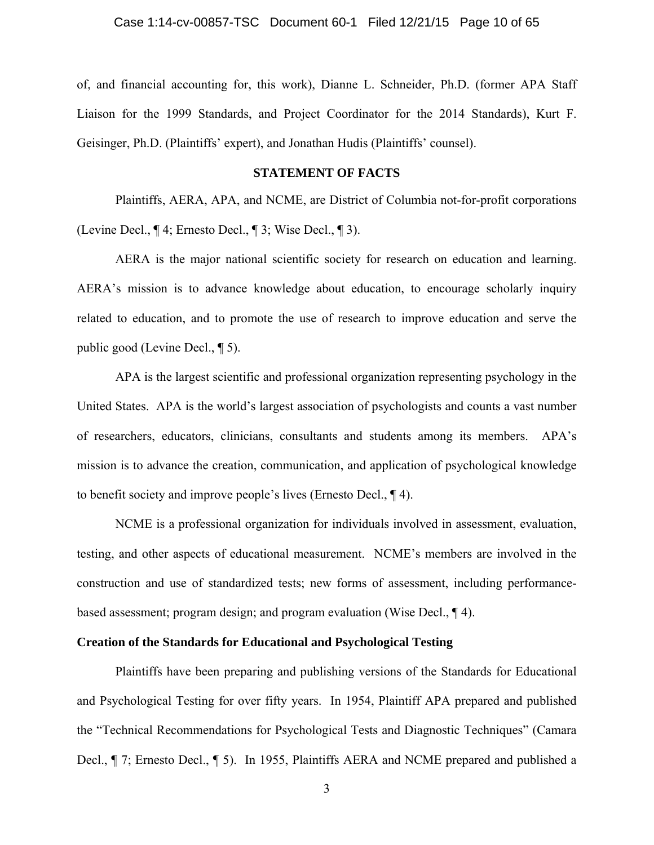of, and financial accounting for, this work), Dianne L. Schneider, Ph.D. (former APA Staff Liaison for the 1999 Standards, and Project Coordinator for the 2014 Standards), Kurt F. Geisinger, Ph.D. (Plaintiffs' expert), and Jonathan Hudis (Plaintiffs' counsel).

## **STATEMENT OF FACTS**

Plaintiffs, AERA, APA, and NCME, are District of Columbia not-for-profit corporations (Levine Decl., ¶ 4; Ernesto Decl., ¶ 3; Wise Decl., ¶ 3).

AERA is the major national scientific society for research on education and learning. AERA's mission is to advance knowledge about education, to encourage scholarly inquiry related to education, and to promote the use of research to improve education and serve the public good (Levine Decl., ¶ 5).

APA is the largest scientific and professional organization representing psychology in the United States. APA is the world's largest association of psychologists and counts a vast number of researchers, educators, clinicians, consultants and students among its members. APA's mission is to advance the creation, communication, and application of psychological knowledge to benefit society and improve people's lives (Ernesto Decl., ¶ 4).

NCME is a professional organization for individuals involved in assessment, evaluation, testing, and other aspects of educational measurement. NCME's members are involved in the construction and use of standardized tests; new forms of assessment, including performancebased assessment; program design; and program evaluation (Wise Decl., ¶ 4).

## **Creation of the Standards for Educational and Psychological Testing**

Plaintiffs have been preparing and publishing versions of the Standards for Educational and Psychological Testing for over fifty years. In 1954, Plaintiff APA prepared and published the "Technical Recommendations for Psychological Tests and Diagnostic Techniques" (Camara Decl., ¶ 7; Ernesto Decl., ¶ 5). In 1955, Plaintiffs AERA and NCME prepared and published a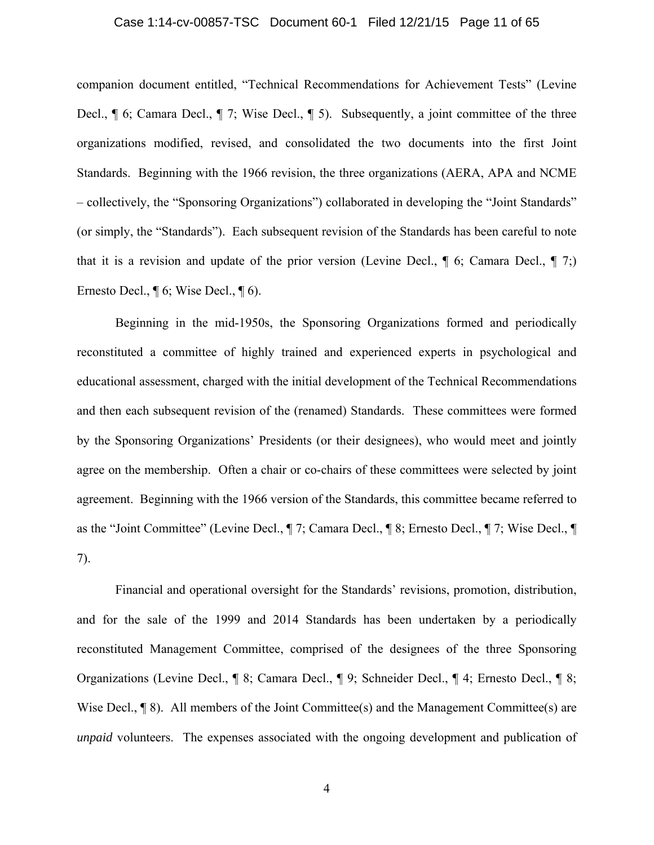## Case 1:14-cv-00857-TSC Document 60-1 Filed 12/21/15 Page 11 of 65

companion document entitled, "Technical Recommendations for Achievement Tests" (Levine Decl., ¶ 6; Camara Decl., ¶ 7; Wise Decl., ¶ 5). Subsequently, a joint committee of the three organizations modified, revised, and consolidated the two documents into the first Joint Standards. Beginning with the 1966 revision, the three organizations (AERA, APA and NCME – collectively, the "Sponsoring Organizations") collaborated in developing the "Joint Standards" (or simply, the "Standards"). Each subsequent revision of the Standards has been careful to note that it is a revision and update of the prior version (Levine Decl.,  $\P$  6; Camara Decl.,  $\P$  7;) Ernesto Decl., ¶ 6; Wise Decl., ¶ 6).

Beginning in the mid-1950s, the Sponsoring Organizations formed and periodically reconstituted a committee of highly trained and experienced experts in psychological and educational assessment, charged with the initial development of the Technical Recommendations and then each subsequent revision of the (renamed) Standards. These committees were formed by the Sponsoring Organizations' Presidents (or their designees), who would meet and jointly agree on the membership. Often a chair or co-chairs of these committees were selected by joint agreement. Beginning with the 1966 version of the Standards, this committee became referred to as the "Joint Committee" (Levine Decl., ¶ 7; Camara Decl., ¶ 8; Ernesto Decl., ¶ 7; Wise Decl., ¶ 7).

Financial and operational oversight for the Standards' revisions, promotion, distribution, and for the sale of the 1999 and 2014 Standards has been undertaken by a periodically reconstituted Management Committee, comprised of the designees of the three Sponsoring Organizations (Levine Decl., ¶ 8; Camara Decl., ¶ 9; Schneider Decl., ¶ 4; Ernesto Decl., ¶ 8; Wise Decl.,  $\P$ 8). All members of the Joint Committee(s) and the Management Committee(s) are *unpaid* volunteers. The expenses associated with the ongoing development and publication of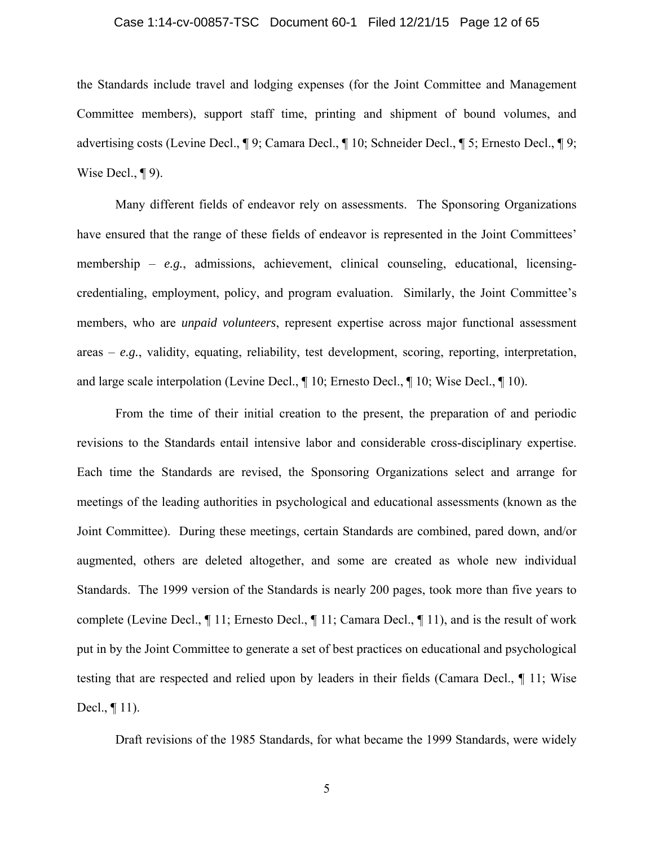## Case 1:14-cv-00857-TSC Document 60-1 Filed 12/21/15 Page 12 of 65

the Standards include travel and lodging expenses (for the Joint Committee and Management Committee members), support staff time, printing and shipment of bound volumes, and advertising costs (Levine Decl., ¶ 9; Camara Decl., ¶ 10; Schneider Decl., ¶ 5; Ernesto Decl., ¶ 9; Wise Decl.,  $\P$ 9).

Many different fields of endeavor rely on assessments. The Sponsoring Organizations have ensured that the range of these fields of endeavor is represented in the Joint Committees' membership – *e.g.*, admissions, achievement, clinical counseling, educational, licensingcredentialing, employment, policy, and program evaluation. Similarly, the Joint Committee's members, who are *unpaid volunteers*, represent expertise across major functional assessment areas – *e.g.*, validity, equating, reliability, test development, scoring, reporting, interpretation, and large scale interpolation (Levine Decl., ¶ 10; Ernesto Decl., ¶ 10; Wise Decl., ¶ 10).

From the time of their initial creation to the present, the preparation of and periodic revisions to the Standards entail intensive labor and considerable cross-disciplinary expertise. Each time the Standards are revised, the Sponsoring Organizations select and arrange for meetings of the leading authorities in psychological and educational assessments (known as the Joint Committee). During these meetings, certain Standards are combined, pared down, and/or augmented, others are deleted altogether, and some are created as whole new individual Standards. The 1999 version of the Standards is nearly 200 pages, took more than five years to complete (Levine Decl., ¶ 11; Ernesto Decl., ¶ 11; Camara Decl., ¶ 11), and is the result of work put in by the Joint Committee to generate a set of best practices on educational and psychological testing that are respected and relied upon by leaders in their fields (Camara Decl., ¶ 11; Wise Decl., ¶ 11).

Draft revisions of the 1985 Standards, for what became the 1999 Standards, were widely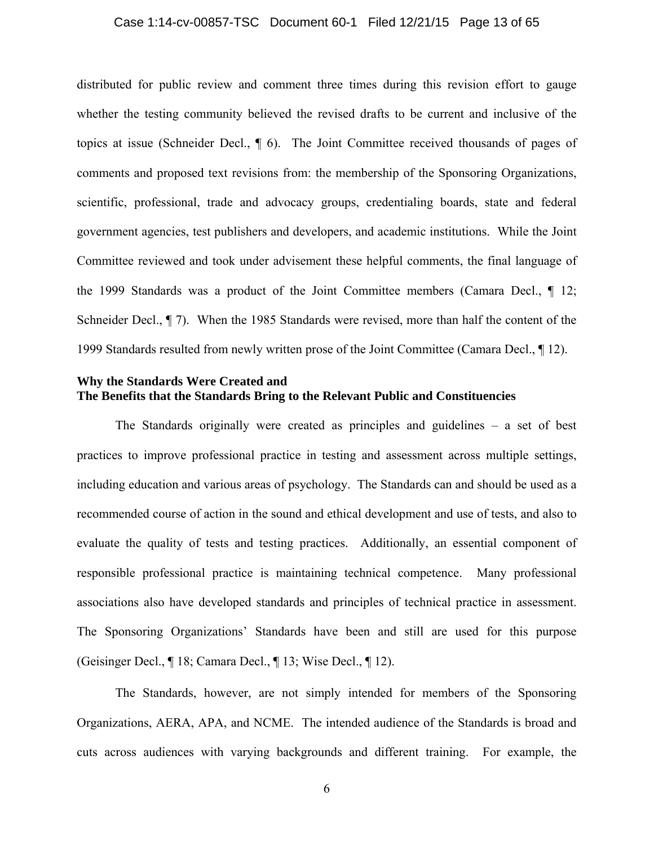#### Case 1:14-cv-00857-TSC Document 60-1 Filed 12/21/15 Page 13 of 65

distributed for public review and comment three times during this revision effort to gauge whether the testing community believed the revised drafts to be current and inclusive of the topics at issue (Schneider Decl., ¶ 6). The Joint Committee received thousands of pages of comments and proposed text revisions from: the membership of the Sponsoring Organizations, scientific, professional, trade and advocacy groups, credentialing boards, state and federal government agencies, test publishers and developers, and academic institutions. While the Joint Committee reviewed and took under advisement these helpful comments, the final language of the 1999 Standards was a product of the Joint Committee members (Camara Decl., ¶ 12; Schneider Decl., ¶ 7). When the 1985 Standards were revised, more than half the content of the 1999 Standards resulted from newly written prose of the Joint Committee (Camara Decl., ¶ 12).

## **Why the Standards Were Created and The Benefits that the Standards Bring to the Relevant Public and Constituencies**

The Standards originally were created as principles and guidelines – a set of best practices to improve professional practice in testing and assessment across multiple settings, including education and various areas of psychology. The Standards can and should be used as a recommended course of action in the sound and ethical development and use of tests, and also to evaluate the quality of tests and testing practices. Additionally, an essential component of responsible professional practice is maintaining technical competence. Many professional associations also have developed standards and principles of technical practice in assessment. The Sponsoring Organizations' Standards have been and still are used for this purpose (Geisinger Decl., ¶ 18; Camara Decl., ¶ 13; Wise Decl., ¶ 12).

The Standards, however, are not simply intended for members of the Sponsoring Organizations, AERA, APA, and NCME. The intended audience of the Standards is broad and cuts across audiences with varying backgrounds and different training. For example, the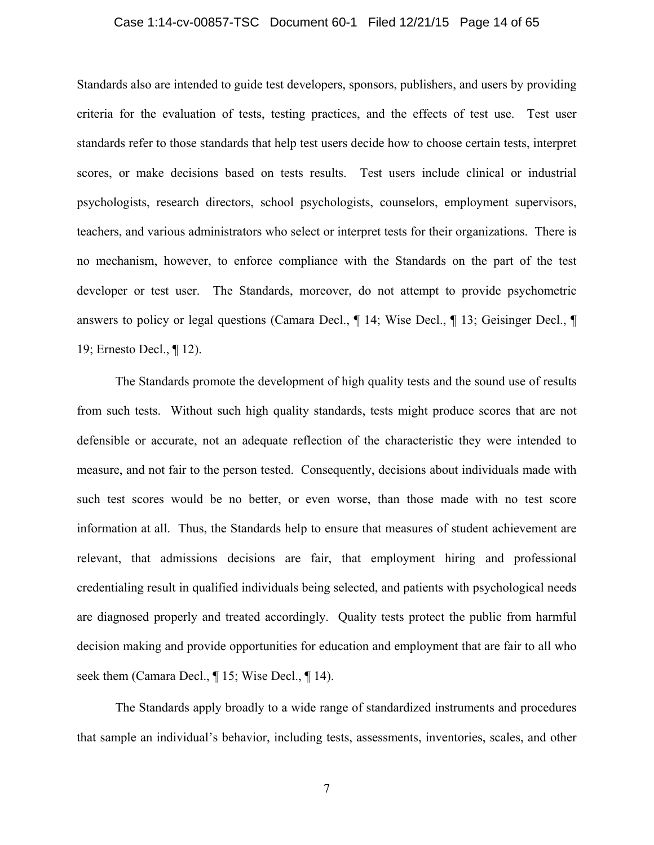## Case 1:14-cv-00857-TSC Document 60-1 Filed 12/21/15 Page 14 of 65

Standards also are intended to guide test developers, sponsors, publishers, and users by providing criteria for the evaluation of tests, testing practices, and the effects of test use. Test user standards refer to those standards that help test users decide how to choose certain tests, interpret scores, or make decisions based on tests results. Test users include clinical or industrial psychologists, research directors, school psychologists, counselors, employment supervisors, teachers, and various administrators who select or interpret tests for their organizations. There is no mechanism, however, to enforce compliance with the Standards on the part of the test developer or test user. The Standards, moreover, do not attempt to provide psychometric answers to policy or legal questions (Camara Decl., ¶ 14; Wise Decl., ¶ 13; Geisinger Decl., ¶ 19; Ernesto Decl., ¶ 12).

The Standards promote the development of high quality tests and the sound use of results from such tests. Without such high quality standards, tests might produce scores that are not defensible or accurate, not an adequate reflection of the characteristic they were intended to measure, and not fair to the person tested. Consequently, decisions about individuals made with such test scores would be no better, or even worse, than those made with no test score information at all. Thus, the Standards help to ensure that measures of student achievement are relevant, that admissions decisions are fair, that employment hiring and professional credentialing result in qualified individuals being selected, and patients with psychological needs are diagnosed properly and treated accordingly. Quality tests protect the public from harmful decision making and provide opportunities for education and employment that are fair to all who seek them (Camara Decl., ¶ 15; Wise Decl., ¶ 14).

The Standards apply broadly to a wide range of standardized instruments and procedures that sample an individual's behavior, including tests, assessments, inventories, scales, and other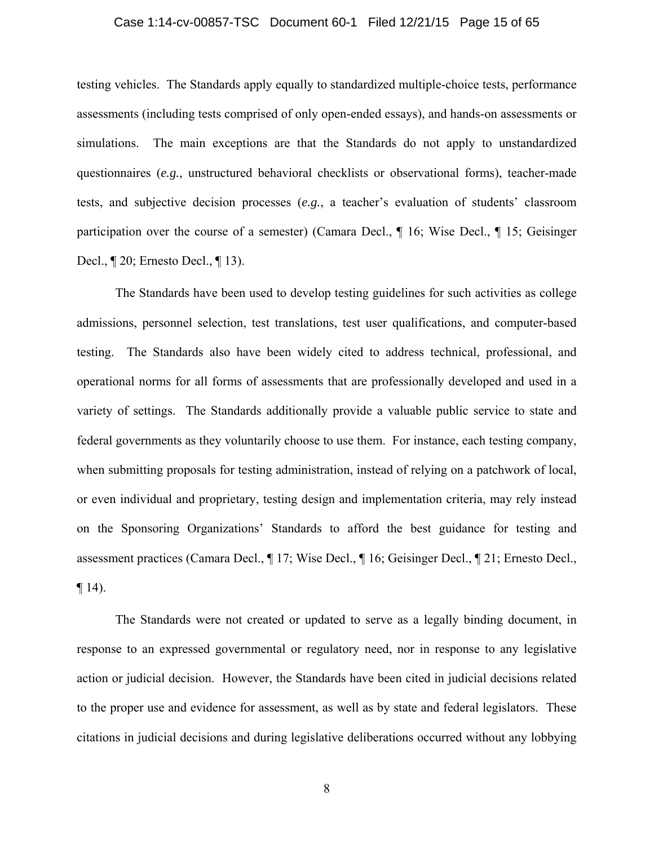## Case 1:14-cv-00857-TSC Document 60-1 Filed 12/21/15 Page 15 of 65

testing vehicles. The Standards apply equally to standardized multiple-choice tests, performance assessments (including tests comprised of only open-ended essays), and hands-on assessments or simulations. The main exceptions are that the Standards do not apply to unstandardized questionnaires (*e.g.*, unstructured behavioral checklists or observational forms), teacher-made tests, and subjective decision processes (*e.g.*, a teacher's evaluation of students' classroom participation over the course of a semester) (Camara Decl., ¶ 16; Wise Decl., ¶ 15; Geisinger Decl., ¶ 20; Ernesto Decl., ¶ 13).

The Standards have been used to develop testing guidelines for such activities as college admissions, personnel selection, test translations, test user qualifications, and computer-based testing. The Standards also have been widely cited to address technical, professional, and operational norms for all forms of assessments that are professionally developed and used in a variety of settings. The Standards additionally provide a valuable public service to state and federal governments as they voluntarily choose to use them. For instance, each testing company, when submitting proposals for testing administration, instead of relying on a patchwork of local, or even individual and proprietary, testing design and implementation criteria, may rely instead on the Sponsoring Organizations' Standards to afford the best guidance for testing and assessment practices (Camara Decl., ¶ 17; Wise Decl., ¶ 16; Geisinger Decl., ¶ 21; Ernesto Decl.,  $\P$  14).

The Standards were not created or updated to serve as a legally binding document, in response to an expressed governmental or regulatory need, nor in response to any legislative action or judicial decision. However, the Standards have been cited in judicial decisions related to the proper use and evidence for assessment, as well as by state and federal legislators. These citations in judicial decisions and during legislative deliberations occurred without any lobbying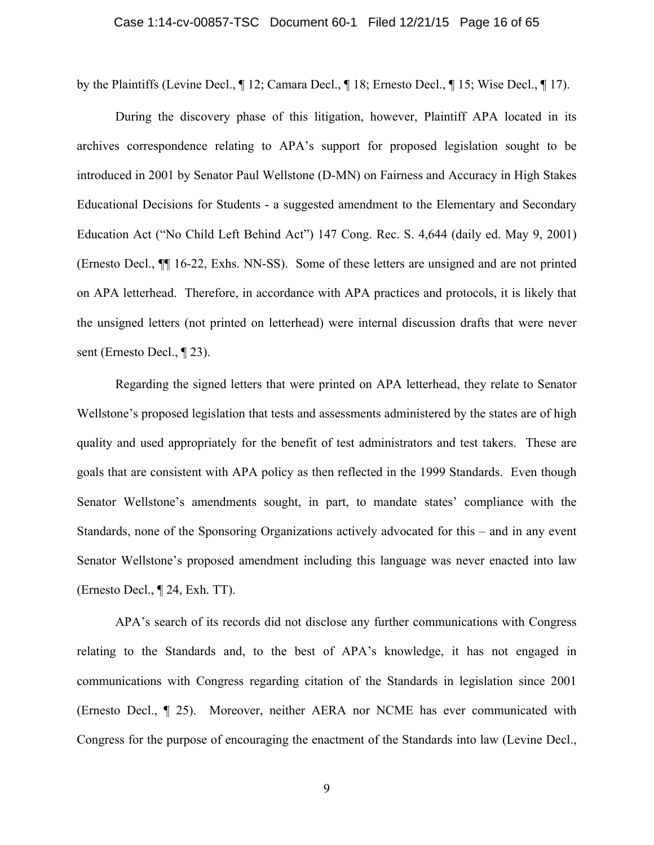by the Plaintiffs (Levine Decl., ¶ 12; Camara Decl., ¶ 18; Ernesto Decl., ¶ 15; Wise Decl., ¶ 17).

During the discovery phase of this litigation, however, Plaintiff APA located in its archives correspondence relating to APA's support for proposed legislation sought to be introduced in 2001 by Senator Paul Wellstone (D-MN) on Fairness and Accuracy in High Stakes Educational Decisions for Students - a suggested amendment to the Elementary and Secondary Education Act ("No Child Left Behind Act") 147 Cong. Rec. S. 4,644 (daily ed. May 9, 2001) (Ernesto Decl., ¶¶ 16-22, Exhs. NN-SS). Some of these letters are unsigned and are not printed on APA letterhead. Therefore, in accordance with APA practices and protocols, it is likely that the unsigned letters (not printed on letterhead) were internal discussion drafts that were never sent (Ernesto Decl., ¶ 23).

Regarding the signed letters that were printed on APA letterhead, they relate to Senator Wellstone's proposed legislation that tests and assessments administered by the states are of high quality and used appropriately for the benefit of test administrators and test takers. These are goals that are consistent with APA policy as then reflected in the 1999 Standards. Even though Senator Wellstone's amendments sought, in part, to mandate states' compliance with the Standards, none of the Sponsoring Organizations actively advocated for this – and in any event Senator Wellstone's proposed amendment including this language was never enacted into law (Ernesto Decl., ¶ 24, Exh. TT).

APA's search of its records did not disclose any further communications with Congress relating to the Standards and, to the best of APA's knowledge, it has not engaged in communications with Congress regarding citation of the Standards in legislation since 2001 (Ernesto Decl., ¶ 25). Moreover, neither AERA nor NCME has ever communicated with Congress for the purpose of encouraging the enactment of the Standards into law (Levine Decl.,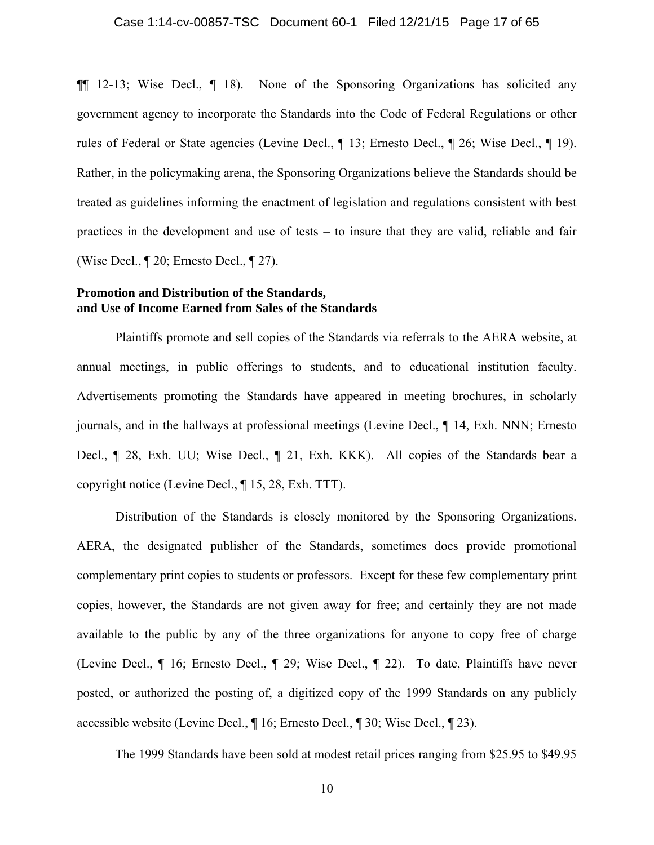¶¶ 12-13; Wise Decl., ¶ 18). None of the Sponsoring Organizations has solicited any government agency to incorporate the Standards into the Code of Federal Regulations or other rules of Federal or State agencies (Levine Decl., ¶ 13; Ernesto Decl., ¶ 26; Wise Decl., ¶ 19). Rather, in the policymaking arena, the Sponsoring Organizations believe the Standards should be treated as guidelines informing the enactment of legislation and regulations consistent with best practices in the development and use of tests – to insure that they are valid, reliable and fair (Wise Decl., ¶ 20; Ernesto Decl., ¶ 27).

## **Promotion and Distribution of the Standards, and Use of Income Earned from Sales of the Standards**

Plaintiffs promote and sell copies of the Standards via referrals to the AERA website, at annual meetings, in public offerings to students, and to educational institution faculty. Advertisements promoting the Standards have appeared in meeting brochures, in scholarly journals, and in the hallways at professional meetings (Levine Decl., ¶ 14, Exh. NNN; Ernesto Decl., ¶ 28, Exh. UU; Wise Decl., ¶ 21, Exh. KKK). All copies of the Standards bear a copyright notice (Levine Decl., ¶ 15, 28, Exh. TTT).

Distribution of the Standards is closely monitored by the Sponsoring Organizations. AERA, the designated publisher of the Standards, sometimes does provide promotional complementary print copies to students or professors. Except for these few complementary print copies, however, the Standards are not given away for free; and certainly they are not made available to the public by any of the three organizations for anyone to copy free of charge (Levine Decl., ¶ 16; Ernesto Decl., ¶ 29; Wise Decl., ¶ 22). To date, Plaintiffs have never posted, or authorized the posting of, a digitized copy of the 1999 Standards on any publicly accessible website (Levine Decl., ¶ 16; Ernesto Decl., ¶ 30; Wise Decl., ¶ 23).

The 1999 Standards have been sold at modest retail prices ranging from \$25.95 to \$49.95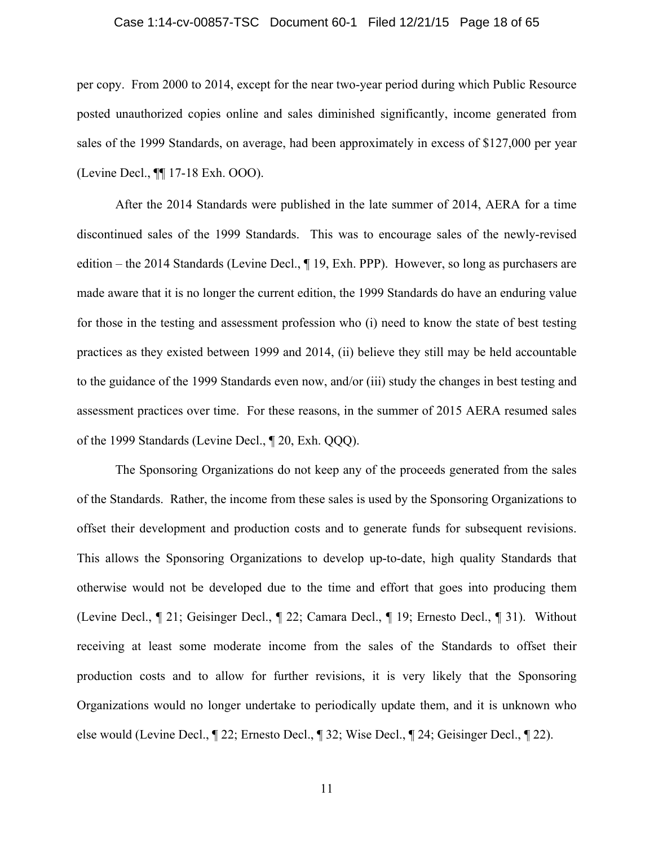## Case 1:14-cv-00857-TSC Document 60-1 Filed 12/21/15 Page 18 of 65

per copy. From 2000 to 2014, except for the near two-year period during which Public Resource posted unauthorized copies online and sales diminished significantly, income generated from sales of the 1999 Standards, on average, had been approximately in excess of \$127,000 per year (Levine Decl., ¶¶ 17-18 Exh. OOO).

After the 2014 Standards were published in the late summer of 2014, AERA for a time discontinued sales of the 1999 Standards. This was to encourage sales of the newly-revised edition – the 2014 Standards (Levine Decl., ¶ 19, Exh. PPP). However, so long as purchasers are made aware that it is no longer the current edition, the 1999 Standards do have an enduring value for those in the testing and assessment profession who (i) need to know the state of best testing practices as they existed between 1999 and 2014, (ii) believe they still may be held accountable to the guidance of the 1999 Standards even now, and/or (iii) study the changes in best testing and assessment practices over time. For these reasons, in the summer of 2015 AERA resumed sales of the 1999 Standards (Levine Decl., ¶ 20, Exh. QQQ).

The Sponsoring Organizations do not keep any of the proceeds generated from the sales of the Standards. Rather, the income from these sales is used by the Sponsoring Organizations to offset their development and production costs and to generate funds for subsequent revisions. This allows the Sponsoring Organizations to develop up-to-date, high quality Standards that otherwise would not be developed due to the time and effort that goes into producing them (Levine Decl., ¶ 21; Geisinger Decl., ¶ 22; Camara Decl., ¶ 19; Ernesto Decl., ¶ 31). Without receiving at least some moderate income from the sales of the Standards to offset their production costs and to allow for further revisions, it is very likely that the Sponsoring Organizations would no longer undertake to periodically update them, and it is unknown who else would (Levine Decl., ¶ 22; Ernesto Decl., ¶ 32; Wise Decl., ¶ 24; Geisinger Decl., ¶ 22).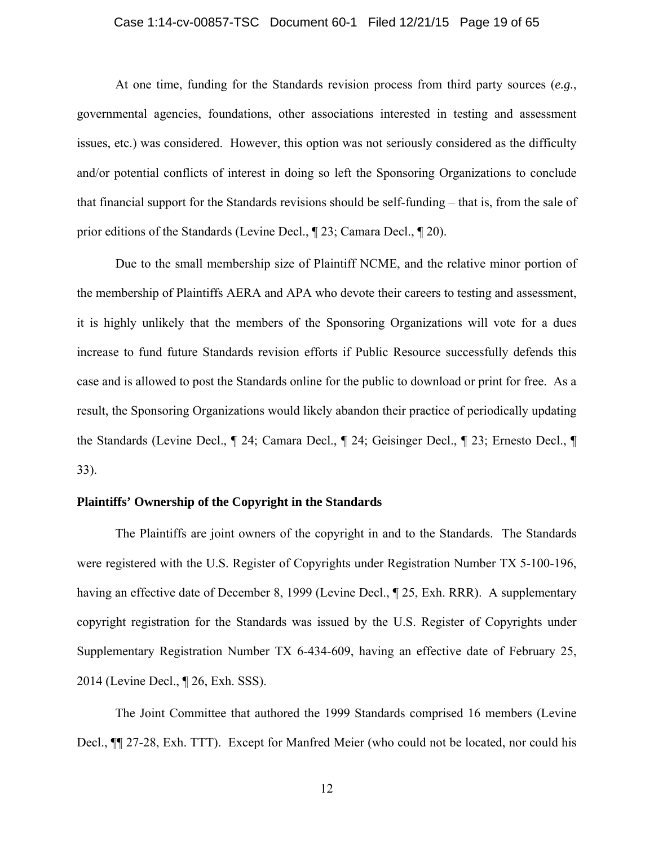## Case 1:14-cv-00857-TSC Document 60-1 Filed 12/21/15 Page 19 of 65

At one time, funding for the Standards revision process from third party sources (*e.g.*, governmental agencies, foundations, other associations interested in testing and assessment issues, etc.) was considered. However, this option was not seriously considered as the difficulty and/or potential conflicts of interest in doing so left the Sponsoring Organizations to conclude that financial support for the Standards revisions should be self-funding – that is, from the sale of prior editions of the Standards (Levine Decl., ¶ 23; Camara Decl., ¶ 20).

Due to the small membership size of Plaintiff NCME, and the relative minor portion of the membership of Plaintiffs AERA and APA who devote their careers to testing and assessment, it is highly unlikely that the members of the Sponsoring Organizations will vote for a dues increase to fund future Standards revision efforts if Public Resource successfully defends this case and is allowed to post the Standards online for the public to download or print for free. As a result, the Sponsoring Organizations would likely abandon their practice of periodically updating the Standards (Levine Decl., ¶ 24; Camara Decl., ¶ 24; Geisinger Decl., ¶ 23; Ernesto Decl., ¶ 33).

## **Plaintiffs' Ownership of the Copyright in the Standards**

The Plaintiffs are joint owners of the copyright in and to the Standards. The Standards were registered with the U.S. Register of Copyrights under Registration Number TX 5-100-196, having an effective date of December 8, 1999 (Levine Decl., ¶ 25, Exh. RRR). A supplementary copyright registration for the Standards was issued by the U.S. Register of Copyrights under Supplementary Registration Number TX 6-434-609, having an effective date of February 25, 2014 (Levine Decl., ¶ 26, Exh. SSS).

The Joint Committee that authored the 1999 Standards comprised 16 members (Levine Decl., ¶¶ 27-28, Exh. TTT). Except for Manfred Meier (who could not be located, nor could his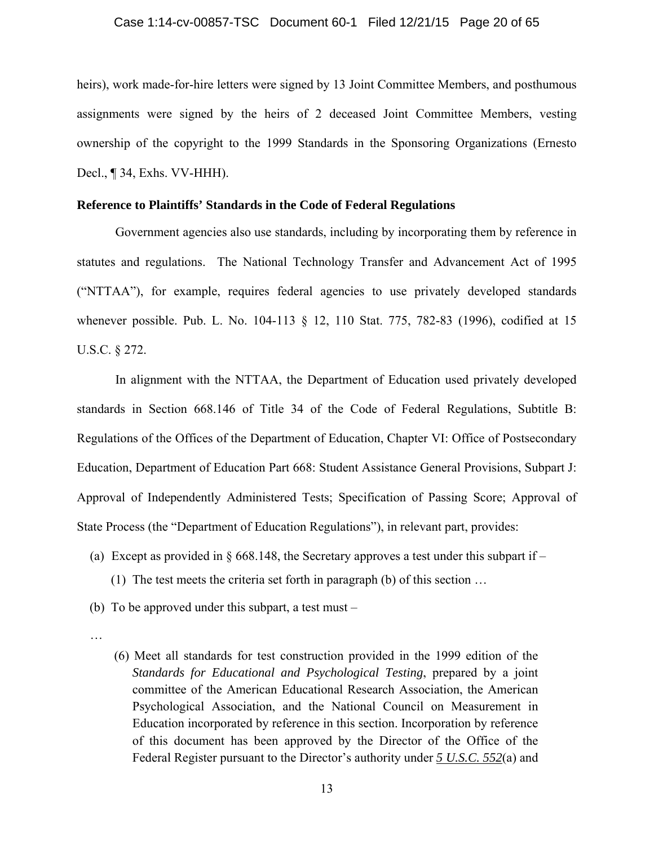#### Case 1:14-cv-00857-TSC Document 60-1 Filed 12/21/15 Page 20 of 65

heirs), work made-for-hire letters were signed by 13 Joint Committee Members, and posthumous assignments were signed by the heirs of 2 deceased Joint Committee Members, vesting ownership of the copyright to the 1999 Standards in the Sponsoring Organizations (Ernesto Decl., ¶ 34, Exhs. VV-HHH).

## **Reference to Plaintiffs' Standards in the Code of Federal Regulations**

Government agencies also use standards, including by incorporating them by reference in statutes and regulations. The National Technology Transfer and Advancement Act of 1995 ("NTTAA"), for example, requires federal agencies to use privately developed standards whenever possible. Pub. L. No. 104-113 § 12, 110 Stat. 775, 782-83 (1996), codified at 15 U.S.C. § 272.

In alignment with the NTTAA, the Department of Education used privately developed standards in Section 668.146 of Title 34 of the Code of Federal Regulations, Subtitle B: Regulations of the Offices of the Department of Education, Chapter VI: Office of Postsecondary Education, Department of Education Part 668: Student Assistance General Provisions, Subpart J: Approval of Independently Administered Tests; Specification of Passing Score; Approval of State Process (the "Department of Education Regulations"), in relevant part, provides:

- (a) Except as provided in  $\S 668.148$ , the Secretary approves a test under this subpart if (1) The test meets the criteria set forth in paragraph (b) of this section …
- (b) To be approved under this subpart, a test must –
- …
- (6) Meet all standards for test construction provided in the 1999 edition of the *Standards for Educational and Psychological Testing*, prepared by a joint committee of the American Educational Research Association, the American Psychological Association, and the National Council on Measurement in Education incorporated by reference in this section. Incorporation by reference of this document has been approved by the Director of the Office of the Federal Register pursuant to the Director's authority under *5 U.S.C. 552*(a) and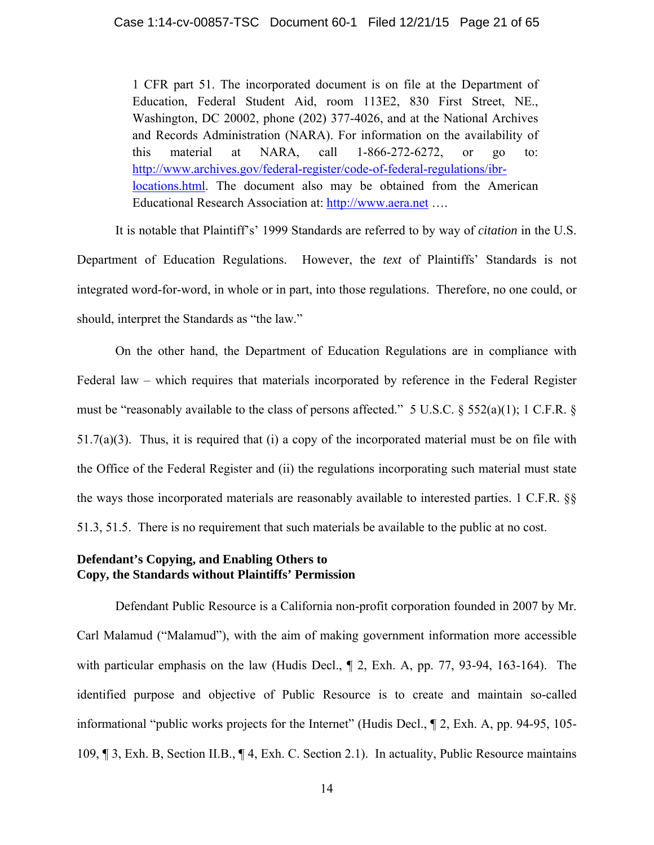1 CFR part 51. The incorporated document is on file at the Department of Education, Federal Student Aid, room 113E2, 830 First Street, NE., Washington, DC 20002, phone (202) 377-4026, and at the National Archives and Records Administration (NARA). For information on the availability of this material at NARA, call 1-866-272-6272, or go to: http://www.archives.gov/federal-register/code-of-federal-regulations/ibrlocations.html. The document also may be obtained from the American Educational Research Association at: http://www.aera.net ….

 It is notable that Plaintiff's' 1999 Standards are referred to by way of *citation* in the U.S. Department of Education Regulations. However, the *text* of Plaintiffs' Standards is not integrated word-for-word, in whole or in part, into those regulations. Therefore, no one could, or should, interpret the Standards as "the law."

On the other hand, the Department of Education Regulations are in compliance with Federal law – which requires that materials incorporated by reference in the Federal Register must be "reasonably available to the class of persons affected." 5 U.S.C. § 552(a)(1); 1 C.F.R. § 51.7(a)(3). Thus, it is required that (i) a copy of the incorporated material must be on file with the Office of the Federal Register and (ii) the regulations incorporating such material must state the ways those incorporated materials are reasonably available to interested parties. 1 C.F.R. §§ 51.3, 51.5. There is no requirement that such materials be available to the public at no cost.

## **Defendant's Copying, and Enabling Others to Copy, the Standards without Plaintiffs' Permission**

Defendant Public Resource is a California non-profit corporation founded in 2007 by Mr. Carl Malamud ("Malamud"), with the aim of making government information more accessible with particular emphasis on the law (Hudis Decl.,  $\parallel$  2, Exh. A, pp. 77, 93-94, 163-164). The identified purpose and objective of Public Resource is to create and maintain so-called informational "public works projects for the Internet" (Hudis Decl., ¶ 2, Exh. A, pp. 94-95, 105- 109, ¶ 3, Exh. B, Section II.B., ¶ 4, Exh. C. Section 2.1). In actuality, Public Resource maintains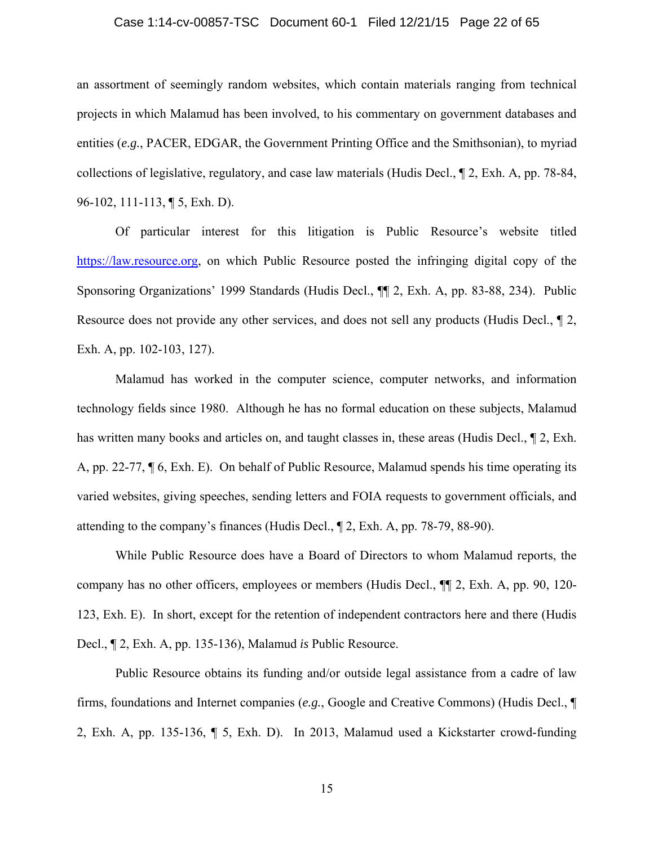## Case 1:14-cv-00857-TSC Document 60-1 Filed 12/21/15 Page 22 of 65

an assortment of seemingly random websites, which contain materials ranging from technical projects in which Malamud has been involved, to his commentary on government databases and entities (*e.g.*, PACER, EDGAR, the Government Printing Office and the Smithsonian), to myriad collections of legislative, regulatory, and case law materials (Hudis Decl., ¶ 2, Exh. A, pp. 78-84, 96-102, 111-113, ¶ 5, Exh. D).

Of particular interest for this litigation is Public Resource's website titled https://law.resource.org, on which Public Resource posted the infringing digital copy of the Sponsoring Organizations' 1999 Standards (Hudis Decl., ¶¶ 2, Exh. A, pp. 83-88, 234). Public Resource does not provide any other services, and does not sell any products (Hudis Decl., ¶ 2, Exh. A, pp. 102-103, 127).

Malamud has worked in the computer science, computer networks, and information technology fields since 1980. Although he has no formal education on these subjects, Malamud has written many books and articles on, and taught classes in, these areas (Hudis Decl.,  $\P$  2, Exh. A, pp. 22-77, ¶ 6, Exh. E). On behalf of Public Resource, Malamud spends his time operating its varied websites, giving speeches, sending letters and FOIA requests to government officials, and attending to the company's finances (Hudis Decl., ¶ 2, Exh. A, pp. 78-79, 88-90).

While Public Resource does have a Board of Directors to whom Malamud reports, the company has no other officers, employees or members (Hudis Decl., ¶¶ 2, Exh. A, pp. 90, 120- 123, Exh. E). In short, except for the retention of independent contractors here and there (Hudis Decl., ¶ 2, Exh. A, pp. 135-136), Malamud *is* Public Resource.

Public Resource obtains its funding and/or outside legal assistance from a cadre of law firms, foundations and Internet companies (*e.g.*, Google and Creative Commons) (Hudis Decl., ¶ 2, Exh. A, pp. 135-136, ¶ 5, Exh. D). In 2013, Malamud used a Kickstarter crowd-funding

15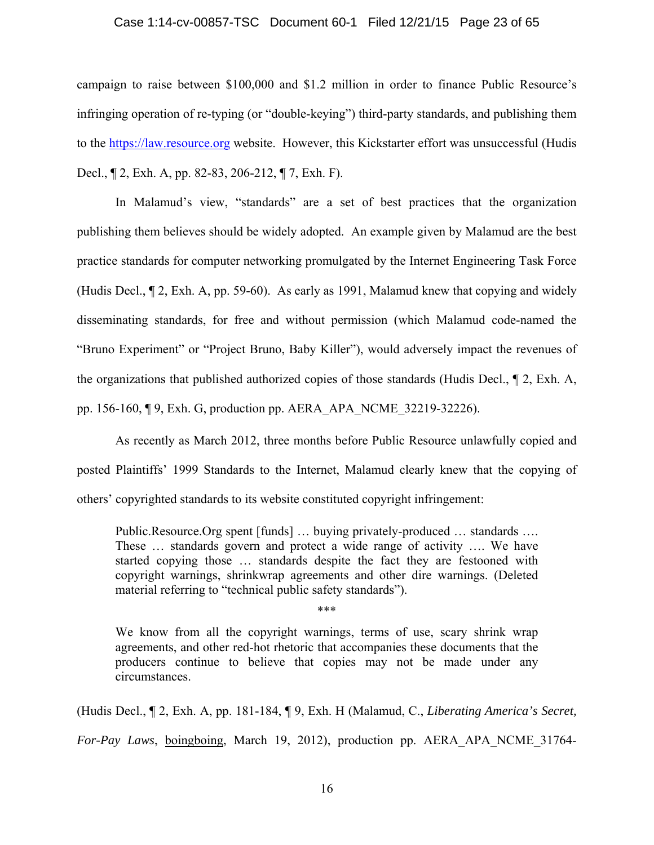#### Case 1:14-cv-00857-TSC Document 60-1 Filed 12/21/15 Page 23 of 65

campaign to raise between \$100,000 and \$1.2 million in order to finance Public Resource's infringing operation of re-typing (or "double-keying") third-party standards, and publishing them to the https://law.resource.org website. However, this Kickstarter effort was unsuccessful (Hudis Decl., ¶ 2, Exh. A, pp. 82-83, 206-212, ¶ 7, Exh. F).

In Malamud's view, "standards" are a set of best practices that the organization publishing them believes should be widely adopted. An example given by Malamud are the best practice standards for computer networking promulgated by the Internet Engineering Task Force (Hudis Decl., ¶ 2, Exh. A, pp. 59-60). As early as 1991, Malamud knew that copying and widely disseminating standards, for free and without permission (which Malamud code-named the "Bruno Experiment" or "Project Bruno, Baby Killer"), would adversely impact the revenues of the organizations that published authorized copies of those standards (Hudis Decl., ¶ 2, Exh. A, pp. 156-160, ¶ 9, Exh. G, production pp. AERA\_APA\_NCME\_32219-32226).

As recently as March 2012, three months before Public Resource unlawfully copied and posted Plaintiffs' 1999 Standards to the Internet, Malamud clearly knew that the copying of others' copyrighted standards to its website constituted copyright infringement:

Public.Resource.Org spent [funds] … buying privately-produced … standards …. These … standards govern and protect a wide range of activity …. We have started copying those … standards despite the fact they are festooned with copyright warnings, shrinkwrap agreements and other dire warnings. (Deleted material referring to "technical public safety standards").

\*\*\*

We know from all the copyright warnings, terms of use, scary shrink wrap agreements, and other red-hot rhetoric that accompanies these documents that the producers continue to believe that copies may not be made under any circumstances.

(Hudis Decl., ¶ 2, Exh. A, pp. 181-184, ¶ 9, Exh. H (Malamud, C., *Liberating America's Secret, For-Pay Laws*, boingboing, March 19, 2012), production pp. AERA\_APA\_NCME\_31764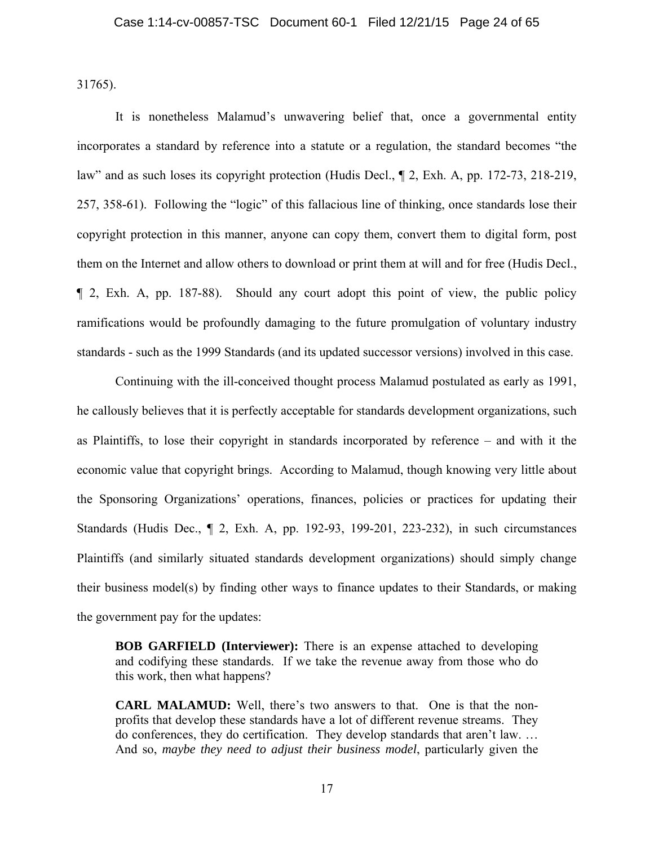31765).

It is nonetheless Malamud's unwavering belief that, once a governmental entity incorporates a standard by reference into a statute or a regulation, the standard becomes "the law" and as such loses its copyright protection (Hudis Decl., ¶ 2, Exh. A, pp. 172-73, 218-219, 257, 358-61). Following the "logic" of this fallacious line of thinking, once standards lose their copyright protection in this manner, anyone can copy them, convert them to digital form, post them on the Internet and allow others to download or print them at will and for free (Hudis Decl., ¶ 2, Exh. A, pp. 187-88). Should any court adopt this point of view, the public policy ramifications would be profoundly damaging to the future promulgation of voluntary industry standards - such as the 1999 Standards (and its updated successor versions) involved in this case.

Continuing with the ill-conceived thought process Malamud postulated as early as 1991, he callously believes that it is perfectly acceptable for standards development organizations, such as Plaintiffs, to lose their copyright in standards incorporated by reference – and with it the economic value that copyright brings. According to Malamud, though knowing very little about the Sponsoring Organizations' operations, finances, policies or practices for updating their Standards (Hudis Dec., ¶ 2, Exh. A, pp. 192-93, 199-201, 223-232), in such circumstances Plaintiffs (and similarly situated standards development organizations) should simply change their business model(s) by finding other ways to finance updates to their Standards, or making the government pay for the updates:

**BOB GARFIELD (Interviewer):** There is an expense attached to developing and codifying these standards. If we take the revenue away from those who do this work, then what happens?

**CARL MALAMUD:** Well, there's two answers to that. One is that the nonprofits that develop these standards have a lot of different revenue streams. They do conferences, they do certification. They develop standards that aren't law. … And so, *maybe they need to adjust their business model*, particularly given the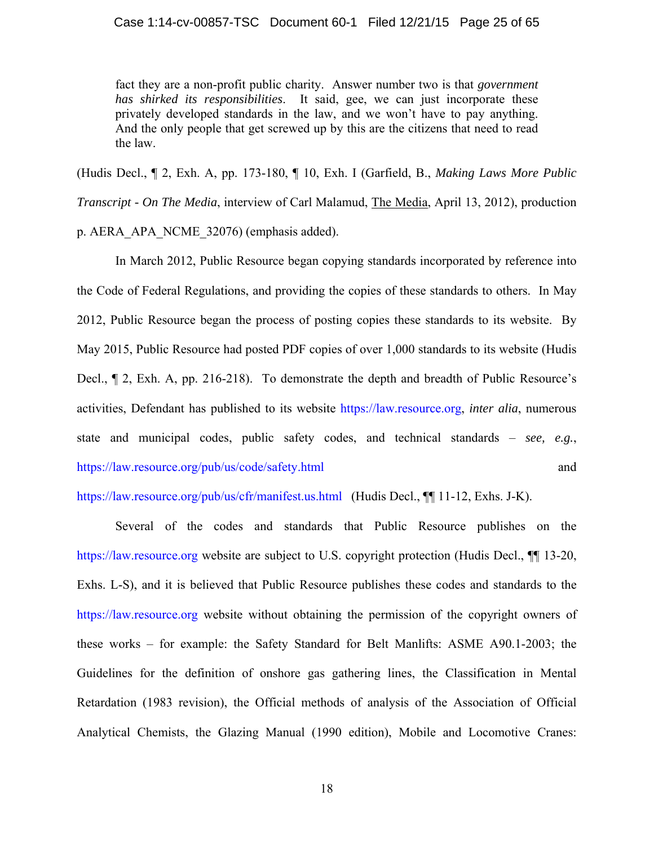fact they are a non-profit public charity. Answer number two is that *government has shirked its responsibilities*. It said, gee, we can just incorporate these privately developed standards in the law, and we won't have to pay anything. And the only people that get screwed up by this are the citizens that need to read the law.

(Hudis Decl., ¶ 2, Exh. A, pp. 173-180, ¶ 10, Exh. I (Garfield, B., *Making Laws More Public Transcript - On The Media*, interview of Carl Malamud, The Media, April 13, 2012), production p. AERA\_APA\_NCME\_32076) (emphasis added).

 In March 2012, Public Resource began copying standards incorporated by reference into the Code of Federal Regulations, and providing the copies of these standards to others. In May 2012, Public Resource began the process of posting copies these standards to its website. By May 2015, Public Resource had posted PDF copies of over 1,000 standards to its website (Hudis Decl., ¶ 2, Exh. A, pp. 216-218). To demonstrate the depth and breadth of Public Resource's activities, Defendant has published to its website https://law.resource.org, *inter alia*, numerous state and municipal codes, public safety codes, and technical standards – *see, e.g.*, https://law.resource.org/pub/us/code/safety.html and

https://law.resource.org/pub/us/cfr/manifest.us.html (Hudis Decl., ¶¶ 11-12, Exhs. J-K).

Several of the codes and standards that Public Resource publishes on the https://law.resource.org website are subject to U.S. copyright protection (Hudis Decl.,  $\P$  13-20, Exhs. L-S), and it is believed that Public Resource publishes these codes and standards to the https://law.resource.org website without obtaining the permission of the copyright owners of these works – for example: the Safety Standard for Belt Manlifts: ASME A90.1-2003; the Guidelines for the definition of onshore gas gathering lines, the Classification in Mental Retardation (1983 revision), the Official methods of analysis of the Association of Official Analytical Chemists, the Glazing Manual (1990 edition), Mobile and Locomotive Cranes: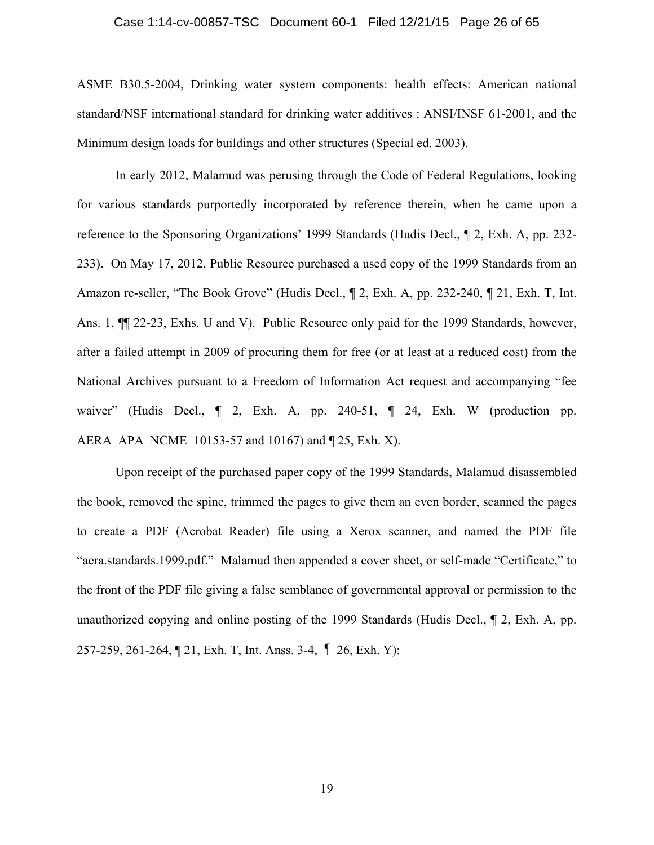## Case 1:14-cv-00857-TSC Document 60-1 Filed 12/21/15 Page 26 of 65

ASME B30.5-2004, Drinking water system components: health effects: American national standard/NSF international standard for drinking water additives : ANSI/INSF 61-2001, and the Minimum design loads for buildings and other structures (Special ed. 2003).

 In early 2012, Malamud was perusing through the Code of Federal Regulations, looking for various standards purportedly incorporated by reference therein, when he came upon a reference to the Sponsoring Organizations' 1999 Standards (Hudis Decl., ¶ 2, Exh. A, pp. 232- 233). On May 17, 2012, Public Resource purchased a used copy of the 1999 Standards from an Amazon re-seller, "The Book Grove" (Hudis Decl.,  $\P$  2, Exh. A, pp. 232-240,  $\P$  21, Exh. T, Int. Ans. 1, ¶¶ 22-23, Exhs. U and V). Public Resource only paid for the 1999 Standards, however, after a failed attempt in 2009 of procuring them for free (or at least at a reduced cost) from the National Archives pursuant to a Freedom of Information Act request and accompanying "fee waiver" (Hudis Decl.,  $\P$  2, Exh. A, pp. 240-51,  $\P$  24, Exh. W (production pp. AERA APA NCME 10153-57 and 10167) and ¶ 25, Exh. X).

Upon receipt of the purchased paper copy of the 1999 Standards, Malamud disassembled the book, removed the spine, trimmed the pages to give them an even border, scanned the pages to create a PDF (Acrobat Reader) file using a Xerox scanner, and named the PDF file "aera.standards.1999.pdf." Malamud then appended a cover sheet, or self-made "Certificate," to the front of the PDF file giving a false semblance of governmental approval or permission to the unauthorized copying and online posting of the 1999 Standards (Hudis Decl., ¶ 2, Exh. A, pp. 257-259, 261-264, ¶ 21, Exh. T, Int. Anss. 3-4, ¶ 26, Exh. Y):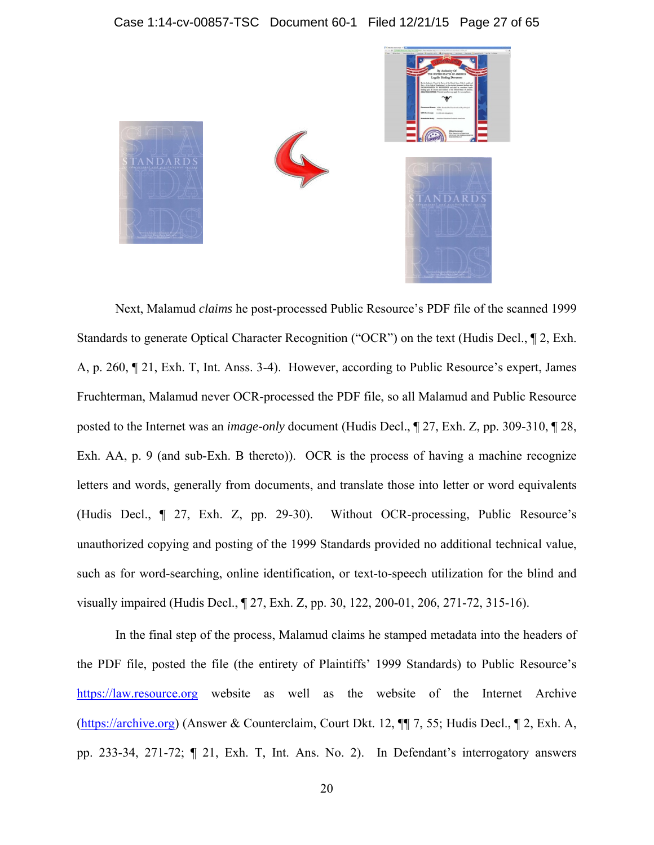

Next, Malamud *claims* he post-processed Public Resource's PDF file of the scanned 1999 Standards to generate Optical Character Recognition ("OCR") on the text (Hudis Decl., ¶ 2, Exh. A, p. 260, ¶ 21, Exh. T, Int. Anss. 3-4). However, according to Public Resource's expert, James Fruchterman, Malamud never OCR-processed the PDF file, so all Malamud and Public Resource posted to the Internet was an *image-only* document (Hudis Decl., ¶ 27, Exh. Z, pp. 309-310, ¶ 28, Exh. AA, p. 9 (and sub-Exh. B thereto)). OCR is the process of having a machine recognize letters and words, generally from documents, and translate those into letter or word equivalents (Hudis Decl., ¶ 27, Exh. Z, pp. 29-30). Without OCR-processing, Public Resource's unauthorized copying and posting of the 1999 Standards provided no additional technical value, such as for word-searching, online identification, or text-to-speech utilization for the blind and visually impaired (Hudis Decl., ¶ 27, Exh. Z, pp. 30, 122, 200-01, 206, 271-72, 315-16).

In the final step of the process, Malamud claims he stamped metadata into the headers of the PDF file, posted the file (the entirety of Plaintiffs' 1999 Standards) to Public Resource's https://law.resource.org website as well as the website of the Internet Archive (https://archive.org) (Answer & Counterclaim, Court Dkt. 12, ¶¶ 7, 55; Hudis Decl., ¶ 2, Exh. A, pp. 233-34, 271-72; ¶ 21, Exh. T, Int. Ans. No. 2). In Defendant's interrogatory answers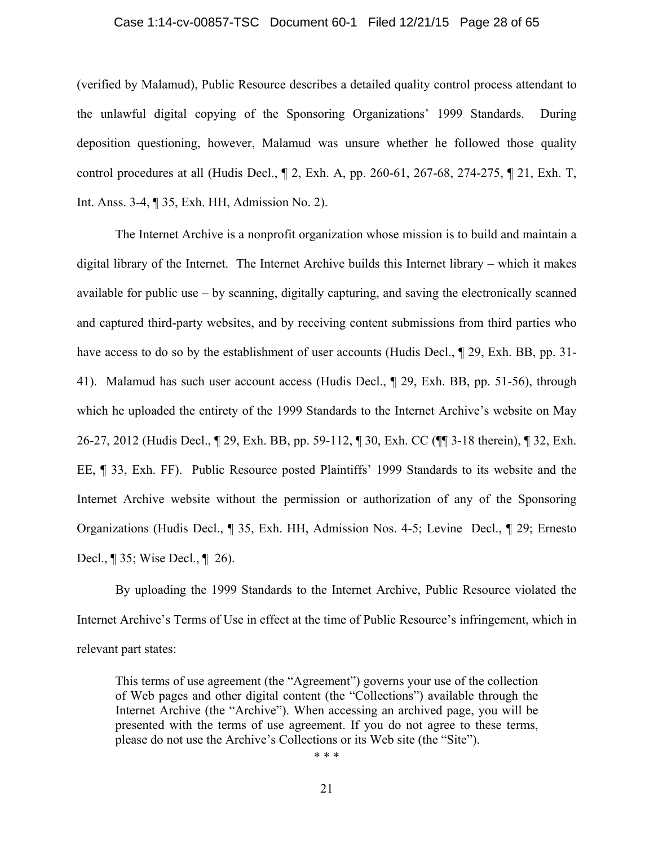#### Case 1:14-cv-00857-TSC Document 60-1 Filed 12/21/15 Page 28 of 65

(verified by Malamud), Public Resource describes a detailed quality control process attendant to the unlawful digital copying of the Sponsoring Organizations' 1999 Standards. During deposition questioning, however, Malamud was unsure whether he followed those quality control procedures at all (Hudis Decl., ¶ 2, Exh. A, pp. 260-61, 267-68, 274-275, ¶ 21, Exh. T, Int. Anss. 3-4, ¶ 35, Exh. HH, Admission No. 2).

The Internet Archive is a nonprofit organization whose mission is to build and maintain a digital library of the Internet. The Internet Archive builds this Internet library – which it makes available for public use – by scanning, digitally capturing, and saving the electronically scanned and captured third-party websites, and by receiving content submissions from third parties who have access to do so by the establishment of user accounts (Hudis Decl.,  $\parallel$  29, Exh. BB, pp. 31-41). Malamud has such user account access (Hudis Decl., ¶ 29, Exh. BB, pp. 51-56), through which he uploaded the entirety of the 1999 Standards to the Internet Archive's website on May 26-27, 2012 (Hudis Decl., ¶ 29, Exh. BB, pp. 59-112, ¶ 30, Exh. CC (¶¶ 3-18 therein), ¶ 32, Exh. EE, ¶ 33, Exh. FF). Public Resource posted Plaintiffs' 1999 Standards to its website and the Internet Archive website without the permission or authorization of any of the Sponsoring Organizations (Hudis Decl., ¶ 35, Exh. HH, Admission Nos. 4-5; Levine Decl., ¶ 29; Ernesto Decl., ¶ 35; Wise Decl., ¶ 26).

By uploading the 1999 Standards to the Internet Archive, Public Resource violated the Internet Archive's Terms of Use in effect at the time of Public Resource's infringement, which in relevant part states:

This terms of use agreement (the "Agreement") governs your use of the collection of Web pages and other digital content (the "Collections") available through the Internet Archive (the "Archive"). When accessing an archived page, you will be presented with the terms of use agreement. If you do not agree to these terms, please do not use the Archive's Collections or its Web site (the "Site").

\* \* \*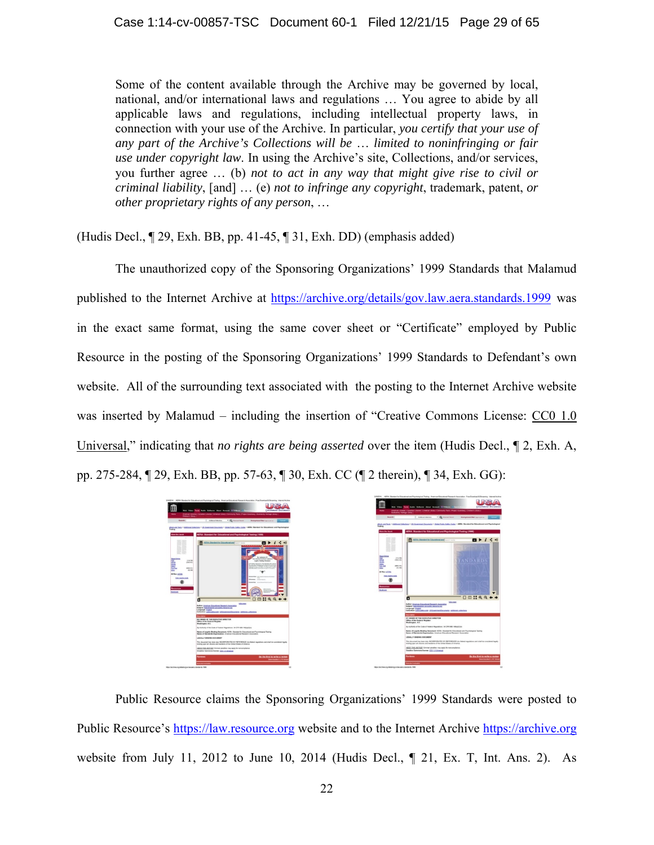Some of the content available through the Archive may be governed by local, national, and/or international laws and regulations … You agree to abide by all applicable laws and regulations, including intellectual property laws, in connection with your use of the Archive. In particular, *you certify that your use of any part of the Archive's Collections will be* … *limited to noninfringing or fair use under copyright law*. In using the Archive's site, Collections, and/or services, you further agree … (b) *not to act in any way that might give rise to civil or criminal liability*, [and] … (e) *not to infringe any copyright*, trademark, patent, *or other proprietary rights of any person*, …

(Hudis Decl., ¶ 29, Exh. BB, pp. 41-45, ¶ 31, Exh. DD) (emphasis added)

The unauthorized copy of the Sponsoring Organizations' 1999 Standards that Malamud published to the Internet Archive at https://archive.org/details/gov.law.aera.standards.1999 was in the exact same format, using the same cover sheet or "Certificate" employed by Public Resource in the posting of the Sponsoring Organizations' 1999 Standards to Defendant's own website. All of the surrounding text associated with the posting to the Internet Archive website was inserted by Malamud – including the insertion of "Creative Commons License: CC0 1.0 Universal," indicating that *no rights are being asserted* over the item (Hudis Decl., ¶ 2, Exh. A, pp. 275-284, ¶ 29, Exh. BB, pp. 57-63, ¶ 30, Exh. CC (¶ 2 therein), ¶ 34, Exh. GG):



Public Resource claims the Sponsoring Organizations' 1999 Standards were posted to Public Resource's https://law.resource.org website and to the Internet Archive https://archive.org website from July 11, 2012 to June 10, 2014 (Hudis Decl., ¶ 21, Ex. T, Int. Ans. 2). As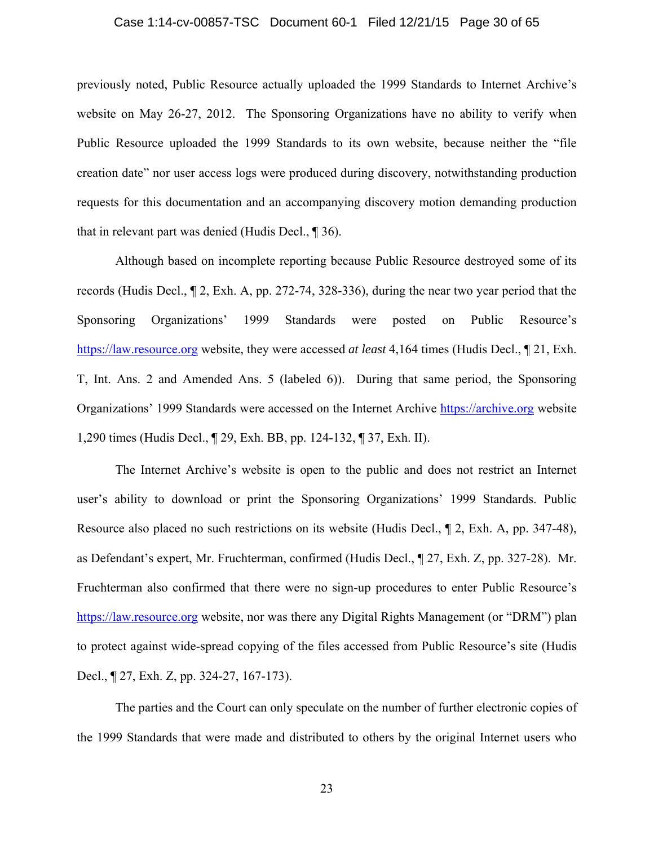## Case 1:14-cv-00857-TSC Document 60-1 Filed 12/21/15 Page 30 of 65

previously noted, Public Resource actually uploaded the 1999 Standards to Internet Archive's website on May 26-27, 2012. The Sponsoring Organizations have no ability to verify when Public Resource uploaded the 1999 Standards to its own website, because neither the "file creation date" nor user access logs were produced during discovery, notwithstanding production requests for this documentation and an accompanying discovery motion demanding production that in relevant part was denied (Hudis Decl., ¶ 36).

Although based on incomplete reporting because Public Resource destroyed some of its records (Hudis Decl., ¶ 2, Exh. A, pp. 272-74, 328-336), during the near two year period that the Sponsoring Organizations' 1999 Standards were posted on Public Resource's https://law.resource.org website, they were accessed *at least* 4,164 times (Hudis Decl., ¶ 21, Exh. T, Int. Ans. 2 and Amended Ans. 5 (labeled 6)). During that same period, the Sponsoring Organizations' 1999 Standards were accessed on the Internet Archive https://archive.org website 1,290 times (Hudis Decl., ¶ 29, Exh. BB, pp. 124-132, ¶ 37, Exh. II).

The Internet Archive's website is open to the public and does not restrict an Internet user's ability to download or print the Sponsoring Organizations' 1999 Standards. Public Resource also placed no such restrictions on its website (Hudis Decl., ¶ 2, Exh. A, pp. 347-48), as Defendant's expert, Mr. Fruchterman, confirmed (Hudis Decl., ¶ 27, Exh. Z, pp. 327-28). Mr. Fruchterman also confirmed that there were no sign-up procedures to enter Public Resource's https://law.resource.org website, nor was there any Digital Rights Management (or "DRM") plan to protect against wide-spread copying of the files accessed from Public Resource's site (Hudis Decl., ¶ 27, Exh. Z, pp. 324-27, 167-173).

The parties and the Court can only speculate on the number of further electronic copies of the 1999 Standards that were made and distributed to others by the original Internet users who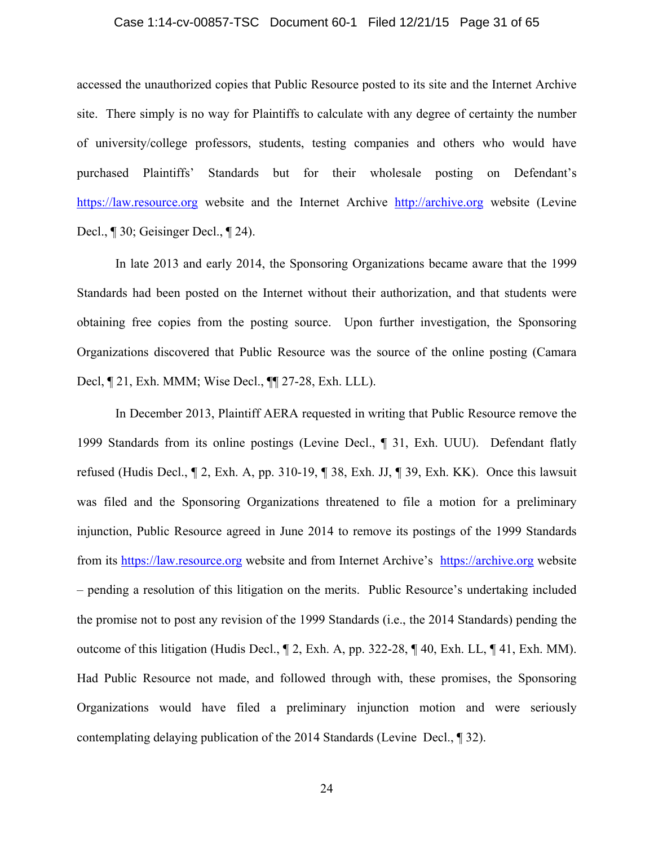#### Case 1:14-cv-00857-TSC Document 60-1 Filed 12/21/15 Page 31 of 65

accessed the unauthorized copies that Public Resource posted to its site and the Internet Archive site. There simply is no way for Plaintiffs to calculate with any degree of certainty the number of university/college professors, students, testing companies and others who would have purchased Plaintiffs' Standards but for their wholesale posting on Defendant's https://law.resource.org website and the Internet Archive http://archive.org website (Levine Decl., ¶ 30; Geisinger Decl., ¶ 24).

In late 2013 and early 2014, the Sponsoring Organizations became aware that the 1999 Standards had been posted on the Internet without their authorization, and that students were obtaining free copies from the posting source. Upon further investigation, the Sponsoring Organizations discovered that Public Resource was the source of the online posting (Camara Decl, ¶ 21, Exh. MMM; Wise Decl., ¶¶ 27-28, Exh. LLL).

In December 2013, Plaintiff AERA requested in writing that Public Resource remove the 1999 Standards from its online postings (Levine Decl., ¶ 31, Exh. UUU). Defendant flatly refused (Hudis Decl., ¶ 2, Exh. A, pp. 310-19, ¶ 38, Exh. JJ, ¶ 39, Exh. KK). Once this lawsuit was filed and the Sponsoring Organizations threatened to file a motion for a preliminary injunction, Public Resource agreed in June 2014 to remove its postings of the 1999 Standards from its https://law.resource.org website and from Internet Archive's https://archive.org website – pending a resolution of this litigation on the merits. Public Resource's undertaking included the promise not to post any revision of the 1999 Standards (i.e., the 2014 Standards) pending the outcome of this litigation (Hudis Decl., ¶ 2, Exh. A, pp. 322-28, ¶ 40, Exh. LL, ¶ 41, Exh. MM). Had Public Resource not made, and followed through with, these promises, the Sponsoring Organizations would have filed a preliminary injunction motion and were seriously contemplating delaying publication of the 2014 Standards (Levine Decl., ¶ 32).

24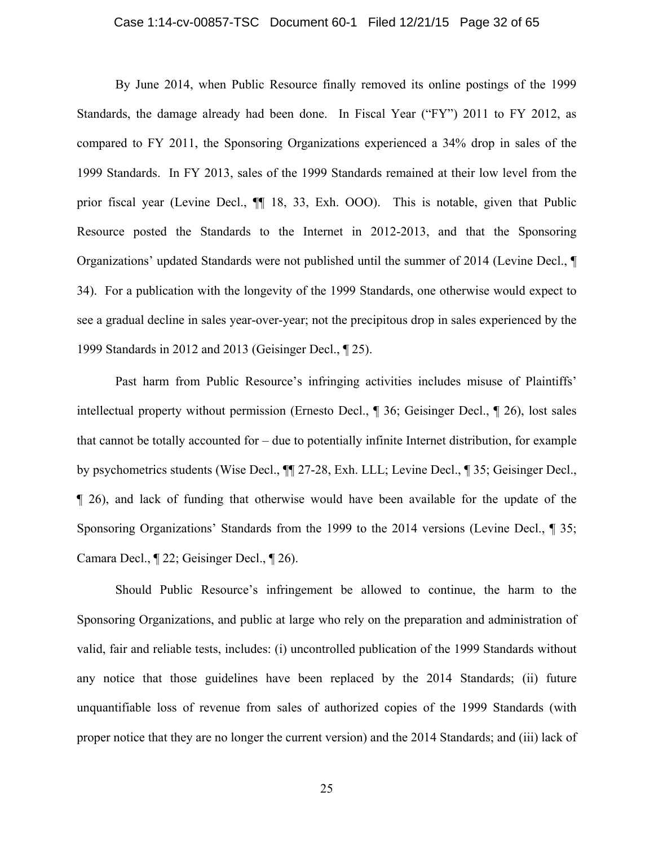## Case 1:14-cv-00857-TSC Document 60-1 Filed 12/21/15 Page 32 of 65

By June 2014, when Public Resource finally removed its online postings of the 1999 Standards, the damage already had been done. In Fiscal Year ("FY") 2011 to FY 2012, as compared to FY 2011, the Sponsoring Organizations experienced a 34% drop in sales of the 1999 Standards. In FY 2013, sales of the 1999 Standards remained at their low level from the prior fiscal year (Levine Decl., ¶¶ 18, 33, Exh. OOO). This is notable, given that Public Resource posted the Standards to the Internet in 2012-2013, and that the Sponsoring Organizations' updated Standards were not published until the summer of 2014 (Levine Decl., ¶ 34). For a publication with the longevity of the 1999 Standards, one otherwise would expect to see a gradual decline in sales year-over-year; not the precipitous drop in sales experienced by the 1999 Standards in 2012 and 2013 (Geisinger Decl., ¶ 25).

Past harm from Public Resource's infringing activities includes misuse of Plaintiffs' intellectual property without permission (Ernesto Decl., ¶ 36; Geisinger Decl., ¶ 26), lost sales that cannot be totally accounted for – due to potentially infinite Internet distribution, for example by psychometrics students (Wise Decl., ¶¶ 27-28, Exh. LLL; Levine Decl., ¶ 35; Geisinger Decl., ¶ 26), and lack of funding that otherwise would have been available for the update of the Sponsoring Organizations' Standards from the 1999 to the 2014 versions (Levine Decl., ¶ 35; Camara Decl., ¶ 22; Geisinger Decl., ¶ 26).

Should Public Resource's infringement be allowed to continue, the harm to the Sponsoring Organizations, and public at large who rely on the preparation and administration of valid, fair and reliable tests, includes: (i) uncontrolled publication of the 1999 Standards without any notice that those guidelines have been replaced by the 2014 Standards; (ii) future unquantifiable loss of revenue from sales of authorized copies of the 1999 Standards (with proper notice that they are no longer the current version) and the 2014 Standards; and (iii) lack of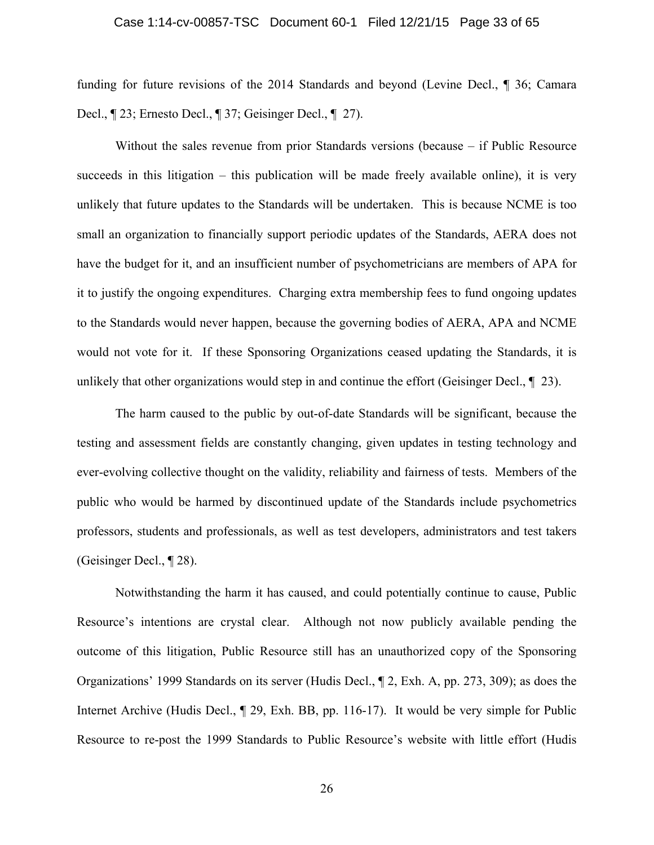## Case 1:14-cv-00857-TSC Document 60-1 Filed 12/21/15 Page 33 of 65

funding for future revisions of the 2014 Standards and beyond (Levine Decl., ¶ 36; Camara Decl., ¶ 23; Ernesto Decl., ¶ 37; Geisinger Decl., ¶ 27).

Without the sales revenue from prior Standards versions (because – if Public Resource succeeds in this litigation – this publication will be made freely available online), it is very unlikely that future updates to the Standards will be undertaken. This is because NCME is too small an organization to financially support periodic updates of the Standards, AERA does not have the budget for it, and an insufficient number of psychometricians are members of APA for it to justify the ongoing expenditures. Charging extra membership fees to fund ongoing updates to the Standards would never happen, because the governing bodies of AERA, APA and NCME would not vote for it. If these Sponsoring Organizations ceased updating the Standards, it is unlikely that other organizations would step in and continue the effort (Geisinger Decl.,  $\P$  23).

The harm caused to the public by out-of-date Standards will be significant, because the testing and assessment fields are constantly changing, given updates in testing technology and ever-evolving collective thought on the validity, reliability and fairness of tests. Members of the public who would be harmed by discontinued update of the Standards include psychometrics professors, students and professionals, as well as test developers, administrators and test takers (Geisinger Decl., ¶ 28).

Notwithstanding the harm it has caused, and could potentially continue to cause, Public Resource's intentions are crystal clear. Although not now publicly available pending the outcome of this litigation, Public Resource still has an unauthorized copy of the Sponsoring Organizations' 1999 Standards on its server (Hudis Decl., ¶ 2, Exh. A, pp. 273, 309); as does the Internet Archive (Hudis Decl., ¶ 29, Exh. BB, pp. 116-17). It would be very simple for Public Resource to re-post the 1999 Standards to Public Resource's website with little effort (Hudis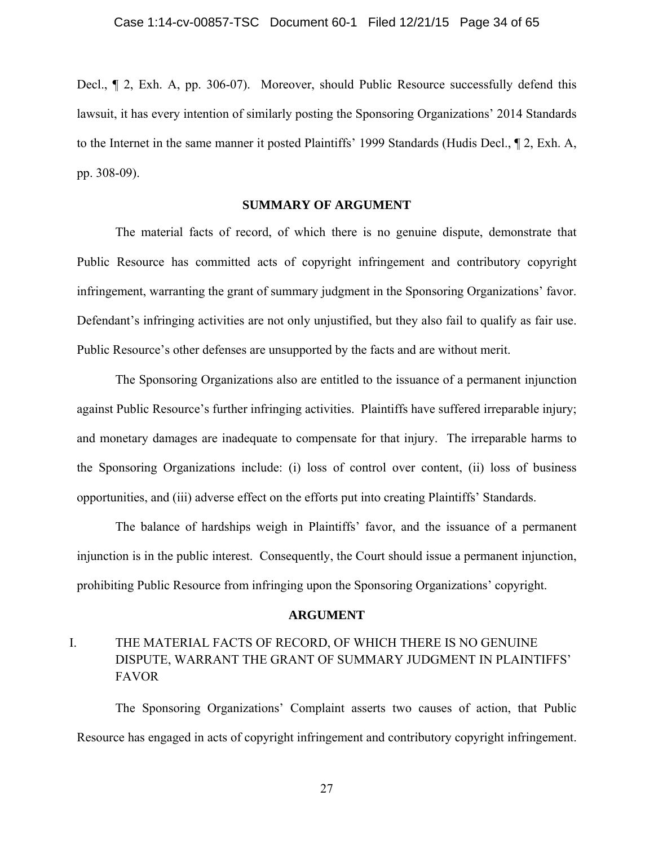Decl., ¶ 2, Exh. A, pp. 306-07). Moreover, should Public Resource successfully defend this lawsuit, it has every intention of similarly posting the Sponsoring Organizations' 2014 Standards to the Internet in the same manner it posted Plaintiffs' 1999 Standards (Hudis Decl., ¶ 2, Exh. A, pp. 308-09).

## **SUMMARY OF ARGUMENT**

The material facts of record, of which there is no genuine dispute, demonstrate that Public Resource has committed acts of copyright infringement and contributory copyright infringement, warranting the grant of summary judgment in the Sponsoring Organizations' favor. Defendant's infringing activities are not only unjustified, but they also fail to qualify as fair use. Public Resource's other defenses are unsupported by the facts and are without merit.

The Sponsoring Organizations also are entitled to the issuance of a permanent injunction against Public Resource's further infringing activities. Plaintiffs have suffered irreparable injury; and monetary damages are inadequate to compensate for that injury. The irreparable harms to the Sponsoring Organizations include: (i) loss of control over content, (ii) loss of business opportunities, and (iii) adverse effect on the efforts put into creating Plaintiffs' Standards.

 The balance of hardships weigh in Plaintiffs' favor, and the issuance of a permanent injunction is in the public interest. Consequently, the Court should issue a permanent injunction, prohibiting Public Resource from infringing upon the Sponsoring Organizations' copyright.

#### **ARGUMENT**

# I. THE MATERIAL FACTS OF RECORD, OF WHICH THERE IS NO GENUINE DISPUTE, WARRANT THE GRANT OF SUMMARY JUDGMENT IN PLAINTIFFS' FAVOR

The Sponsoring Organizations' Complaint asserts two causes of action, that Public Resource has engaged in acts of copyright infringement and contributory copyright infringement.

27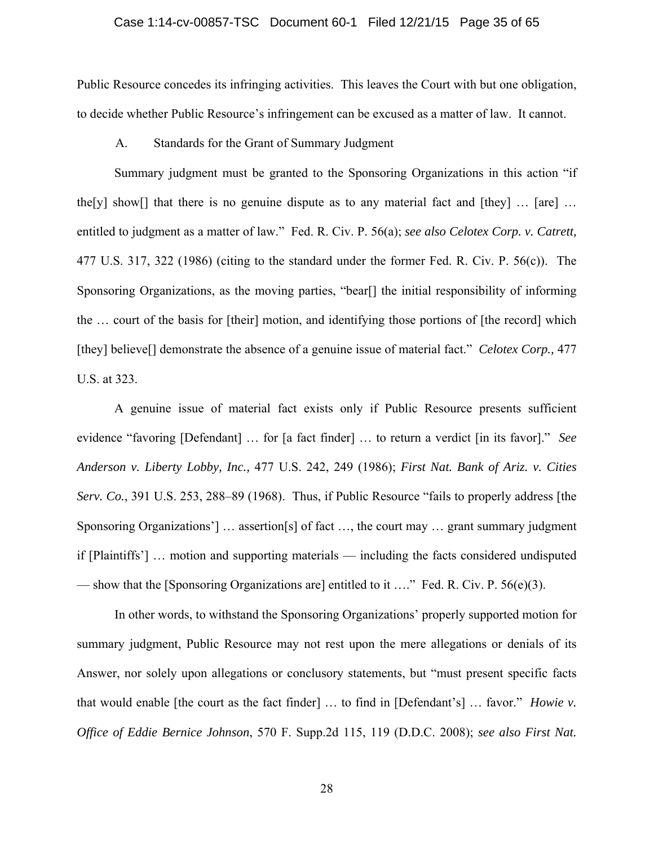## Case 1:14-cv-00857-TSC Document 60-1 Filed 12/21/15 Page 35 of 65

Public Resource concedes its infringing activities. This leaves the Court with but one obligation, to decide whether Public Resource's infringement can be excused as a matter of law. It cannot.

A. Standards for the Grant of Summary Judgment

Summary judgment must be granted to the Sponsoring Organizations in this action "if the[y] show[] that there is no genuine dispute as to any material fact and [they]  $\ldots$  [are]  $\ldots$ entitled to judgment as a matter of law." Fed. R. Civ. P. 56(a); *see also Celotex Corp. v. Catrett,* 477 U.S. 317, 322 (1986) (citing to the standard under the former Fed. R. Civ. P. 56(c)). The Sponsoring Organizations, as the moving parties, "bear[] the initial responsibility of informing the … court of the basis for [their] motion, and identifying those portions of [the record] which [they] believe[] demonstrate the absence of a genuine issue of material fact." *Celotex Corp.,* 477 U.S. at 323.

A genuine issue of material fact exists only if Public Resource presents sufficient evidence "favoring [Defendant] … for [a fact finder] … to return a verdict [in its favor]." *See Anderson v. Liberty Lobby, Inc.,* 477 U.S. 242, 249 (1986); *First Nat. Bank of Ariz. v. Cities Serv. Co.*, 391 U.S. 253, 288–89 (1968). Thus, if Public Resource "fails to properly address [the Sponsoring Organizations'] ... assertion[s] of fact ..., the court may ... grant summary judgment if [Plaintiffs'] … motion and supporting materials — including the facts considered undisputed — show that the [Sponsoring Organizations are] entitled to it …." Fed. R. Civ. P. 56(e)(3).

In other words, to withstand the Sponsoring Organizations' properly supported motion for summary judgment, Public Resource may not rest upon the mere allegations or denials of its Answer, nor solely upon allegations or conclusory statements, but "must present specific facts that would enable [the court as the fact finder] … to find in [Defendant's] … favor." *Howie v. Office of Eddie Bernice Johnson*, 570 F. Supp.2d 115, 119 (D.D.C. 2008); *see also First Nat.* 

28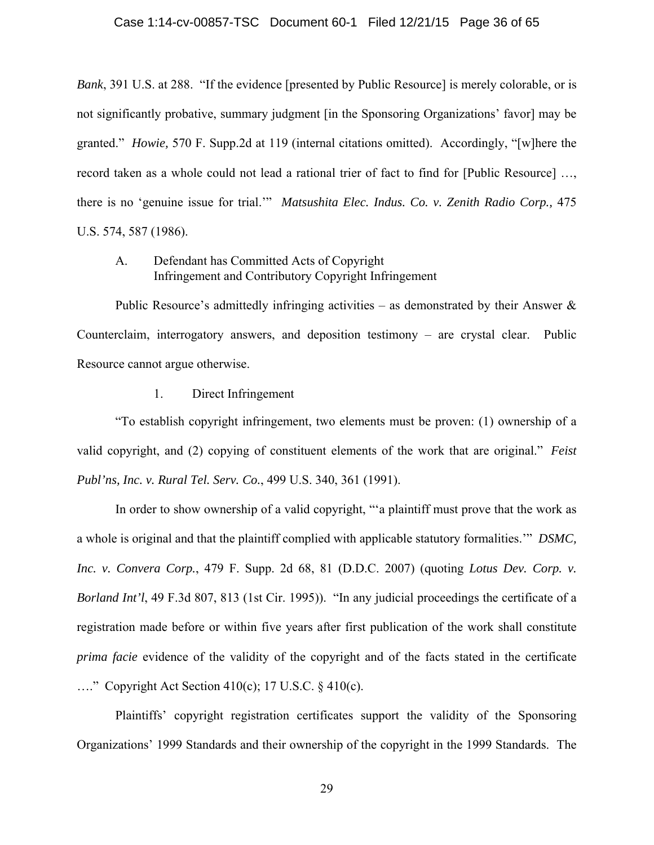## Case 1:14-cv-00857-TSC Document 60-1 Filed 12/21/15 Page 36 of 65

*Bank*, 391 U.S. at 288. "If the evidence [presented by Public Resource] is merely colorable, or is not significantly probative, summary judgment [in the Sponsoring Organizations' favor] may be granted." *Howie,* 570 F. Supp.2d at 119 (internal citations omitted). Accordingly, "[w]here the record taken as a whole could not lead a rational trier of fact to find for [Public Resource] …, there is no 'genuine issue for trial.'" *Matsushita Elec. Indus. Co. v. Zenith Radio Corp.,* 475 U.S. 574, 587 (1986).

## A. Defendant has Committed Acts of Copyright Infringement and Contributory Copyright Infringement

Public Resource's admittedly infringing activities – as demonstrated by their Answer  $\&$ Counterclaim, interrogatory answers, and deposition testimony – are crystal clear. Public Resource cannot argue otherwise.

1. Direct Infringement

"To establish copyright infringement, two elements must be proven: (1) ownership of a valid copyright, and (2) copying of constituent elements of the work that are original." *Feist Publ'ns, Inc. v. Rural Tel. Serv. Co.*, 499 U.S. 340, 361 (1991).

In order to show ownership of a valid copyright, "'a plaintiff must prove that the work as a whole is original and that the plaintiff complied with applicable statutory formalities.'" *DSMC, Inc. v. Convera Corp.*, 479 F. Supp. 2d 68, 81 (D.D.C. 2007) (quoting *Lotus Dev. Corp. v. Borland Int'l*, 49 F.3d 807, 813 (1st Cir. 1995)). "In any judicial proceedings the certificate of a registration made before or within five years after first publication of the work shall constitute *prima facie* evidence of the validity of the copyright and of the facts stated in the certificate …." Copyright Act Section 410(c); 17 U.S.C. § 410(c).

Plaintiffs' copyright registration certificates support the validity of the Sponsoring Organizations' 1999 Standards and their ownership of the copyright in the 1999 Standards. The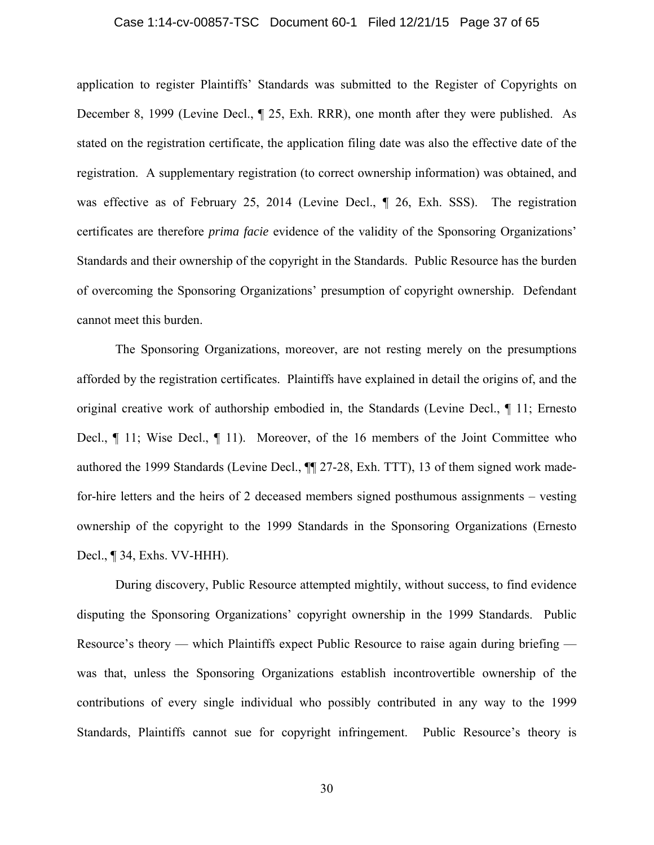## Case 1:14-cv-00857-TSC Document 60-1 Filed 12/21/15 Page 37 of 65

application to register Plaintiffs' Standards was submitted to the Register of Copyrights on December 8, 1999 (Levine Decl., ¶ 25, Exh. RRR), one month after they were published. As stated on the registration certificate, the application filing date was also the effective date of the registration. A supplementary registration (to correct ownership information) was obtained, and was effective as of February 25, 2014 (Levine Decl., ¶ 26, Exh. SSS). The registration certificates are therefore *prima facie* evidence of the validity of the Sponsoring Organizations' Standards and their ownership of the copyright in the Standards. Public Resource has the burden of overcoming the Sponsoring Organizations' presumption of copyright ownership. Defendant cannot meet this burden.

The Sponsoring Organizations, moreover, are not resting merely on the presumptions afforded by the registration certificates. Plaintiffs have explained in detail the origins of, and the original creative work of authorship embodied in, the Standards (Levine Decl., ¶ 11; Ernesto Decl., ¶ 11; Wise Decl., ¶ 11). Moreover, of the 16 members of the Joint Committee who authored the 1999 Standards (Levine Decl., ¶¶ 27-28, Exh. TTT), 13 of them signed work madefor-hire letters and the heirs of 2 deceased members signed posthumous assignments – vesting ownership of the copyright to the 1999 Standards in the Sponsoring Organizations (Ernesto Decl., ¶ 34, Exhs. VV-HHH).

During discovery, Public Resource attempted mightily, without success, to find evidence disputing the Sponsoring Organizations' copyright ownership in the 1999 Standards. Public Resource's theory — which Plaintiffs expect Public Resource to raise again during briefing was that, unless the Sponsoring Organizations establish incontrovertible ownership of the contributions of every single individual who possibly contributed in any way to the 1999 Standards, Plaintiffs cannot sue for copyright infringement. Public Resource's theory is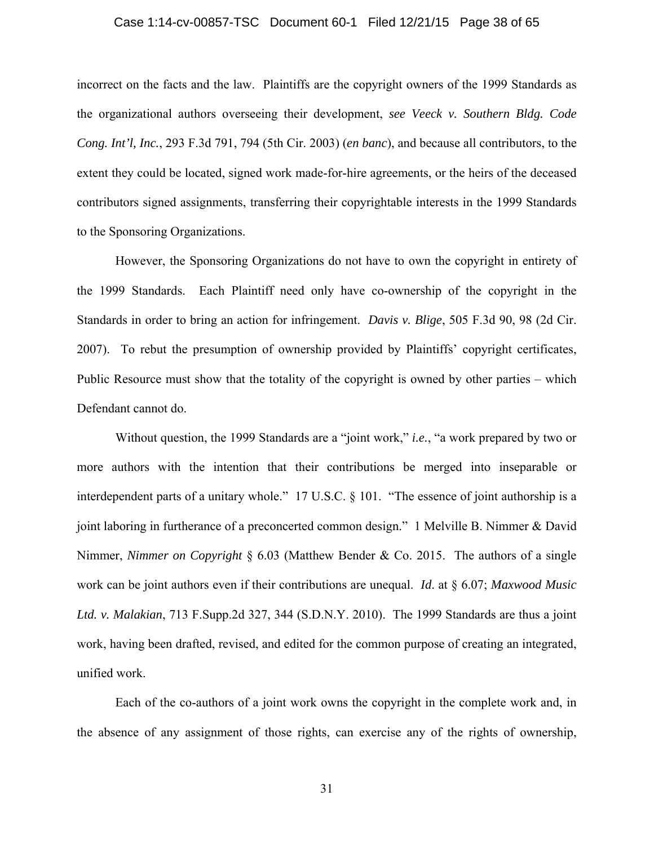## Case 1:14-cv-00857-TSC Document 60-1 Filed 12/21/15 Page 38 of 65

incorrect on the facts and the law. Plaintiffs are the copyright owners of the 1999 Standards as the organizational authors overseeing their development, *see Veeck v. Southern Bldg. Code Cong. Int'l, Inc.*, 293 F.3d 791, 794 (5th Cir. 2003) (*en banc*), and because all contributors, to the extent they could be located, signed work made-for-hire agreements, or the heirs of the deceased contributors signed assignments, transferring their copyrightable interests in the 1999 Standards to the Sponsoring Organizations.

However, the Sponsoring Organizations do not have to own the copyright in entirety of the 1999 Standards. Each Plaintiff need only have co-ownership of the copyright in the Standards in order to bring an action for infringement. *Davis v. Blige*, 505 F.3d 90, 98 (2d Cir. 2007). To rebut the presumption of ownership provided by Plaintiffs' copyright certificates, Public Resource must show that the totality of the copyright is owned by other parties – which Defendant cannot do.

Without question, the 1999 Standards are a "joint work," *i.e.*, "a work prepared by two or more authors with the intention that their contributions be merged into inseparable or interdependent parts of a unitary whole." 17 U.S.C. § 101. "The essence of joint authorship is a joint laboring in furtherance of a preconcerted common design." 1 Melville B. Nimmer & David Nimmer, *Nimmer on Copyright* § 6.03 (Matthew Bender & Co. 2015. The authors of a single work can be joint authors even if their contributions are unequal. *Id*. at § 6.07; *Maxwood Music Ltd. v. Malakian*, 713 F.Supp.2d 327, 344 (S.D.N.Y. 2010). The 1999 Standards are thus a joint work, having been drafted, revised, and edited for the common purpose of creating an integrated, unified work.

Each of the co-authors of a joint work owns the copyright in the complete work and, in the absence of any assignment of those rights, can exercise any of the rights of ownership,

31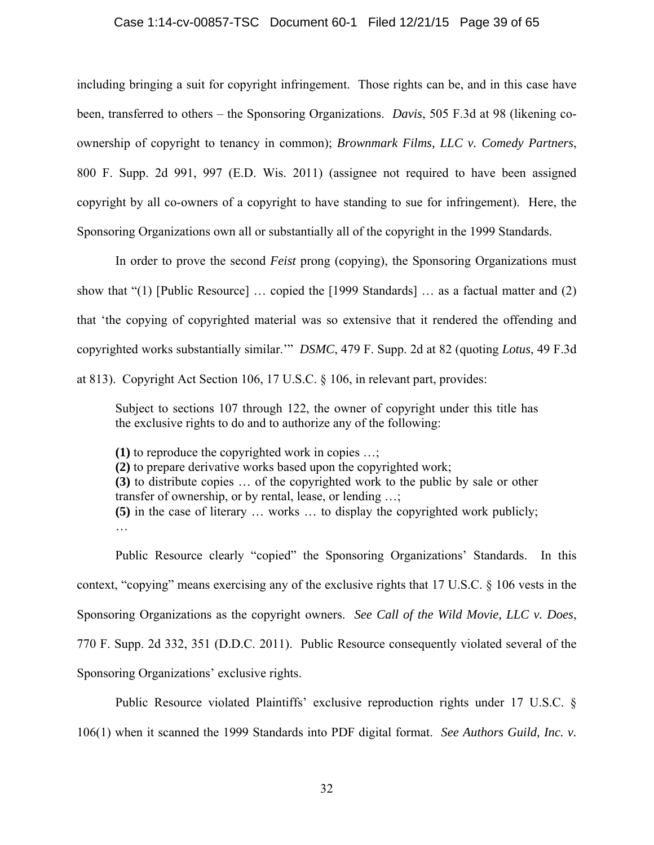#### Case 1:14-cv-00857-TSC Document 60-1 Filed 12/21/15 Page 39 of 65

including bringing a suit for copyright infringement. Those rights can be, and in this case have been, transferred to others – the Sponsoring Organizations. *Davis*, 505 F.3d at 98 (likening coownership of copyright to tenancy in common); *Brownmark Films, LLC v. Comedy Partners*, 800 F. Supp. 2d 991, 997 (E.D. Wis. 2011) (assignee not required to have been assigned copyright by all co-owners of a copyright to have standing to sue for infringement). Here, the Sponsoring Organizations own all or substantially all of the copyright in the 1999 Standards.

In order to prove the second *Feist* prong (copying), the Sponsoring Organizations must show that "(1) [Public Resource] … copied the [1999 Standards] … as a factual matter and (2) that 'the copying of copyrighted material was so extensive that it rendered the offending and copyrighted works substantially similar.'" *DSMC*, 479 F. Supp. 2d at 82 (quoting *Lotus*, 49 F.3d at 813). Copyright Act Section 106, 17 U.S.C. § 106, in relevant part, provides:

Subject to sections 107 through 122, the owner of copyright under this title has the exclusive rights to do and to authorize any of the following:

**(1)** to reproduce the copyrighted work in copies …; **(2)** to prepare derivative works based upon the copyrighted work; **(3)** to distribute copies … of the copyrighted work to the public by sale or other transfer of ownership, or by rental, lease, or lending …; **(5)** in the case of literary … works … to display the copyrighted work publicly; …

Public Resource clearly "copied" the Sponsoring Organizations' Standards. In this context, "copying" means exercising any of the exclusive rights that 17 U.S.C. § 106 vests in the Sponsoring Organizations as the copyright owners. *See Call of the Wild Movie, LLC v. Does*, 770 F. Supp. 2d 332, 351 (D.D.C. 2011). Public Resource consequently violated several of the Sponsoring Organizations' exclusive rights.

Public Resource violated Plaintiffs' exclusive reproduction rights under 17 U.S.C. § 106(1) when it scanned the 1999 Standards into PDF digital format. *See Authors Guild, Inc. v.*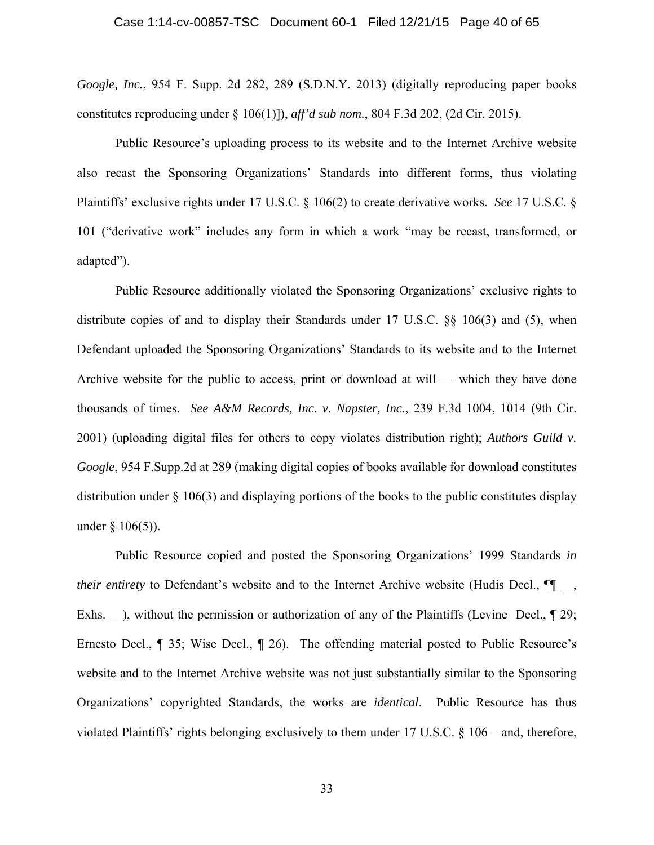*Google, Inc.*, 954 F. Supp. 2d 282, 289 (S.D.N.Y. 2013) (digitally reproducing paper books constitutes reproducing under § 106(1)]), *aff'd sub nom.*, 804 F.3d 202, (2d Cir. 2015).

Public Resource's uploading process to its website and to the Internet Archive website also recast the Sponsoring Organizations' Standards into different forms, thus violating Plaintiffs' exclusive rights under 17 U.S.C. § 106(2) to create derivative works. *See* 17 U.S.C. § 101 ("derivative work" includes any form in which a work "may be recast, transformed, or adapted").

Public Resource additionally violated the Sponsoring Organizations' exclusive rights to distribute copies of and to display their Standards under 17 U.S.C. §§ 106(3) and (5), when Defendant uploaded the Sponsoring Organizations' Standards to its website and to the Internet Archive website for the public to access, print or download at will — which they have done thousands of times. *See A&M Records, Inc. v. Napster, Inc.*, 239 F.3d 1004, 1014 (9th Cir. 2001) (uploading digital files for others to copy violates distribution right); *Authors Guild v. Google*, 954 F.Supp.2d at 289 (making digital copies of books available for download constitutes distribution under § 106(3) and displaying portions of the books to the public constitutes display under  $§ 106(5)$ ).

Public Resource copied and posted the Sponsoring Organizations' 1999 Standards *in their entirety* to Defendant's website and to the Internet Archive website (Hudis Decl.,  $\P$ <sub>,</sub> Exhs. ), without the permission or authorization of any of the Plaintiffs (Levine Decl.,  $\parallel$  29; Ernesto Decl., ¶ 35; Wise Decl., ¶ 26). The offending material posted to Public Resource's website and to the Internet Archive website was not just substantially similar to the Sponsoring Organizations' copyrighted Standards, the works are *identical*. Public Resource has thus violated Plaintiffs' rights belonging exclusively to them under 17 U.S.C. § 106 – and, therefore,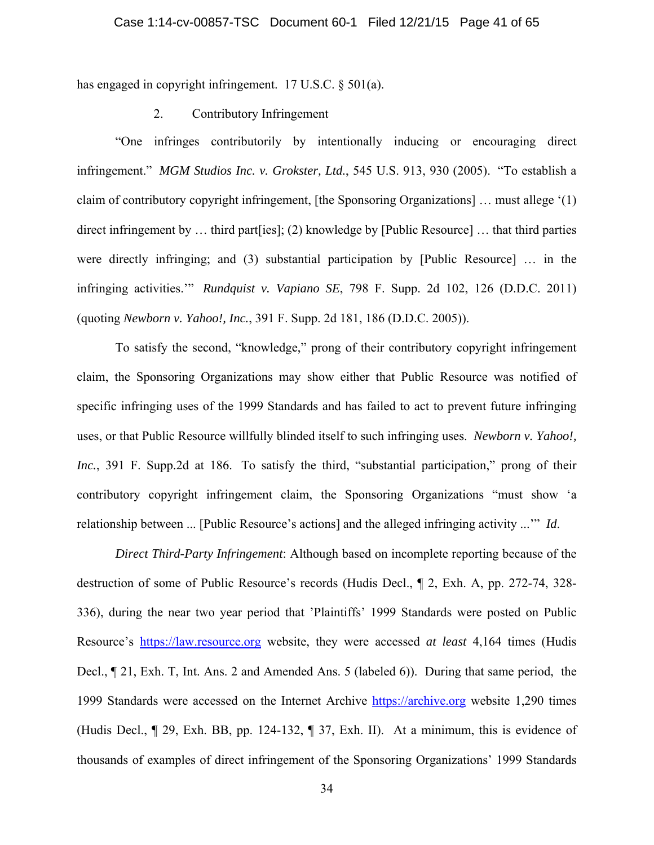has engaged in copyright infringement. 17 U.S.C. § 501(a).

## 2. Contributory Infringement

"One infringes contributorily by intentionally inducing or encouraging direct infringement." *MGM Studios Inc. v. Grokster, Ltd.*, 545 U.S. 913, 930 (2005). "To establish a claim of contributory copyright infringement, [the Sponsoring Organizations] … must allege '(1) direct infringement by ... third part lies]; (2) knowledge by [Public Resource] ... that third parties were directly infringing; and (3) substantial participation by [Public Resource] … in the infringing activities.'" *Rundquist v. Vapiano SE*, 798 F. Supp. 2d 102, 126 (D.D.C. 2011) (quoting *Newborn v. Yahoo!, Inc.*, 391 F. Supp. 2d 181, 186 (D.D.C. 2005)).

To satisfy the second, "knowledge," prong of their contributory copyright infringement claim, the Sponsoring Organizations may show either that Public Resource was notified of specific infringing uses of the 1999 Standards and has failed to act to prevent future infringing uses, or that Public Resource willfully blinded itself to such infringing uses. *Newborn v. Yahoo!, Inc.*, 391 F. Supp.2d at 186. To satisfy the third, "substantial participation," prong of their contributory copyright infringement claim, the Sponsoring Organizations "must show 'a relationship between ... [Public Resource's actions] and the alleged infringing activity ...'" *Id*.

*Direct Third-Party Infringement*: Although based on incomplete reporting because of the destruction of some of Public Resource's records (Hudis Decl., ¶ 2, Exh. A, pp. 272-74, 328- 336), during the near two year period that 'Plaintiffs' 1999 Standards were posted on Public Resource's https://law.resource.org website, they were accessed *at least* 4,164 times (Hudis Decl., ¶ 21, Exh. T, Int. Ans. 2 and Amended Ans. 5 (labeled 6)). During that same period, the 1999 Standards were accessed on the Internet Archive https://archive.org website 1,290 times (Hudis Decl., ¶ 29, Exh. BB, pp. 124-132, ¶ 37, Exh. II). At a minimum, this is evidence of thousands of examples of direct infringement of the Sponsoring Organizations' 1999 Standards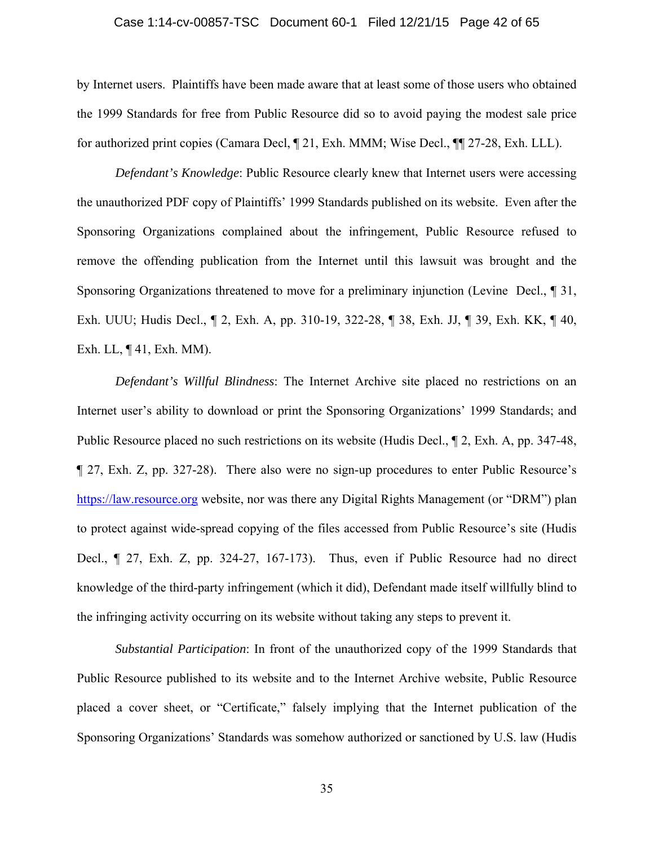## Case 1:14-cv-00857-TSC Document 60-1 Filed 12/21/15 Page 42 of 65

by Internet users. Plaintiffs have been made aware that at least some of those users who obtained the 1999 Standards for free from Public Resource did so to avoid paying the modest sale price for authorized print copies (Camara Decl, ¶ 21, Exh. MMM; Wise Decl., ¶¶ 27-28, Exh. LLL).

*Defendant's Knowledge*: Public Resource clearly knew that Internet users were accessing the unauthorized PDF copy of Plaintiffs' 1999 Standards published on its website. Even after the Sponsoring Organizations complained about the infringement, Public Resource refused to remove the offending publication from the Internet until this lawsuit was brought and the Sponsoring Organizations threatened to move for a preliminary injunction (Levine Decl., ¶ 31, Exh. UUU; Hudis Decl., ¶ 2, Exh. A, pp. 310-19, 322-28, ¶ 38, Exh. JJ, ¶ 39, Exh. KK, ¶ 40, Exh. LL, ¶ 41, Exh. MM).

*Defendant's Willful Blindness*: The Internet Archive site placed no restrictions on an Internet user's ability to download or print the Sponsoring Organizations' 1999 Standards; and Public Resource placed no such restrictions on its website (Hudis Decl., ¶ 2, Exh. A, pp. 347-48, ¶ 27, Exh. Z, pp. 327-28). There also were no sign-up procedures to enter Public Resource's https://law.resource.org website, nor was there any Digital Rights Management (or "DRM") plan to protect against wide-spread copying of the files accessed from Public Resource's site (Hudis Decl., ¶ 27, Exh. Z, pp. 324-27, 167-173). Thus, even if Public Resource had no direct knowledge of the third-party infringement (which it did), Defendant made itself willfully blind to the infringing activity occurring on its website without taking any steps to prevent it.

*Substantial Participation*: In front of the unauthorized copy of the 1999 Standards that Public Resource published to its website and to the Internet Archive website, Public Resource placed a cover sheet, or "Certificate," falsely implying that the Internet publication of the Sponsoring Organizations' Standards was somehow authorized or sanctioned by U.S. law (Hudis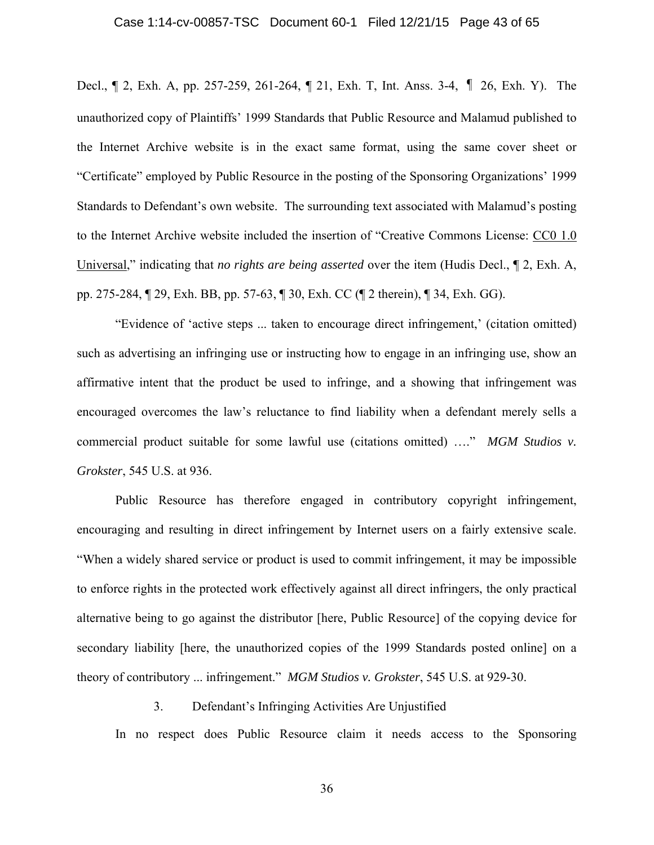## Case 1:14-cv-00857-TSC Document 60-1 Filed 12/21/15 Page 43 of 65

Decl., ¶ 2, Exh. A, pp. 257-259, 261-264, ¶ 21, Exh. T, Int. Anss. 3-4, ¶ 26, Exh. Y). The unauthorized copy of Plaintiffs' 1999 Standards that Public Resource and Malamud published to the Internet Archive website is in the exact same format, using the same cover sheet or "Certificate" employed by Public Resource in the posting of the Sponsoring Organizations' 1999 Standards to Defendant's own website. The surrounding text associated with Malamud's posting to the Internet Archive website included the insertion of "Creative Commons License: CC0 1.0 Universal," indicating that *no rights are being asserted* over the item (Hudis Decl., ¶ 2, Exh. A, pp. 275-284, ¶ 29, Exh. BB, pp. 57-63, ¶ 30, Exh. CC (¶ 2 therein), ¶ 34, Exh. GG).

"Evidence of ʻactive steps ... taken to encourage direct infringement,' (citation omitted) such as advertising an infringing use or instructing how to engage in an infringing use, show an affirmative intent that the product be used to infringe, and a showing that infringement was encouraged overcomes the law's reluctance to find liability when a defendant merely sells a commercial product suitable for some lawful use (citations omitted) …." *MGM Studios v. Grokster*, 545 U.S. at 936.

Public Resource has therefore engaged in contributory copyright infringement, encouraging and resulting in direct infringement by Internet users on a fairly extensive scale. "When a widely shared service or product is used to commit infringement, it may be impossible to enforce rights in the protected work effectively against all direct infringers, the only practical alternative being to go against the distributor [here, Public Resource] of the copying device for secondary liability [here, the unauthorized copies of the 1999 Standards posted online] on a theory of contributory ... infringement." *MGM Studios v. Grokster*, 545 U.S. at 929-30.

## 3. Defendant's Infringing Activities Are Unjustified

In no respect does Public Resource claim it needs access to the Sponsoring

36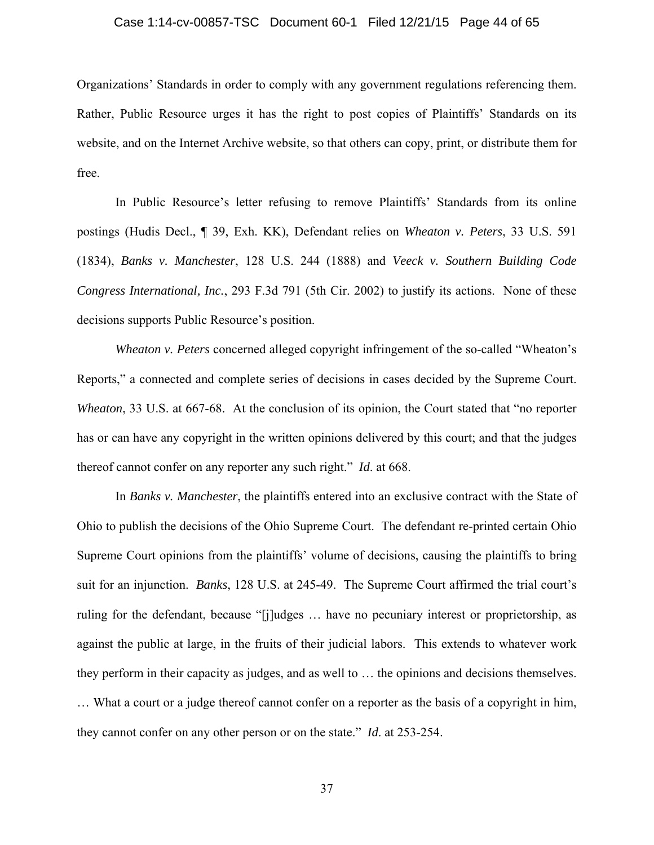## Case 1:14-cv-00857-TSC Document 60-1 Filed 12/21/15 Page 44 of 65

Organizations' Standards in order to comply with any government regulations referencing them. Rather, Public Resource urges it has the right to post copies of Plaintiffs' Standards on its website, and on the Internet Archive website, so that others can copy, print, or distribute them for free.

In Public Resource's letter refusing to remove Plaintiffs' Standards from its online postings (Hudis Decl., ¶ 39, Exh. KK), Defendant relies on *Wheaton v. Peters*, 33 U.S. 591 (1834), *Banks v. Manchester*, 128 U.S. 244 (1888) and *Veeck v. Southern Building Code Congress International, Inc.*, 293 F.3d 791 (5th Cir. 2002) to justify its actions. None of these decisions supports Public Resource's position.

*Wheaton v. Peters* concerned alleged copyright infringement of the so-called "Wheaton's Reports," a connected and complete series of decisions in cases decided by the Supreme Court. *Wheaton*, 33 U.S. at 667-68. At the conclusion of its opinion, the Court stated that "no reporter" has or can have any copyright in the written opinions delivered by this court; and that the judges thereof cannot confer on any reporter any such right." *Id*. at 668.

In *Banks v. Manchester*, the plaintiffs entered into an exclusive contract with the State of Ohio to publish the decisions of the Ohio Supreme Court. The defendant re-printed certain Ohio Supreme Court opinions from the plaintiffs' volume of decisions, causing the plaintiffs to bring suit for an injunction. *Banks*, 128 U.S. at 245-49. The Supreme Court affirmed the trial court's ruling for the defendant, because "[j]udges … have no pecuniary interest or proprietorship, as against the public at large, in the fruits of their judicial labors. This extends to whatever work they perform in their capacity as judges, and as well to … the opinions and decisions themselves.

… What a court or a judge thereof cannot confer on a reporter as the basis of a copyright in him, they cannot confer on any other person or on the state." *Id*. at 253-254.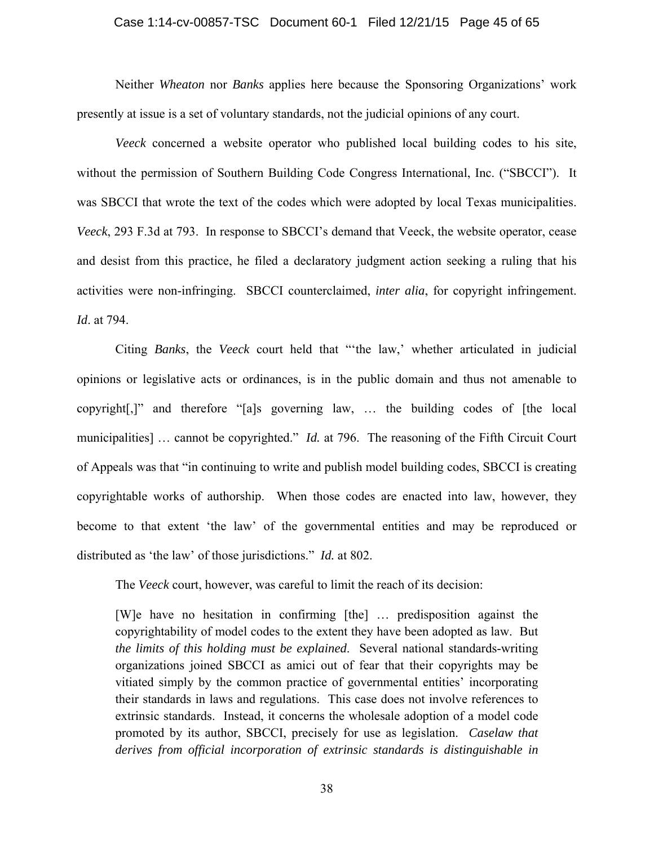#### Case 1:14-cv-00857-TSC Document 60-1 Filed 12/21/15 Page 45 of 65

Neither *Wheaton* nor *Banks* applies here because the Sponsoring Organizations' work presently at issue is a set of voluntary standards, not the judicial opinions of any court.

*Veeck* concerned a website operator who published local building codes to his site, without the permission of Southern Building Code Congress International, Inc. ("SBCCI"). It was SBCCI that wrote the text of the codes which were adopted by local Texas municipalities. *Veeck*, 293 F.3d at 793. In response to SBCCI's demand that Veeck, the website operator, cease and desist from this practice, he filed a declaratory judgment action seeking a ruling that his activities were non-infringing. SBCCI counterclaimed, *inter alia*, for copyright infringement. *Id*. at 794.

Citing *Banks*, the *Veeck* court held that "'the law,' whether articulated in judicial opinions or legislative acts or ordinances, is in the public domain and thus not amenable to copyright[,]" and therefore "[a]s governing law, … the building codes of [the local municipalities] … cannot be copyrighted." *Id.* at 796. The reasoning of the Fifth Circuit Court of Appeals was that "in continuing to write and publish model building codes, SBCCI is creating copyrightable works of authorship. When those codes are enacted into law, however, they become to that extent 'the law' of the governmental entities and may be reproduced or distributed as 'the law' of those jurisdictions." *Id.* at 802.

The *Veeck* court, however, was careful to limit the reach of its decision:

[W]e have no hesitation in confirming [the] … predisposition against the copyrightability of model codes to the extent they have been adopted as law. But *the limits of this holding must be explained*. Several national standards-writing organizations joined SBCCI as amici out of fear that their copyrights may be vitiated simply by the common practice of governmental entities' incorporating their standards in laws and regulations. This case does not involve references to extrinsic standards. Instead, it concerns the wholesale adoption of a model code promoted by its author, SBCCI, precisely for use as legislation. *Caselaw that derives from official incorporation of extrinsic standards is distinguishable in*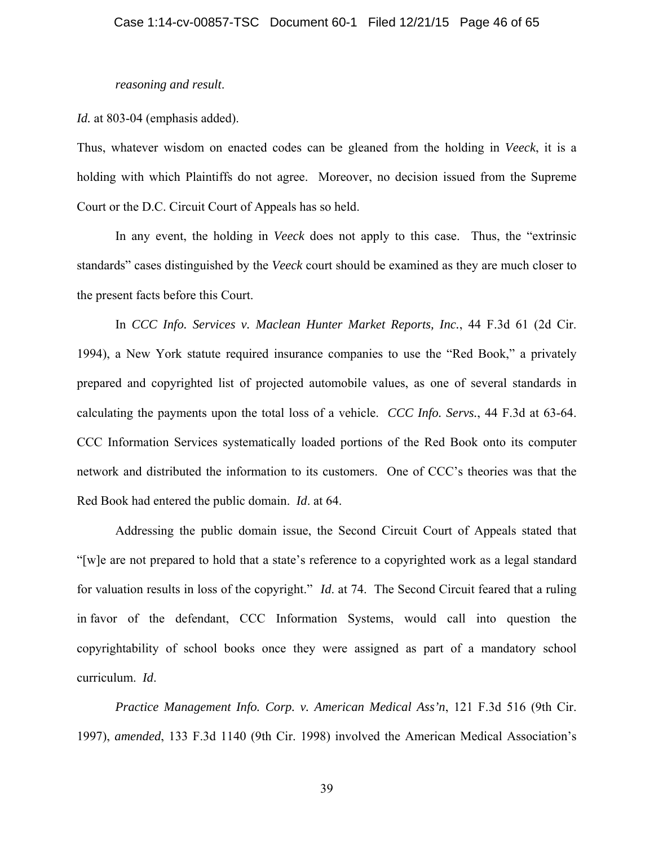## *reasoning and result*.

## *Id.* at 803-04 (emphasis added).

Thus, whatever wisdom on enacted codes can be gleaned from the holding in *Veeck*, it is a holding with which Plaintiffs do not agree. Moreover, no decision issued from the Supreme Court or the D.C. Circuit Court of Appeals has so held.

In any event, the holding in *Veeck* does not apply to this case. Thus, the "extrinsic standards" cases distinguished by the *Veeck* court should be examined as they are much closer to the present facts before this Court.

In *CCC Info. Services v. Maclean Hunter Market Reports, Inc.*, 44 F.3d 61 (2d Cir. 1994), a New York statute required insurance companies to use the "Red Book," a privately prepared and copyrighted list of projected automobile values, as one of several standards in calculating the payments upon the total loss of a vehicle. *CCC Info. Servs.*, 44 F.3d at 63-64. CCC Information Services systematically loaded portions of the Red Book onto its computer network and distributed the information to its customers. One of CCC's theories was that the Red Book had entered the public domain. *Id*. at 64.

Addressing the public domain issue, the Second Circuit Court of Appeals stated that "[w]e are not prepared to hold that a state's reference to a copyrighted work as a legal standard for valuation results in loss of the copyright." *Id*. at 74. The Second Circuit feared that a ruling in favor of the defendant, CCC Information Systems, would call into question the copyrightability of school books once they were assigned as part of a mandatory school curriculum. *Id*.

*Practice Management Info. Corp. v. American Medical Ass'n*, 121 F.3d 516 (9th Cir. 1997), *amended*, 133 F.3d 1140 (9th Cir. 1998) involved the American Medical Association's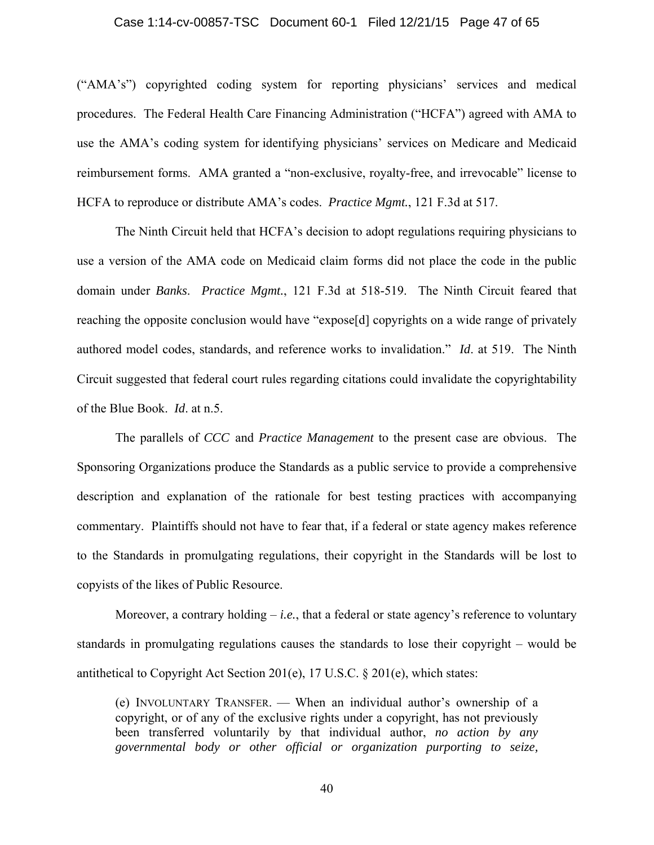#### Case 1:14-cv-00857-TSC Document 60-1 Filed 12/21/15 Page 47 of 65

("AMA's") copyrighted coding system for reporting physicians' services and medical procedures. The Federal Health Care Financing Administration ("HCFA") agreed with AMA to use the AMA's coding system for identifying physicians' services on Medicare and Medicaid reimbursement forms. AMA granted a "non-exclusive, royalty-free, and irrevocable" license to HCFA to reproduce or distribute AMA's codes. *Practice Mgmt.*, 121 F.3d at 517.

The Ninth Circuit held that HCFA's decision to adopt regulations requiring physicians to use a version of the AMA code on Medicaid claim forms did not place the code in the public domain under *Banks*. *Practice Mgmt.*, 121 F.3d at 518-519. The Ninth Circuit feared that reaching the opposite conclusion would have "expose[d] copyrights on a wide range of privately authored model codes, standards, and reference works to invalidation." *Id*. at 519. The Ninth Circuit suggested that federal court rules regarding citations could invalidate the copyrightability of the Blue Book. *Id*. at n.5.

The parallels of *CCC* and *Practice Management* to the present case are obvious. The Sponsoring Organizations produce the Standards as a public service to provide a comprehensive description and explanation of the rationale for best testing practices with accompanying commentary. Plaintiffs should not have to fear that, if a federal or state agency makes reference to the Standards in promulgating regulations, their copyright in the Standards will be lost to copyists of the likes of Public Resource.

Moreover, a contrary holding – *i.e.*, that a federal or state agency's reference to voluntary standards in promulgating regulations causes the standards to lose their copyright – would be antithetical to Copyright Act Section 201(e), 17 U.S.C. § 201(e), which states:

(e) INVOLUNTARY TRANSFER. — When an individual author's ownership of a copyright, or of any of the exclusive rights under a copyright, has not previously been transferred voluntarily by that individual author, *no action by any governmental body or other official or organization purporting to seize,*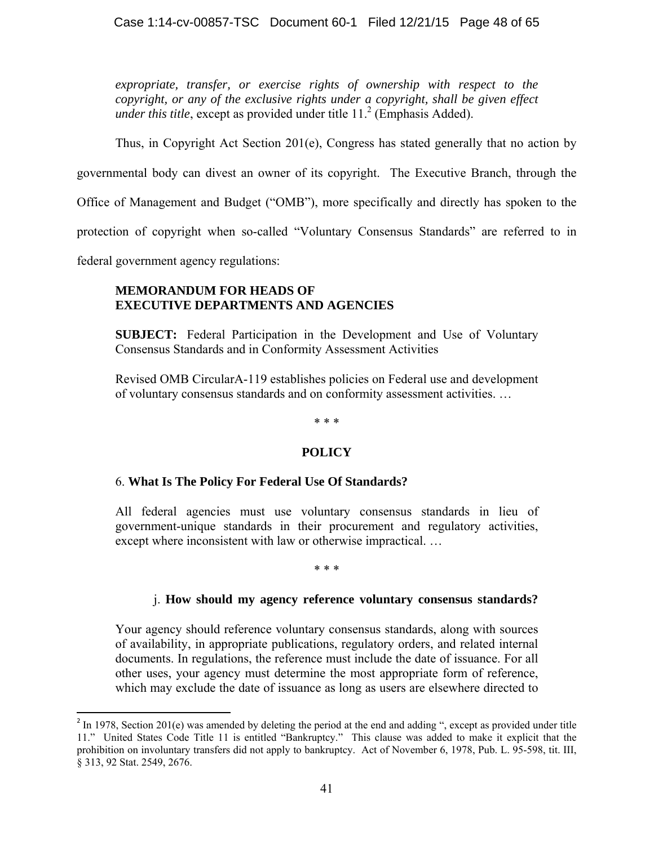*expropriate, transfer, or exercise rights of ownership with respect to the copyright, or any of the exclusive rights under a copyright, shall be given effect under this title*, except as provided under title  $11<sup>2</sup>$  (Emphasis Added).

Thus, in Copyright Act Section 201(e), Congress has stated generally that no action by

governmental body can divest an owner of its copyright. The Executive Branch, through the

Office of Management and Budget ("OMB"), more specifically and directly has spoken to the

protection of copyright when so-called "Voluntary Consensus Standards" are referred to in

federal government agency regulations:

 $\overline{\phantom{a}}$ 

## **MEMORANDUM FOR HEADS OF EXECUTIVE DEPARTMENTS AND AGENCIES**

**SUBJECT:** Federal Participation in the Development and Use of Voluntary Consensus Standards and in Conformity Assessment Activities

Revised OMB CircularA-119 establishes policies on Federal use and development of voluntary consensus standards and on conformity assessment activities. …

## \* \* \*

## **POLICY**

## 6. **What Is The Policy For Federal Use Of Standards?**

All federal agencies must use voluntary consensus standards in lieu of government-unique standards in their procurement and regulatory activities, except where inconsistent with law or otherwise impractical. …

## \* \* \*

## j. **How should my agency reference voluntary consensus standards?**

Your agency should reference voluntary consensus standards, along with sources of availability, in appropriate publications, regulatory orders, and related internal documents. In regulations, the reference must include the date of issuance. For all other uses, your agency must determine the most appropriate form of reference, which may exclude the date of issuance as long as users are elsewhere directed to

 $^{2}$  In 1978, Section 201(e) was amended by deleting the period at the end and adding ", except as provided under title 11." United States Code Title 11 is entitled "Bankruptcy." This clause was added to make it explicit that the prohibition on involuntary transfers did not apply to bankruptcy. Act of November 6, 1978, Pub. L. 95-598, tit. III, § 313, 92 Stat. 2549, 2676.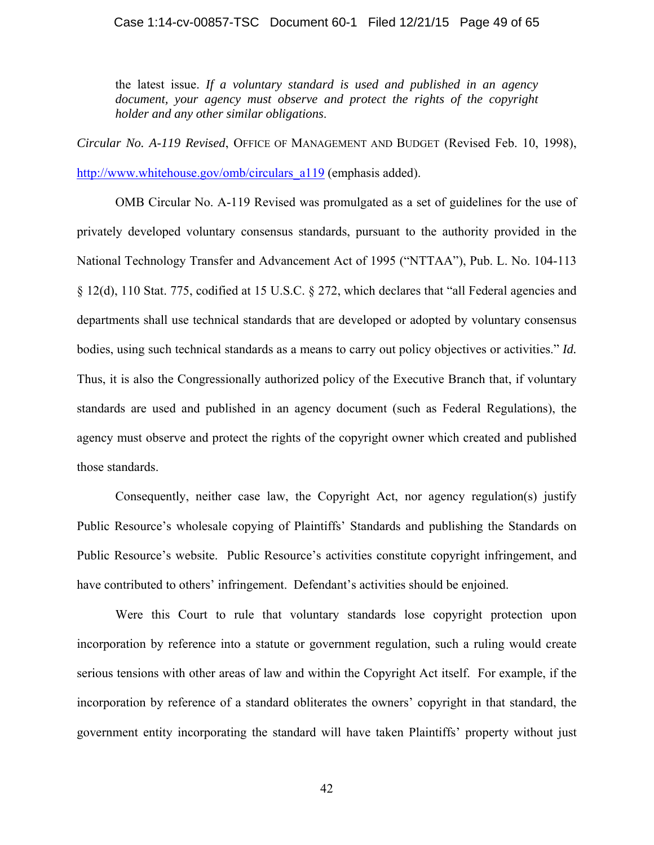the latest issue. *If a voluntary standard is used and published in an agency document, your agency must observe and protect the rights of the copyright holder and any other similar obligations*.

*Circular No. A-119 Revised*, OFFICE OF MANAGEMENT AND BUDGET (Revised Feb. 10, 1998), http://www.whitehouse.gov/omb/circulars\_a119 (emphasis added).

 OMB Circular No. A-119 Revised was promulgated as a set of guidelines for the use of privately developed voluntary consensus standards, pursuant to the authority provided in the National Technology Transfer and Advancement Act of 1995 ("NTTAA"), Pub. L. No. 104-113 § 12(d), 110 Stat. 775, codified at 15 U.S.C. § 272, which declares that "all Federal agencies and departments shall use technical standards that are developed or adopted by voluntary consensus bodies, using such technical standards as a means to carry out policy objectives or activities." *Id.*  Thus, it is also the Congressionally authorized policy of the Executive Branch that, if voluntary standards are used and published in an agency document (such as Federal Regulations), the agency must observe and protect the rights of the copyright owner which created and published those standards.

Consequently, neither case law, the Copyright Act, nor agency regulation(s) justify Public Resource's wholesale copying of Plaintiffs' Standards and publishing the Standards on Public Resource's website. Public Resource's activities constitute copyright infringement, and have contributed to others' infringement. Defendant's activities should be enjoined.

Were this Court to rule that voluntary standards lose copyright protection upon incorporation by reference into a statute or government regulation, such a ruling would create serious tensions with other areas of law and within the Copyright Act itself. For example, if the incorporation by reference of a standard obliterates the owners' copyright in that standard, the government entity incorporating the standard will have taken Plaintiffs' property without just

42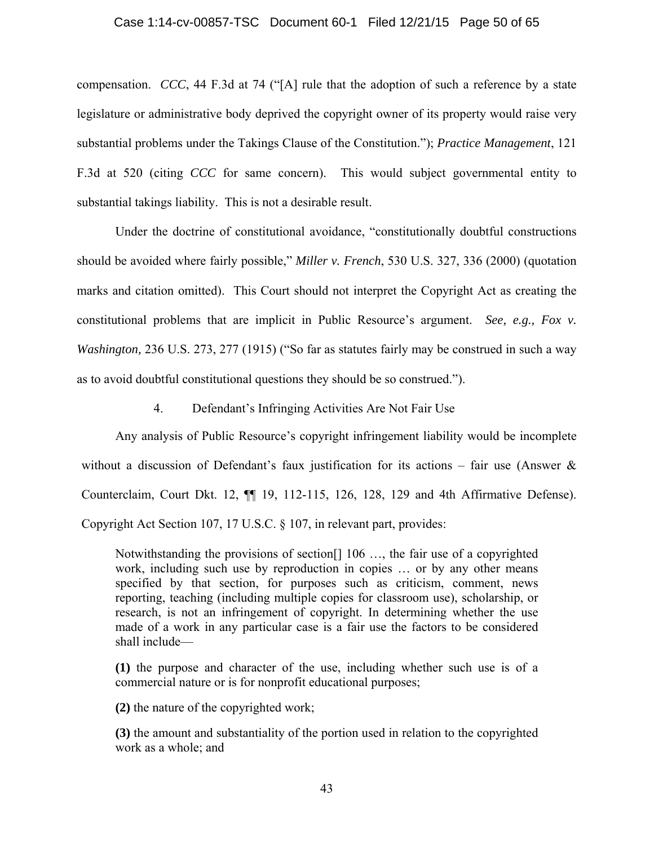compensation. *CCC*, 44 F.3d at 74 ("[A] rule that the adoption of such a reference by a state legislature or administrative body deprived the copyright owner of its property would raise very substantial problems under the Takings Clause of the Constitution."); *Practice Management*, 121 F.3d at 520 (citing *CCC* for same concern). This would subject governmental entity to substantial takings liability. This is not a desirable result.

Under the doctrine of constitutional avoidance, "constitutionally doubtful constructions should be avoided where fairly possible," *Miller v. French*, 530 U.S. 327, 336 (2000) (quotation marks and citation omitted). This Court should not interpret the Copyright Act as creating the constitutional problems that are implicit in Public Resource's argument. *See, e.g., Fox v. Washington,* 236 U.S. 273, 277 (1915) ("So far as statutes fairly may be construed in such a way as to avoid doubtful constitutional questions they should be so construed.").

4. Defendant's Infringing Activities Are Not Fair Use

Any analysis of Public Resource's copyright infringement liability would be incomplete without a discussion of Defendant's faux justification for its actions – fair use (Answer  $\&$ Counterclaim, Court Dkt. 12, ¶¶ 19, 112-115, 126, 128, 129 and 4th Affirmative Defense). Copyright Act Section 107, 17 U.S.C. § 107, in relevant part, provides:

Notwithstanding the provisions of section[] 106 …, the fair use of a copyrighted work, including such use by reproduction in copies … or by any other means specified by that section, for purposes such as criticism, comment, news reporting, teaching (including multiple copies for classroom use), scholarship, or research, is not an infringement of copyright. In determining whether the use made of a work in any particular case is a fair use the factors to be considered shall include—

**(1)** the purpose and character of the use, including whether such use is of a commercial nature or is for nonprofit educational purposes;

**(2)** the nature of the copyrighted work;

**(3)** the amount and substantiality of the portion used in relation to the copyrighted work as a whole; and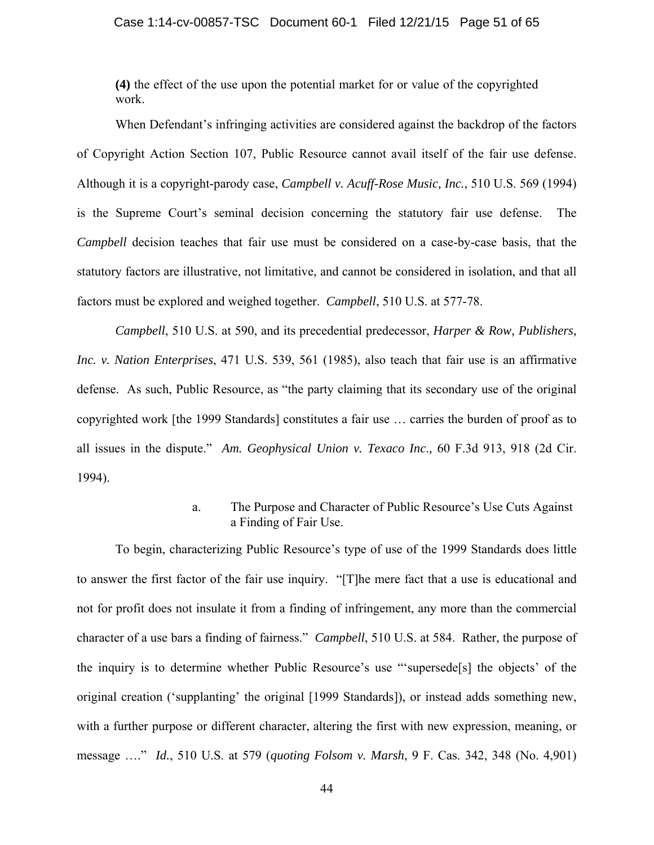**(4)** the effect of the use upon the potential market for or value of the copyrighted work.

 When Defendant's infringing activities are considered against the backdrop of the factors of Copyright Action Section 107, Public Resource cannot avail itself of the fair use defense. Although it is a copyright-parody case, *Campbell v. Acuff-Rose Music, Inc.*, 510 U.S. 569 (1994) is the Supreme Court's seminal decision concerning the statutory fair use defense. The *Campbell* decision teaches that fair use must be considered on a case-by-case basis, that the statutory factors are illustrative, not limitative, and cannot be considered in isolation, and that all factors must be explored and weighed together. *Campbell*, 510 U.S. at 577-78.

*Campbell*, 510 U.S. at 590, and its precedential predecessor, *Harper & Row, Publishers, Inc. v. Nation Enterprises*, 471 U.S. 539, 561 (1985), also teach that fair use is an affirmative defense. As such, Public Resource, as "the party claiming that its secondary use of the original copyrighted work [the 1999 Standards] constitutes a fair use … carries the burden of proof as to all issues in the dispute." *Am. Geophysical Union v. Texaco Inc*.*,* 60 F.3d 913, 918 (2d Cir. 1994).

## a. The Purpose and Character of Public Resource's Use Cuts Against a Finding of Fair Use.

To begin, characterizing Public Resource's type of use of the 1999 Standards does little to answer the first factor of the fair use inquiry. "[T]he mere fact that a use is educational and not for profit does not insulate it from a finding of infringement, any more than the commercial character of a use bars a finding of fairness." *Campbell*, 510 U.S. at 584. Rather, the purpose of the inquiry is to determine whether Public Resource's use "'supersede[s] the objects' of the original creation ('supplanting' the original [1999 Standards]), or instead adds something new, with a further purpose or different character, altering the first with new expression, meaning, or message …." *Id.*, 510 U.S. at 579 (*quoting Folsom v. Marsh*, 9 F. Cas. 342, 348 (No. 4,901)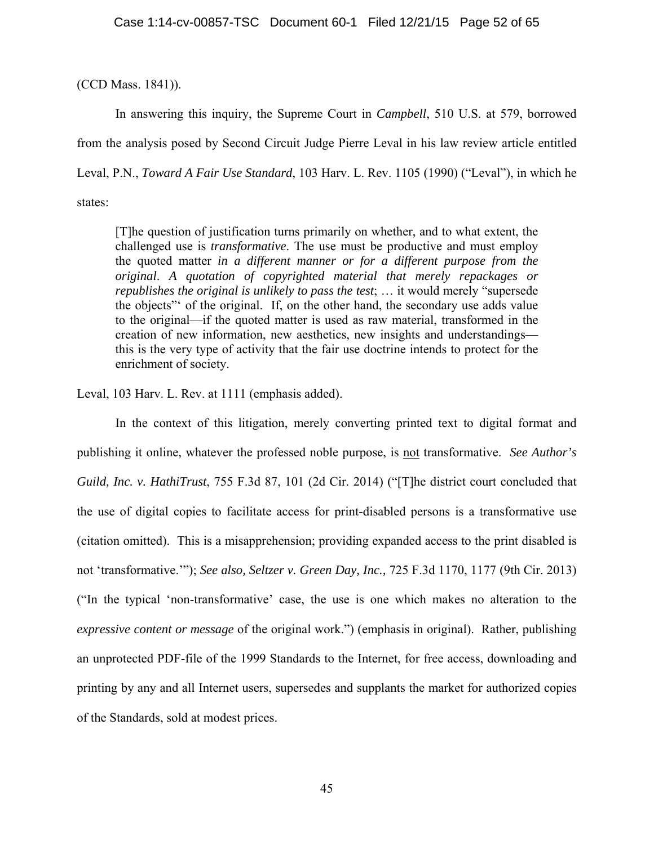(CCD Mass. 1841)).

In answering this inquiry, the Supreme Court in *Campbell*, 510 U.S. at 579, borrowed from the analysis posed by Second Circuit Judge Pierre Leval in his law review article entitled Leval, P.N., *Toward A Fair Use Standard*, 103 Harv. L. Rev. 1105 (1990) ("Leval"), in which he states:

[T]he question of justification turns primarily on whether, and to what extent, the challenged use is *transformative*. The use must be productive and must employ the quoted matter *in a different manner or for a different purpose from the original*. *A quotation of copyrighted material that merely repackages or republishes the original is unlikely to pass the test*; … it would merely "supersede the objects"' of the original. If, on the other hand, the secondary use adds value to the original—if the quoted matter is used as raw material, transformed in the creation of new information, new aesthetics, new insights and understandings this is the very type of activity that the fair use doctrine intends to protect for the enrichment of society.

Leval, 103 Harv. L. Rev. at 1111 (emphasis added).

In the context of this litigation, merely converting printed text to digital format and publishing it online, whatever the professed noble purpose, is not transformative. *See Author's Guild, Inc. v. HathiTrust*, 755 F.3d 87, 101 (2d Cir. 2014) ("[T]he district court concluded that the use of digital copies to facilitate access for print-disabled persons is a transformative use (citation omitted). This is a misapprehension; providing expanded access to the print disabled is not 'transformative.'"); *See also, Seltzer v. Green Day, Inc.,* 725 F.3d 1170, 1177 (9th Cir. 2013) ("In the typical 'non-transformative' case, the use is one which makes no alteration to the *expressive content or message* of the original work.") (emphasis in original). Rather, publishing an unprotected PDF-file of the 1999 Standards to the Internet, for free access, downloading and printing by any and all Internet users, supersedes and supplants the market for authorized copies of the Standards, sold at modest prices.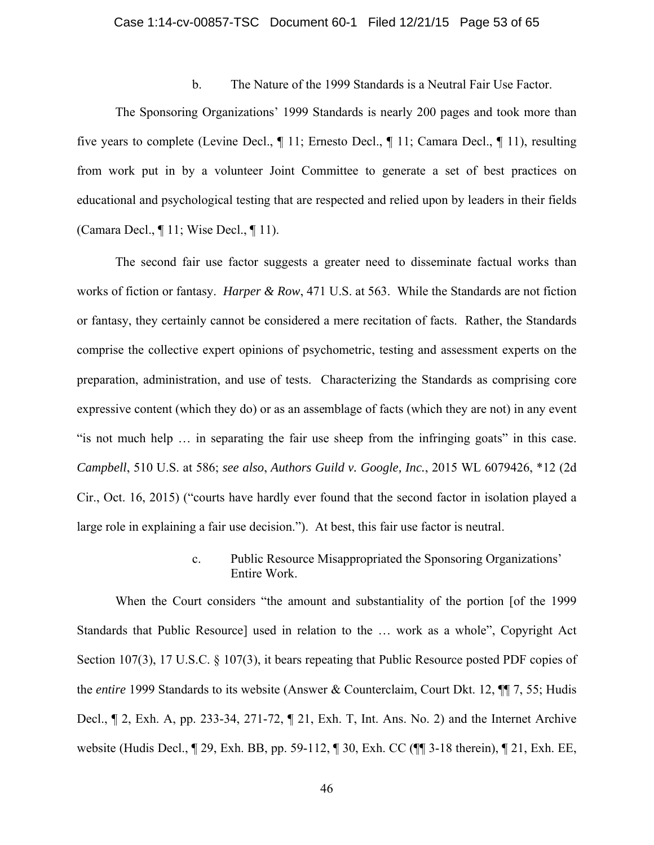## Case 1:14-cv-00857-TSC Document 60-1 Filed 12/21/15 Page 53 of 65

## b. The Nature of the 1999 Standards is a Neutral Fair Use Factor.

The Sponsoring Organizations' 1999 Standards is nearly 200 pages and took more than five years to complete (Levine Decl., ¶ 11; Ernesto Decl., ¶ 11; Camara Decl., ¶ 11), resulting from work put in by a volunteer Joint Committee to generate a set of best practices on educational and psychological testing that are respected and relied upon by leaders in their fields (Camara Decl., ¶ 11; Wise Decl., ¶ 11).

The second fair use factor suggests a greater need to disseminate factual works than works of fiction or fantasy. *Harper & Row*, 471 U.S. at 563. While the Standards are not fiction or fantasy, they certainly cannot be considered a mere recitation of facts. Rather, the Standards comprise the collective expert opinions of psychometric, testing and assessment experts on the preparation, administration, and use of tests. Characterizing the Standards as comprising core expressive content (which they do) or as an assemblage of facts (which they are not) in any event "is not much help … in separating the fair use sheep from the infringing goats" in this case. *Campbell*, 510 U.S. at 586; *see also*, *Authors Guild v. Google, Inc.*, 2015 WL 6079426, \*12 (2d Cir., Oct. 16, 2015) ("courts have hardly ever found that the second factor in isolation played a large role in explaining a fair use decision."). At best, this fair use factor is neutral.

## c. Public Resource Misappropriated the Sponsoring Organizations' Entire Work.

When the Court considers "the amount and substantiality of the portion [of the 1999 Standards that Public Resource] used in relation to the … work as a whole", Copyright Act Section 107(3), 17 U.S.C. § 107(3), it bears repeating that Public Resource posted PDF copies of the *entire* 1999 Standards to its website (Answer & Counterclaim, Court Dkt. 12, ¶¶ 7, 55; Hudis Decl., ¶ 2, Exh. A, pp. 233-34, 271-72, ¶ 21, Exh. T, Int. Ans. No. 2) and the Internet Archive website (Hudis Decl., ¶ 29, Exh. BB, pp. 59-112, ¶ 30, Exh. CC (¶¶ 3-18 therein), ¶ 21, Exh. EE,

46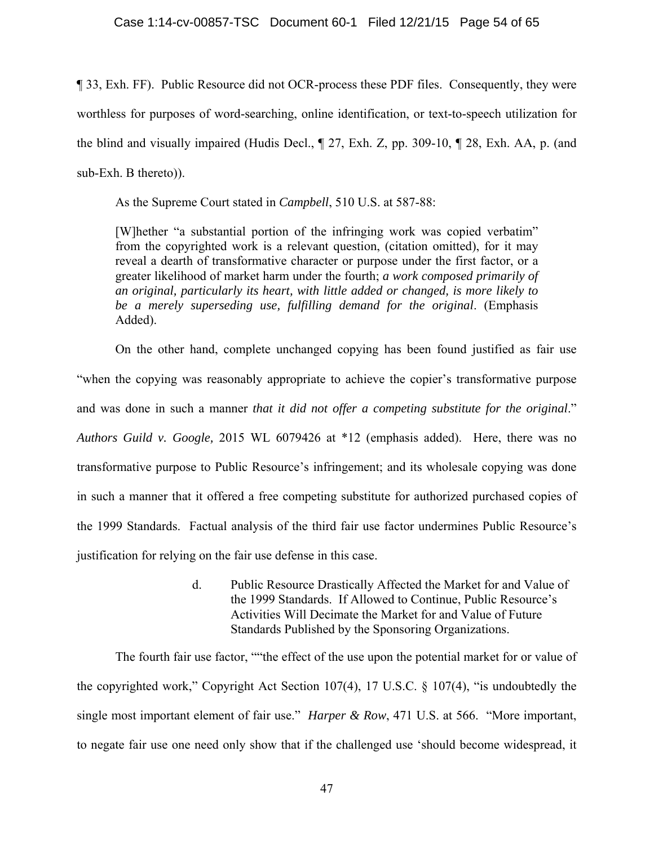## Case 1:14-cv-00857-TSC Document 60-1 Filed 12/21/15 Page 54 of 65

¶ 33, Exh. FF). Public Resource did not OCR-process these PDF files. Consequently, they were worthless for purposes of word-searching, online identification, or text-to-speech utilization for the blind and visually impaired (Hudis Decl., ¶ 27, Exh. Z, pp. 309-10, ¶ 28, Exh. AA, p. (and sub-Exh. B thereto)).

As the Supreme Court stated in *Campbell*, 510 U.S. at 587-88:

[W]hether "a substantial portion of the infringing work was copied verbatim" from the copyrighted work is a relevant question, (citation omitted), for it may reveal a dearth of transformative character or purpose under the first factor, or a greater likelihood of market harm under the fourth; *a work composed primarily of an original, particularly its heart, with little added or changed, is more likely to be a merely superseding use, fulfilling demand for the original*. (Emphasis Added).

 On the other hand, complete unchanged copying has been found justified as fair use "when the copying was reasonably appropriate to achieve the copier's transformative purpose and was done in such a manner *that it did not offer a competing substitute for the original*." *Authors Guild v. Google,* 2015 WL 6079426 at \*12 (emphasis added). Here, there was no transformative purpose to Public Resource's infringement; and its wholesale copying was done in such a manner that it offered a free competing substitute for authorized purchased copies of the 1999 Standards. Factual analysis of the third fair use factor undermines Public Resource's justification for relying on the fair use defense in this case.

> d. Public Resource Drastically Affected the Market for and Value of the 1999 Standards. If Allowed to Continue, Public Resource's Activities Will Decimate the Market for and Value of Future Standards Published by the Sponsoring Organizations.

The fourth fair use factor, ""the effect of the use upon the potential market for or value of the copyrighted work," Copyright Act Section 107(4), 17 U.S.C. § 107(4), "is undoubtedly the single most important element of fair use." *Harper & Row*, 471 U.S. at 566. "More important, to negate fair use one need only show that if the challenged use 'should become widespread, it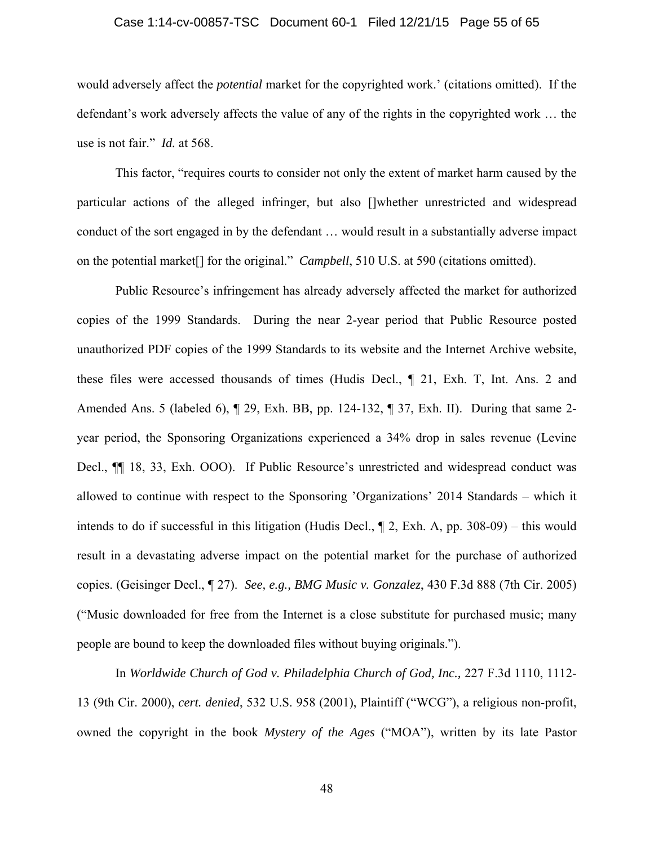## Case 1:14-cv-00857-TSC Document 60-1 Filed 12/21/15 Page 55 of 65

would adversely affect the *potential* market for the copyrighted work.' (citations omitted). If the defendant's work adversely affects the value of any of the rights in the copyrighted work … the use is not fair." *Id.* at 568.

This factor, "requires courts to consider not only the extent of market harm caused by the particular actions of the alleged infringer, but also []whether unrestricted and widespread conduct of the sort engaged in by the defendant … would result in a substantially adverse impact on the potential market[] for the original." *Campbell*, 510 U.S. at 590 (citations omitted).

Public Resource's infringement has already adversely affected the market for authorized copies of the 1999 Standards. During the near 2-year period that Public Resource posted unauthorized PDF copies of the 1999 Standards to its website and the Internet Archive website, these files were accessed thousands of times (Hudis Decl., ¶ 21, Exh. T, Int. Ans. 2 and Amended Ans. 5 (labeled 6), ¶ 29, Exh. BB, pp. 124-132, ¶ 37, Exh. II). During that same 2 year period, the Sponsoring Organizations experienced a 34% drop in sales revenue (Levine Decl.,  $\P$  18, 33, Exh. OOO). If Public Resource's unrestricted and widespread conduct was allowed to continue with respect to the Sponsoring 'Organizations' 2014 Standards – which it intends to do if successful in this litigation (Hudis Decl., ¶ 2, Exh. A, pp. 308-09) – this would result in a devastating adverse impact on the potential market for the purchase of authorized copies. (Geisinger Decl., ¶ 27). *See, e.g., BMG Music v. Gonzalez*, 430 F.3d 888 (7th Cir. 2005) ("Music downloaded for free from the Internet is a close substitute for purchased music; many people are bound to keep the downloaded files without buying originals.").

In *Worldwide Church of God v. Philadelphia Church of God, Inc.,* 227 F.3d 1110, 1112- 13 (9th Cir. 2000), *cert. denied*, 532 U.S. 958 (2001), Plaintiff ("WCG"), a religious non-profit, owned the copyright in the book *Mystery of the Ages* ("MOA"), written by its late Pastor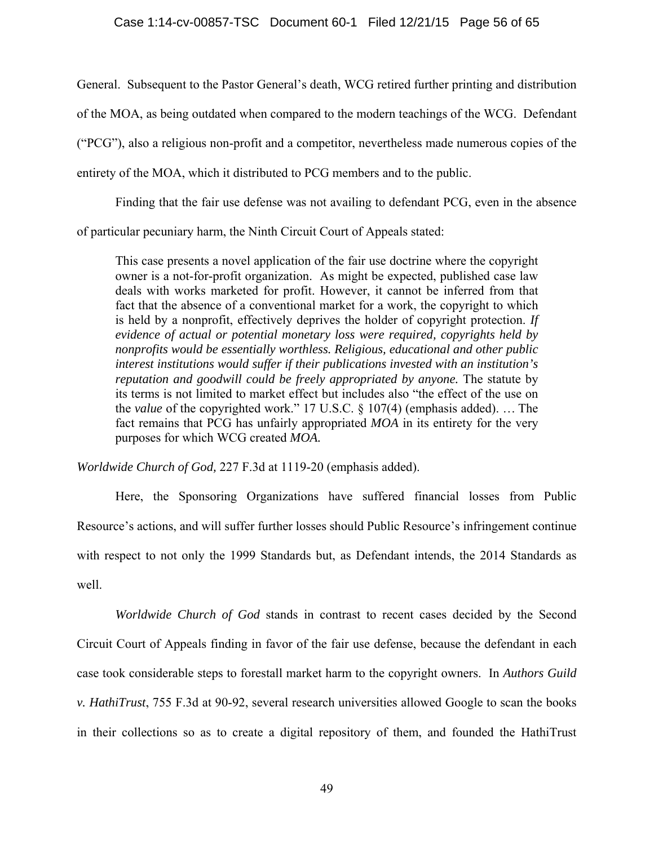General. Subsequent to the Pastor General's death, WCG retired further printing and distribution of the MOA, as being outdated when compared to the modern teachings of the WCG. Defendant ("PCG"), also a religious non-profit and a competitor, nevertheless made numerous copies of the entirety of the MOA, which it distributed to PCG members and to the public.

Finding that the fair use defense was not availing to defendant PCG, even in the absence of particular pecuniary harm, the Ninth Circuit Court of Appeals stated:

This case presents a novel application of the fair use doctrine where the copyright owner is a not-for-profit organization. As might be expected, published case law deals with works marketed for profit. However, it cannot be inferred from that fact that the absence of a conventional market for a work, the copyright to which is held by a nonprofit, effectively deprives the holder of copyright protection. *If evidence of actual or potential monetary loss were required, copyrights held by nonprofits would be essentially worthless. Religious, educational and other public interest institutions would suffer if their publications invested with an institution's reputation and goodwill could be freely appropriated by anyone.* The statute by its terms is not limited to market effect but includes also "the effect of the use on the *value* of the copyrighted work." 17 U.S.C. § 107(4) (emphasis added). … The fact remains that PCG has unfairly appropriated *MOA* in its entirety for the very purposes for which WCG created *MOA.* 

*Worldwide Church of God,* 227 F.3d at 1119-20 (emphasis added).

Here, the Sponsoring Organizations have suffered financial losses from Public Resource's actions, and will suffer further losses should Public Resource's infringement continue with respect to not only the 1999 Standards but, as Defendant intends, the 2014 Standards as well.

*Worldwide Church of God* stands in contrast to recent cases decided by the Second Circuit Court of Appeals finding in favor of the fair use defense, because the defendant in each case took considerable steps to forestall market harm to the copyright owners. In *Authors Guild v. HathiTrust*, 755 F.3d at 90-92, several research universities allowed Google to scan the books in their collections so as to create a digital repository of them, and founded the HathiTrust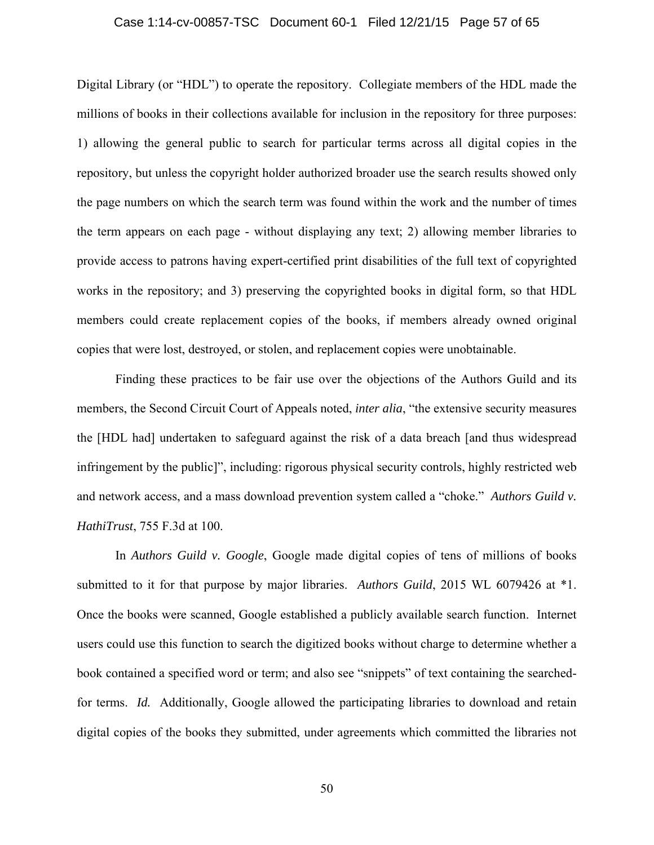#### Case 1:14-cv-00857-TSC Document 60-1 Filed 12/21/15 Page 57 of 65

Digital Library (or "HDL") to operate the repository. Collegiate members of the HDL made the millions of books in their collections available for inclusion in the repository for three purposes: 1) allowing the general public to search for particular terms across all digital copies in the repository, but unless the copyright holder authorized broader use the search results showed only the page numbers on which the search term was found within the work and the number of times the term appears on each page - without displaying any text; 2) allowing member libraries to provide access to patrons having expert-certified print disabilities of the full text of copyrighted works in the repository; and 3) preserving the copyrighted books in digital form, so that HDL members could create replacement copies of the books, if members already owned original copies that were lost, destroyed, or stolen, and replacement copies were unobtainable.

Finding these practices to be fair use over the objections of the Authors Guild and its members, the Second Circuit Court of Appeals noted, *inter alia*, "the extensive security measures the [HDL had] undertaken to safeguard against the risk of a data breach [and thus widespread infringement by the public]", including: rigorous physical security controls, highly restricted web and network access, and a mass download prevention system called a "choke." *Authors Guild v. HathiTrust*, 755 F.3d at 100.

 In *Authors Guild v. Google*, Google made digital copies of tens of millions of books submitted to it for that purpose by major libraries. *Authors Guild*, 2015 WL 6079426 at \*1. Once the books were scanned, Google established a publicly available search function. Internet users could use this function to search the digitized books without charge to determine whether a book contained a specified word or term; and also see "snippets" of text containing the searchedfor terms. *Id.* Additionally, Google allowed the participating libraries to download and retain digital copies of the books they submitted, under agreements which committed the libraries not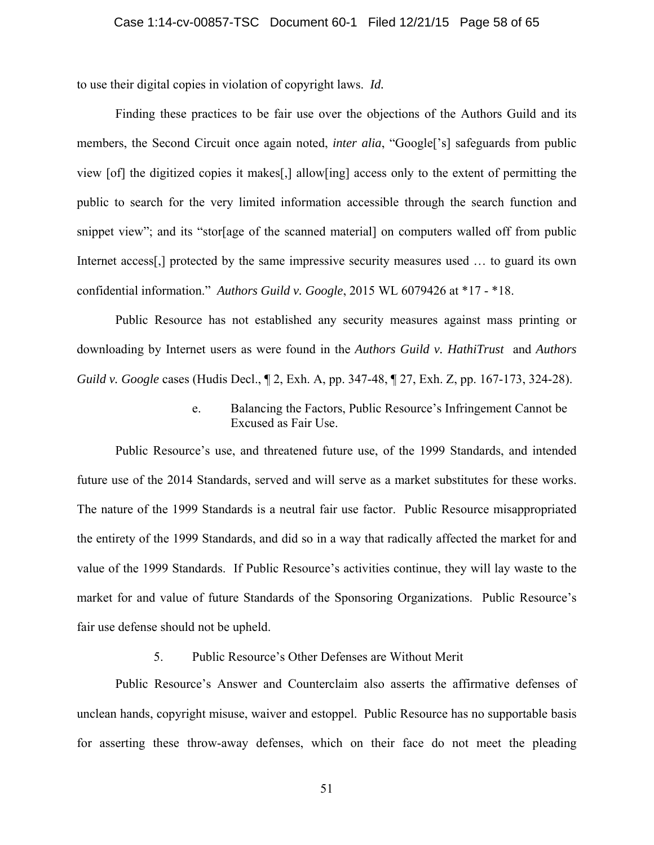to use their digital copies in violation of copyright laws. *Id.*

Finding these practices to be fair use over the objections of the Authors Guild and its members, the Second Circuit once again noted, *inter alia*, "Google['s] safeguards from public view [of] the digitized copies it makes[,] allow[ing] access only to the extent of permitting the public to search for the very limited information accessible through the search function and snippet view"; and its "stor[age of the scanned material] on computers walled off from public Internet access<sup>[1]</sup>, protected by the same impressive security measures used ... to guard its own confidential information." *Authors Guild v. Google*, 2015 WL 6079426 at \*17 - \*18.

Public Resource has not established any security measures against mass printing or downloading by Internet users as were found in the *Authors Guild v. HathiTrust* and *Authors Guild v. Google* cases (Hudis Decl., ¶ 2, Exh. A, pp. 347-48, ¶ 27, Exh. Z, pp. 167-173, 324-28).

> e. Balancing the Factors, Public Resource's Infringement Cannot be Excused as Fair Use.

Public Resource's use, and threatened future use, of the 1999 Standards, and intended future use of the 2014 Standards, served and will serve as a market substitutes for these works. The nature of the 1999 Standards is a neutral fair use factor. Public Resource misappropriated the entirety of the 1999 Standards, and did so in a way that radically affected the market for and value of the 1999 Standards. If Public Resource's activities continue, they will lay waste to the market for and value of future Standards of the Sponsoring Organizations. Public Resource's fair use defense should not be upheld.

## 5. Public Resource's Other Defenses are Without Merit

Public Resource's Answer and Counterclaim also asserts the affirmative defenses of unclean hands, copyright misuse, waiver and estoppel. Public Resource has no supportable basis for asserting these throw-away defenses, which on their face do not meet the pleading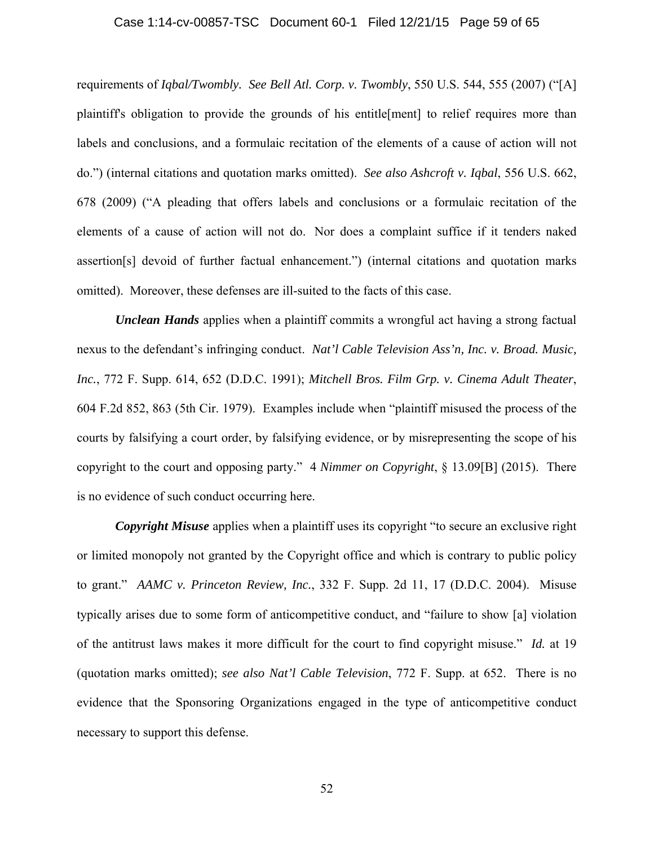#### Case 1:14-cv-00857-TSC Document 60-1 Filed 12/21/15 Page 59 of 65

requirements of *Iqbal/Twombly. See Bell Atl. Corp. v. Twombly*, 550 U.S. 544, 555 (2007) ("[A] plaintiff's obligation to provide the grounds of his entitle[ment] to relief requires more than labels and conclusions, and a formulaic recitation of the elements of a cause of action will not do.") (internal citations and quotation marks omitted). *See also Ashcroft v. Iqbal*, 556 U.S. 662, 678 (2009) ("A pleading that offers labels and conclusions or a formulaic recitation of the elements of a cause of action will not do. Nor does a complaint suffice if it tenders naked assertion[s] devoid of further factual enhancement.") (internal citations and quotation marks omitted). Moreover, these defenses are ill-suited to the facts of this case.

*Unclean Hands* applies when a plaintiff commits a wrongful act having a strong factual nexus to the defendant's infringing conduct. *Nat'l Cable Television Ass'n, Inc. v. Broad. Music, Inc.*, 772 F. Supp. 614, 652 (D.D.C. 1991); *Mitchell Bros. Film Grp. v. Cinema Adult Theater*, 604 F.2d 852, 863 (5th Cir. 1979). Examples include when "plaintiff misused the process of the courts by falsifying a court order, by falsifying evidence, or by misrepresenting the scope of his copyright to the court and opposing party." 4 *Nimmer on Copyright*, § 13.09[B] (2015). There is no evidence of such conduct occurring here.

*Copyright Misuse* applies when a plaintiff uses its copyright "to secure an exclusive right or limited monopoly not granted by the Copyright office and which is contrary to public policy to grant." *AAMC v. Princeton Review, Inc.*, 332 F. Supp. 2d 11, 17 (D.D.C. 2004). Misuse typically arises due to some form of anticompetitive conduct, and "failure to show [a] violation of the antitrust laws makes it more difficult for the court to find copyright misuse." *Id.* at 19 (quotation marks omitted); *see also Nat'l Cable Television*, 772 F. Supp. at 652. There is no evidence that the Sponsoring Organizations engaged in the type of anticompetitive conduct necessary to support this defense.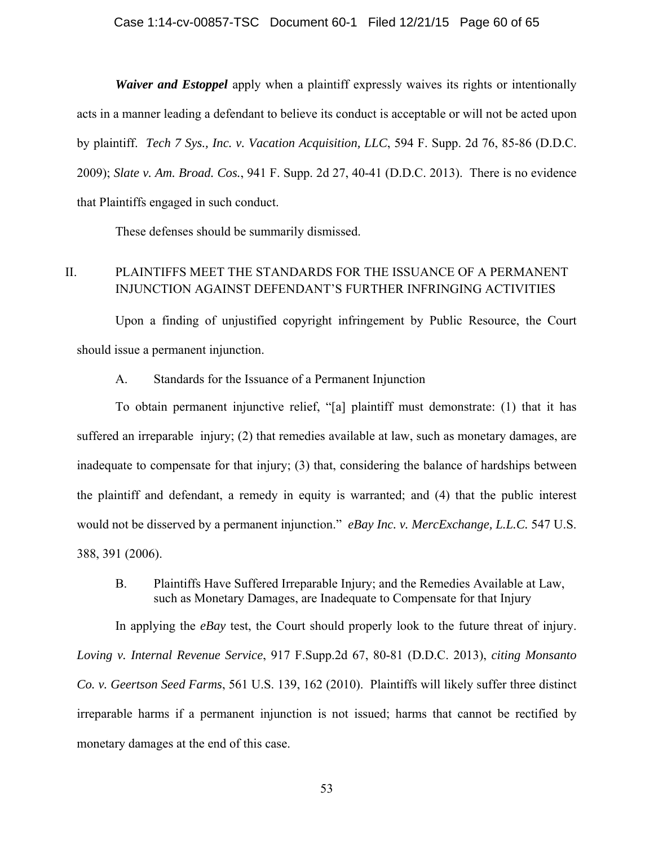## Case 1:14-cv-00857-TSC Document 60-1 Filed 12/21/15 Page 60 of 65

*Waiver and Estoppel* apply when a plaintiff expressly waives its rights or intentionally acts in a manner leading a defendant to believe its conduct is acceptable or will not be acted upon by plaintiff. *Tech 7 Sys., Inc. v. Vacation Acquisition, LLC*, 594 F. Supp. 2d 76, 85-86 (D.D.C. 2009); *Slate v. Am. Broad. Cos.*, 941 F. Supp. 2d 27, 40-41 (D.D.C. 2013). There is no evidence that Plaintiffs engaged in such conduct.

These defenses should be summarily dismissed.

# II. PLAINTIFFS MEET THE STANDARDS FOR THE ISSUANCE OF A PERMANENT INJUNCTION AGAINST DEFENDANT'S FURTHER INFRINGING ACTIVITIES

Upon a finding of unjustified copyright infringement by Public Resource, the Court should issue a permanent injunction.

A. Standards for the Issuance of a Permanent Injunction

To obtain permanent injunctive relief, "[a] plaintiff must demonstrate: (1) that it has suffered an irreparable injury; (2) that remedies available at law, such as monetary damages, are inadequate to compensate for that injury; (3) that, considering the balance of hardships between the plaintiff and defendant, a remedy in equity is warranted; and (4) that the public interest would not be disserved by a permanent injunction." *eBay Inc. v. MercExchange, L.L.C.* 547 U.S. 388, 391 (2006).

B. Plaintiffs Have Suffered Irreparable Injury; and the Remedies Available at Law, such as Monetary Damages, are Inadequate to Compensate for that Injury

 In applying the *eBay* test, the Court should properly look to the future threat of injury. *Loving v. Internal Revenue Service*, 917 F.Supp.2d 67, 80-81 (D.D.C. 2013), *citing Monsanto Co. v. Geertson Seed Farms*, 561 U.S. 139, 162 (2010). Plaintiffs will likely suffer three distinct irreparable harms if a permanent injunction is not issued; harms that cannot be rectified by monetary damages at the end of this case.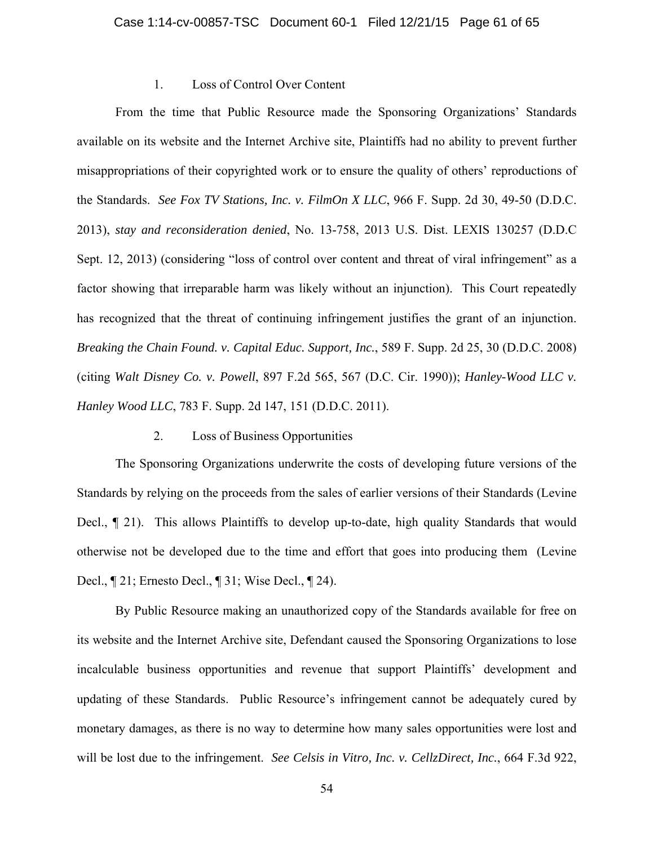## 1. Loss of Control Over Content

 From the time that Public Resource made the Sponsoring Organizations' Standards available on its website and the Internet Archive site, Plaintiffs had no ability to prevent further misappropriations of their copyrighted work or to ensure the quality of others' reproductions of the Standards. *See Fox TV Stations, Inc. v. FilmOn X LLC*, 966 F. Supp. 2d 30, 49-50 (D.D.C. 2013), *stay and reconsideration denied*, No. 13-758, 2013 U.S. Dist. LEXIS 130257 (D.D.C Sept. 12, 2013) (considering "loss of control over content and threat of viral infringement" as a factor showing that irreparable harm was likely without an injunction). This Court repeatedly has recognized that the threat of continuing infringement justifies the grant of an injunction. *Breaking the Chain Found. v. Capital Educ. Support, Inc.*, 589 F. Supp. 2d 25, 30 (D.D.C. 2008) (citing *Walt Disney Co. v. Powell*, 897 F.2d 565, 567 (D.C. Cir. 1990)); *Hanley-Wood LLC v. Hanley Wood LLC*, 783 F. Supp. 2d 147, 151 (D.D.C. 2011).

## 2. Loss of Business Opportunities

The Sponsoring Organizations underwrite the costs of developing future versions of the Standards by relying on the proceeds from the sales of earlier versions of their Standards (Levine Decl., ¶ 21). This allows Plaintiffs to develop up-to-date, high quality Standards that would otherwise not be developed due to the time and effort that goes into producing them (Levine Decl., ¶ 21; Ernesto Decl., ¶ 31; Wise Decl., ¶ 24).

By Public Resource making an unauthorized copy of the Standards available for free on its website and the Internet Archive site, Defendant caused the Sponsoring Organizations to lose incalculable business opportunities and revenue that support Plaintiffs' development and updating of these Standards. Public Resource's infringement cannot be adequately cured by monetary damages, as there is no way to determine how many sales opportunities were lost and will be lost due to the infringement. *See Celsis in Vitro, Inc. v. CellzDirect, Inc.*, 664 F.3d 922,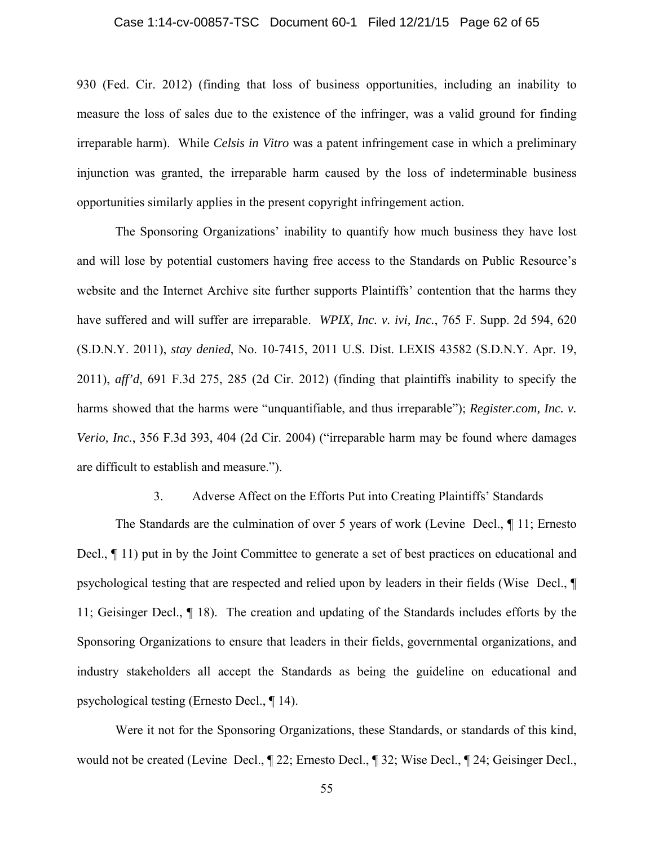## Case 1:14-cv-00857-TSC Document 60-1 Filed 12/21/15 Page 62 of 65

930 (Fed. Cir. 2012) (finding that loss of business opportunities, including an inability to measure the loss of sales due to the existence of the infringer, was a valid ground for finding irreparable harm). While *Celsis in Vitro* was a patent infringement case in which a preliminary injunction was granted, the irreparable harm caused by the loss of indeterminable business opportunities similarly applies in the present copyright infringement action.

The Sponsoring Organizations' inability to quantify how much business they have lost and will lose by potential customers having free access to the Standards on Public Resource's website and the Internet Archive site further supports Plaintiffs' contention that the harms they have suffered and will suffer are irreparable. *WPIX, Inc. v. ivi, Inc.*, 765 F. Supp. 2d 594, 620 (S.D.N.Y. 2011), *stay denied*, No. 10-7415, 2011 U.S. Dist. LEXIS 43582 (S.D.N.Y. Apr. 19, 2011), *aff'd*, 691 F.3d 275, 285 (2d Cir. 2012) (finding that plaintiffs inability to specify the harms showed that the harms were "unquantifiable, and thus irreparable"); *Register.com, Inc. v. Verio, Inc.*, 356 F.3d 393, 404 (2d Cir. 2004) ("irreparable harm may be found where damages are difficult to establish and measure.").

## 3. Adverse Affect on the Efforts Put into Creating Plaintiffs' Standards

The Standards are the culmination of over 5 years of work (Levine Decl., ¶ 11; Ernesto Decl., ¶ 11) put in by the Joint Committee to generate a set of best practices on educational and psychological testing that are respected and relied upon by leaders in their fields (Wise Decl., ¶ 11; Geisinger Decl., ¶ 18). The creation and updating of the Standards includes efforts by the Sponsoring Organizations to ensure that leaders in their fields, governmental organizations, and industry stakeholders all accept the Standards as being the guideline on educational and psychological testing (Ernesto Decl., ¶ 14).

Were it not for the Sponsoring Organizations, these Standards, or standards of this kind, would not be created (Levine Decl., ¶ 22; Ernesto Decl., ¶ 32; Wise Decl., ¶ 24; Geisinger Decl.,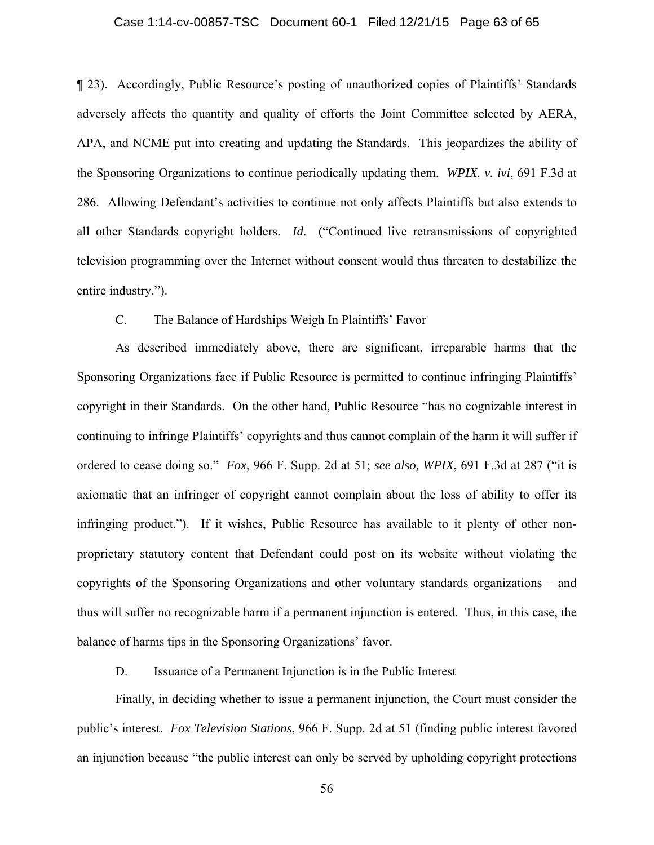## Case 1:14-cv-00857-TSC Document 60-1 Filed 12/21/15 Page 63 of 65

¶ 23). Accordingly, Public Resource's posting of unauthorized copies of Plaintiffs' Standards adversely affects the quantity and quality of efforts the Joint Committee selected by AERA, APA, and NCME put into creating and updating the Standards. This jeopardizes the ability of the Sponsoring Organizations to continue periodically updating them. *WPIX. v. ivi*, 691 F.3d at 286. Allowing Defendant's activities to continue not only affects Plaintiffs but also extends to all other Standards copyright holders. *Id*. ("Continued live retransmissions of copyrighted television programming over the Internet without consent would thus threaten to destabilize the entire industry.").

## C. The Balance of Hardships Weigh In Plaintiffs' Favor

As described immediately above, there are significant, irreparable harms that the Sponsoring Organizations face if Public Resource is permitted to continue infringing Plaintiffs' copyright in their Standards. On the other hand, Public Resource "has no cognizable interest in continuing to infringe Plaintiffs' copyrights and thus cannot complain of the harm it will suffer if ordered to cease doing so." *Fox*, 966 F. Supp. 2d at 51; *see also, WPIX*, 691 F.3d at 287 ("it is axiomatic that an infringer of copyright cannot complain about the loss of ability to offer its infringing product."). If it wishes, Public Resource has available to it plenty of other nonproprietary statutory content that Defendant could post on its website without violating the copyrights of the Sponsoring Organizations and other voluntary standards organizations – and thus will suffer no recognizable harm if a permanent injunction is entered. Thus, in this case, the balance of harms tips in the Sponsoring Organizations' favor.

D. Issuance of a Permanent Injunction is in the Public Interest

Finally, in deciding whether to issue a permanent injunction, the Court must consider the public's interest. *Fox Television Stations*, 966 F. Supp. 2d at 51 (finding public interest favored an injunction because "the public interest can only be served by upholding copyright protections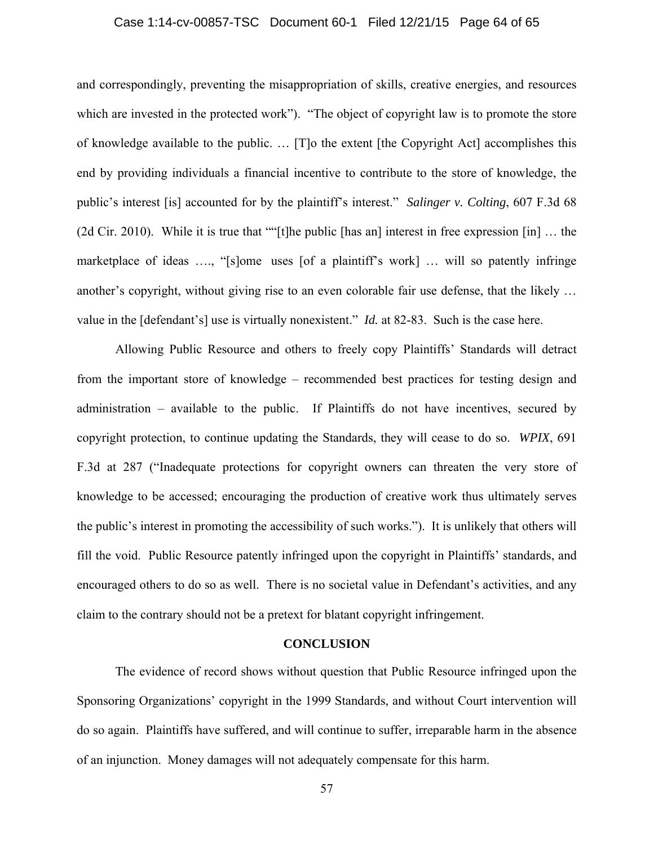#### Case 1:14-cv-00857-TSC Document 60-1 Filed 12/21/15 Page 64 of 65

and correspondingly, preventing the misappropriation of skills, creative energies, and resources which are invested in the protected work"). "The object of copyright law is to promote the store of knowledge available to the public. … [T]o the extent [the Copyright Act] accomplishes this end by providing individuals a financial incentive to contribute to the store of knowledge, the public's interest [is] accounted for by the plaintiff's interest." *Salinger v. Colting*, 607 F.3d 68 (2d Cir. 2010). While it is true that ""[t]he public [has an] interest in free expression [in] … the marketplace of ideas …., "[s]ome uses [of a plaintiff's work] … will so patently infringe another's copyright, without giving rise to an even colorable fair use defense, that the likely … value in the [defendant's] use is virtually nonexistent." *Id.* at 82-83. Such is the case here.

Allowing Public Resource and others to freely copy Plaintiffs' Standards will detract from the important store of knowledge – recommended best practices for testing design and administration – available to the public. If Plaintiffs do not have incentives, secured by copyright protection, to continue updating the Standards, they will cease to do so. *WPIX*, 691 F.3d at 287 ("Inadequate protections for copyright owners can threaten the very store of knowledge to be accessed; encouraging the production of creative work thus ultimately serves the public's interest in promoting the accessibility of such works."). It is unlikely that others will fill the void. Public Resource patently infringed upon the copyright in Plaintiffs' standards, and encouraged others to do so as well. There is no societal value in Defendant's activities, and any claim to the contrary should not be a pretext for blatant copyright infringement.

## **CONCLUSION**

The evidence of record shows without question that Public Resource infringed upon the Sponsoring Organizations' copyright in the 1999 Standards, and without Court intervention will do so again. Plaintiffs have suffered, and will continue to suffer, irreparable harm in the absence of an injunction. Money damages will not adequately compensate for this harm.